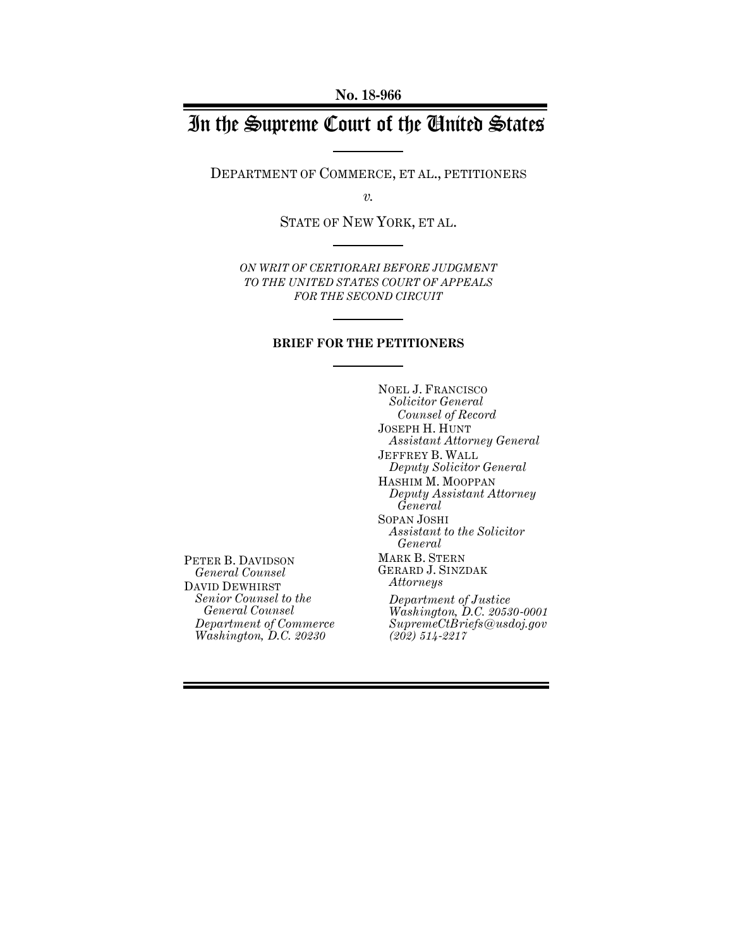# In the Supreme Court of the United States

DEPARTMENT OF COMMERCE, ET AL., PETITIONERS

*v.*

STATE OF NEW YORK, ET AL.

*ON WRIT OF CERTIORARI BEFORE JUDGMENT TO THE UNITED STATES COURT OF APPEALS FOR THE SECOND CIRCUIT*

### **BRIEF FOR THE PETITIONERS**

NOEL J. FRANCISCO *Solicitor General Counsel of Record* JOSEPH H. HUNT *Assistant Attorney General* JEFFREY B. WALL *Deputy Solicitor General* HASHIM M. MOOPPAN *Deputy Assistant Attorney General* SOPAN JOSHI *Assistant to the Solicitor General* MARK B. STERN GERARD J. SINZDAK *Attorneys Department of Justice Washington, D.C. 20530-0001 SupremeCtBriefs@usdoj.gov (202) 514-2217*

PETER B. DAVIDSON *General Counsel*  DAVID DEWHIRST *Senior Counsel to the General Counsel Department of Commerce Washington, D.C. 20230*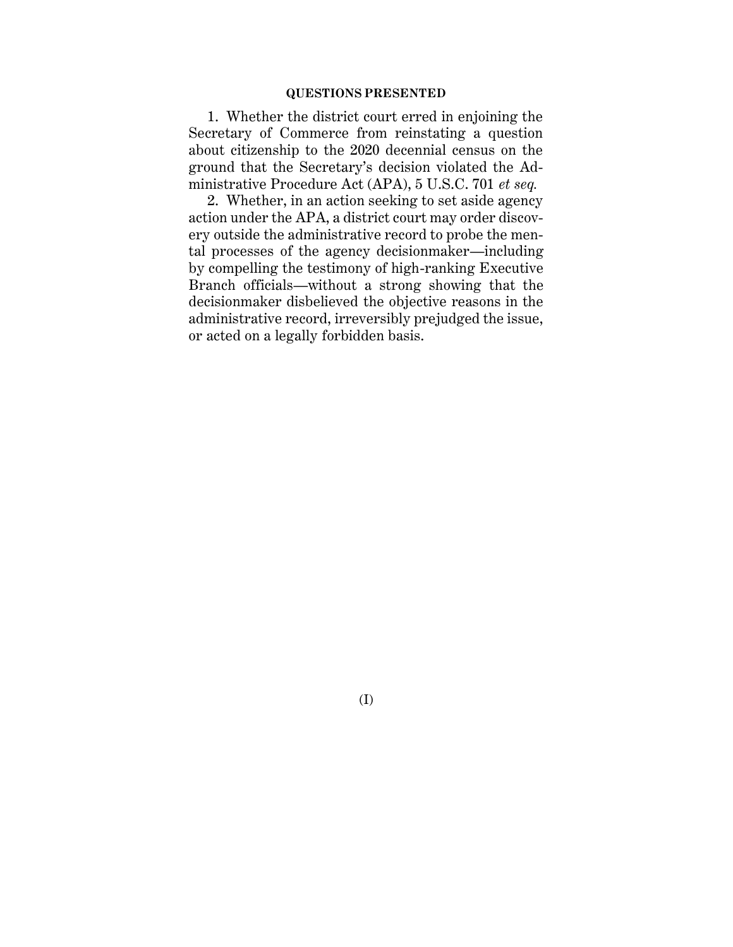#### **QUESTIONS PRESENTED**

1. Whether the district court erred in enjoining the Secretary of Commerce from reinstating a question about citizenship to the 2020 decennial census on the ground that the Secretary's decision violated the Administrative Procedure Act (APA), 5 U.S.C. 701 *et seq.*

2. Whether, in an action seeking to set aside agency action under the APA, a district court may order discovery outside the administrative record to probe the mental processes of the agency decisionmaker—including by compelling the testimony of high-ranking Executive Branch officials—without a strong showing that the decisionmaker disbelieved the objective reasons in the administrative record, irreversibly prejudged the issue, or acted on a legally forbidden basis.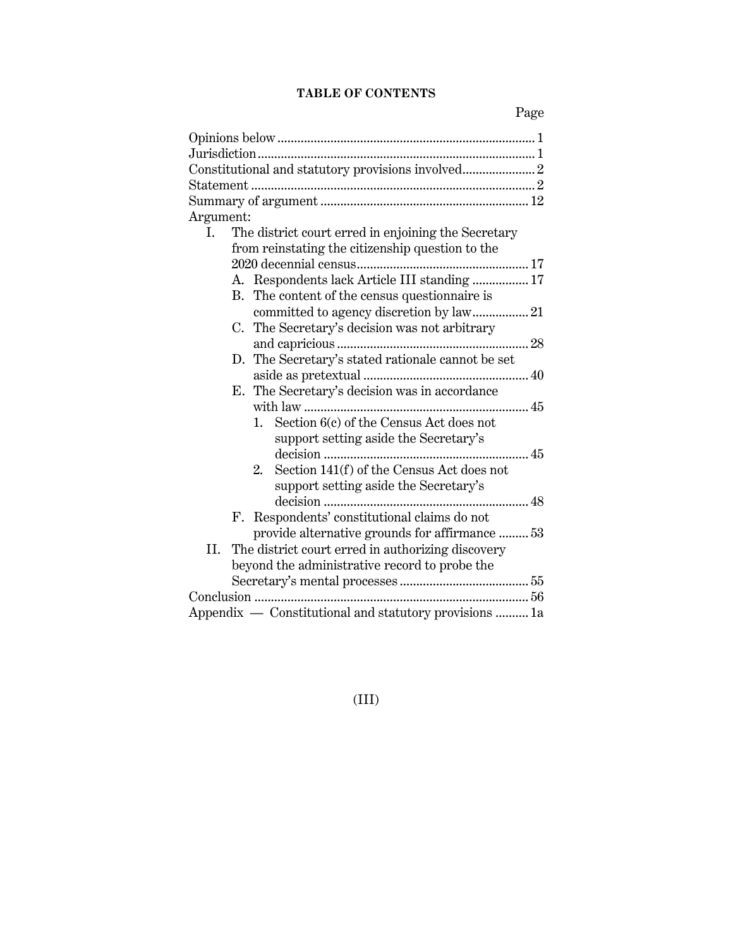## **TABLE OF CONTENTS**

| Argument:                                                 |
|-----------------------------------------------------------|
| The district court erred in enjoining the Secretary<br>I. |
| from reinstating the citizenship question to the          |
|                                                           |
| A. Respondents lack Article III standing  17              |
| B. The content of the census questionnaire is             |
| committed to agency discretion by law 21                  |
| C. The Secretary's decision was not arbitrary             |
|                                                           |
| The Secretary's stated rationale cannot be set<br>D.      |
|                                                           |
| E. The Secretary's decision was in accordance             |
|                                                           |
| Section 6(c) of the Census Act does not<br>1.             |
| support setting aside the Secretary's                     |
|                                                           |
| Section 141(f) of the Census Act does not<br>2.           |
| support setting aside the Secretary's                     |
|                                                           |
| F. Respondents' constitutional claims do not              |
| provide alternative grounds for affirmance  53            |
| The district court erred in authorizing discovery<br>II.  |
| beyond the administrative record to probe the             |
|                                                           |
|                                                           |
| Appendix - Constitutional and statutory provisions  1a    |

(III)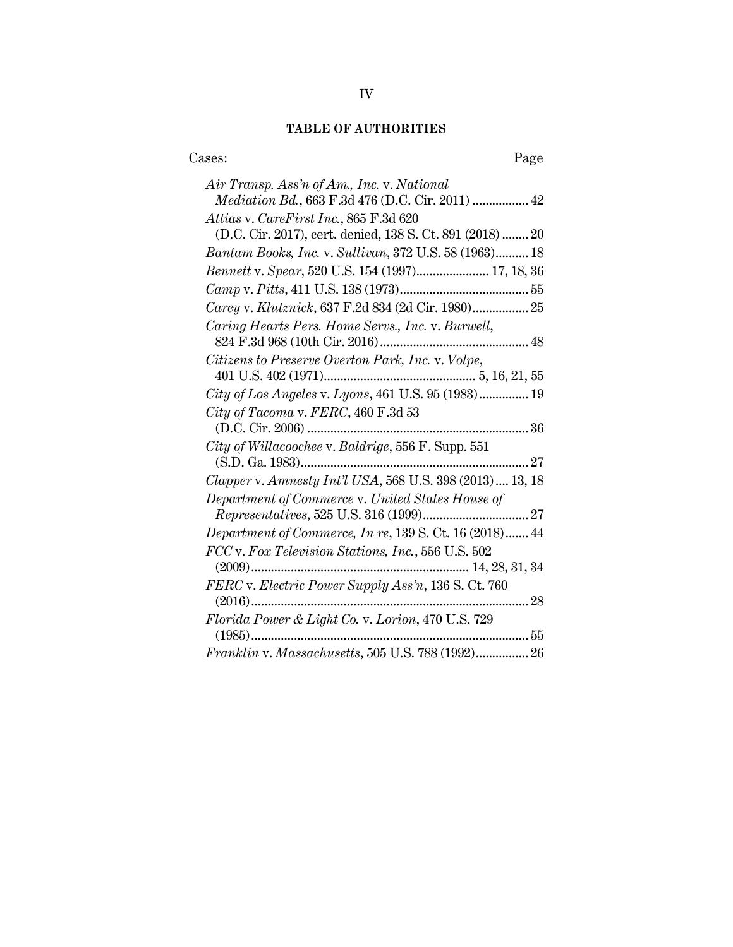# **TABLE OF AUTHORITIES**

| Cases:<br>Page                                                                                         |
|--------------------------------------------------------------------------------------------------------|
| Air Transp. Ass'n of Am., Inc. v. National<br><i>Mediation Bd.</i> , 663 F.3d 476 (D.C. Cir. 2011)  42 |
| Attias v. CareFirst Inc., 865 F.3d 620<br>(D.C. Cir. 2017), cert. denied, 138 S. Ct. 891 (2018)  20    |
| Bantam Books, Inc. v. Sullivan, 372 U.S. 58 (1963) 18                                                  |
| Bennett v. Spear, 520 U.S. 154 (1997) 17, 18, 36                                                       |
|                                                                                                        |
| Carey v. Klutznick, 637 F.2d 834 (2d Cir. 1980) 25                                                     |
| Caring Hearts Pers. Home Servs., Inc. v. Burwell,                                                      |
| Citizens to Preserve Overton Park, Inc. v. Volpe,                                                      |
| City of Los Angeles v. Lyons, 461 U.S. 95 (1983) 19                                                    |
| City of Tacoma v. FERC, 460 F.3d 53                                                                    |
| City of Willacoochee v. Baldrige, 556 F. Supp. 551                                                     |
| Clapper v. Amnesty Int'l USA, 568 U.S. 398 (2013)  13, 18                                              |
| Department of Commerce v. United States House of                                                       |
| <i>Department of Commerce, In re, 139 S. Ct. 16 (2018)</i> 44                                          |
| FCC v. Fox Television Stations, Inc., 556 U.S. 502                                                     |
| FERC v. Electric Power Supply Ass'n, 136 S. Ct. 760                                                    |
| Florida Power & Light Co. v. Lorion, 470 U.S. 729<br>. 55                                              |
| $Franklin v. Massachusetts, 505 U.S. 788 (1992) 26$                                                    |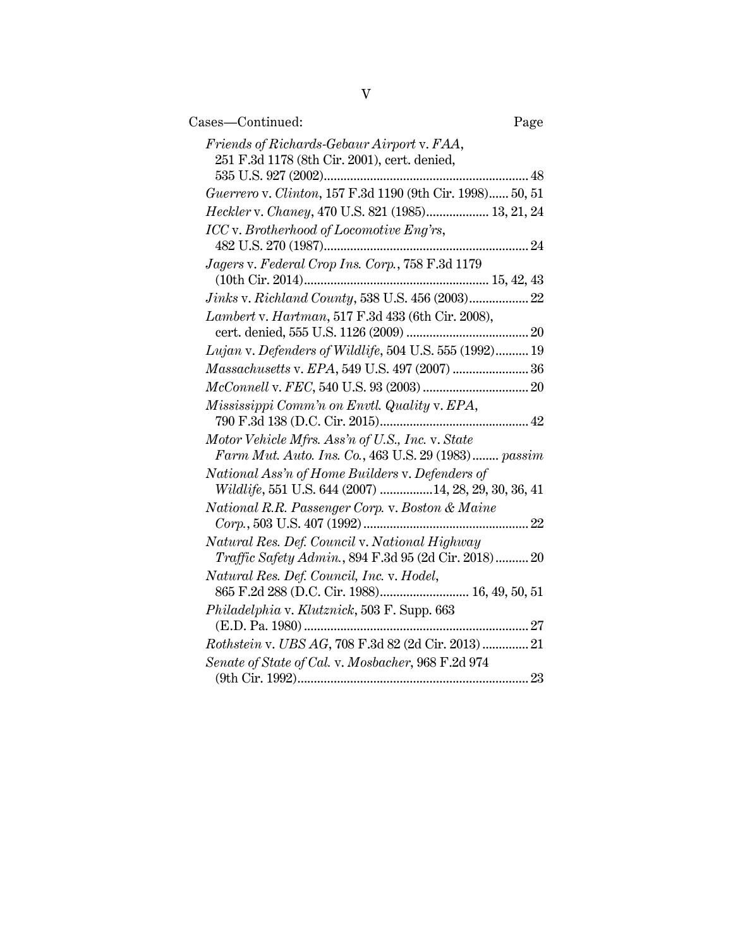| Cases—Continued:                                                                                                        | Page |
|-------------------------------------------------------------------------------------------------------------------------|------|
| Friends of Richards-Gebaur Airport v. FAA,<br>251 F.3d 1178 (8th Cir. 2001), cert. denied,                              |      |
|                                                                                                                         | 48   |
| Guerrero v. Clinton, 157 F.3d 1190 (9th Cir. 1998) 50, 51                                                               |      |
| Heckler v. Chaney, 470 U.S. 821 (1985) 13, 21, 24                                                                       |      |
| ICC v. Brotherhood of Locomotive Eng'rs,                                                                                |      |
| $\label{Jager} \emph{Jagers}\text{ v.}\ \emph{Federal}\ \emph{Crop}\ \emph{Ins.}\ \emph{Corp.,}\ \emph{758 F.3d\ 1179}$ |      |
|                                                                                                                         |      |
| Jinks v. Richland County, 538 U.S. 456 (2003) 22                                                                        |      |
| Lambert v. Hartman, 517 F.3d 433 (6th Cir. 2008),                                                                       |      |
| Lujan v. Defenders of Wildlife, 504 U.S. 555 (1992) 19                                                                  |      |
| Massachusetts v. EPA, 549 U.S. 497 (2007)  36                                                                           |      |
|                                                                                                                         |      |
|                                                                                                                         |      |
| Mississippi Comm'n on Envtl. Quality v. EPA,                                                                            |      |
| Motor Vehicle Mfrs. Ass'n of U.S., Inc. v. State<br>Farm Mut. Auto. Ins. Co., 463 U.S. 29 (1983) passim                 |      |
| National Ass'n of Home Builders v. Defenders of                                                                         |      |
| Wildlife, 551 U.S. 644 (2007) 14, 28, 29, 30, 36, 41                                                                    |      |
| National R.R. Passenger Corp. v. Boston & Maine                                                                         |      |
| Natural Res. Def. Council v. National Highway<br><i>Traffic Safety Admin.</i> , 894 F.3d 95 (2d Cir. 2018) 20           |      |
| Natural Res. Def. Council, Inc. v. Hodel,<br>865 F.2d 288 (D.C. Cir. 1988) 16, 49, 50, 51                               |      |
| Philadelphia v. Klutznick, 503 F. Supp. 663<br>(E.D. Pa. 1980)                                                          |      |
| Rothstein v. UBS AG, 708 F.3d 82 (2d Cir. 2013)  21                                                                     |      |
| Senate of State of Cal. v. Mosbacher, 968 F.2d 974                                                                      |      |
|                                                                                                                         |      |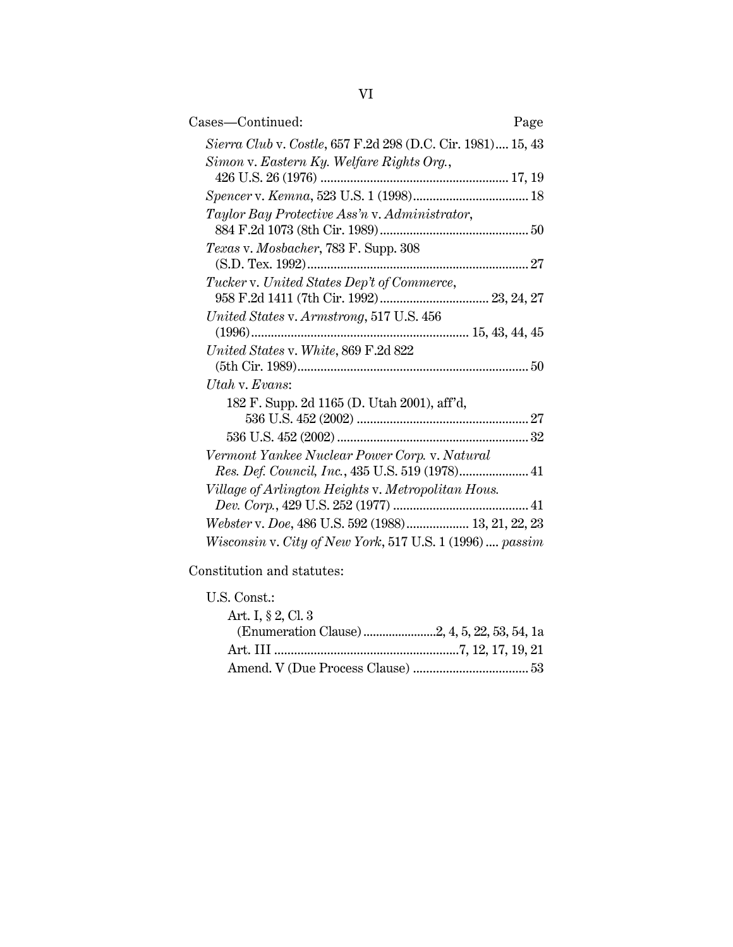| Cases—Continued:                                            | Page |
|-------------------------------------------------------------|------|
| Sierra Club v. Costle, 657 F.2d 298 (D.C. Cir. 1981) 15, 43 |      |
| Simon v. Eastern Ky. Welfare Rights Org.,                   |      |
|                                                             |      |
|                                                             |      |
| Taylor Bay Protective Ass'n v. Administrator,               |      |
| Texas v. Mosbacher, 783 F. Supp. 308                        |      |
|                                                             |      |
| Tucker v. United States Dep't of Commerce,                  |      |
|                                                             |      |
| United States v. Armstrong, 517 U.S. 456                    |      |
|                                                             |      |
| United States v. White, 869 F.2d 822                        |      |
|                                                             |      |
| Utah v. Evans:                                              |      |
| 182 F. Supp. 2d 1165 (D. Utah 2001), aff'd,                 |      |
|                                                             |      |
|                                                             |      |
| Vermont Yankee Nuclear Power Corp. v. Natural               |      |
| Res. Def. Council, Inc., 435 U.S. 519 (1978) 41             |      |
| Village of Arlington Heights v. Metropolitan Hous.          |      |
|                                                             |      |
| Webster v. Doe, 486 U.S. 592 (1988) 13, 21, 22, 23          |      |
| Wisconsin v. City of New York, 517 U.S. 1 (1996)  passim    |      |

Constitution and statutes:

U.S. Const.: Art. I, § 2, Cl. 3 (Enumeration Clause).......................2, 4, 5, 22, 53, 54, 1a Art. III ........................................................7, 12, 17, 19, 21 Amend. V (Due Process Clause) ................................... 53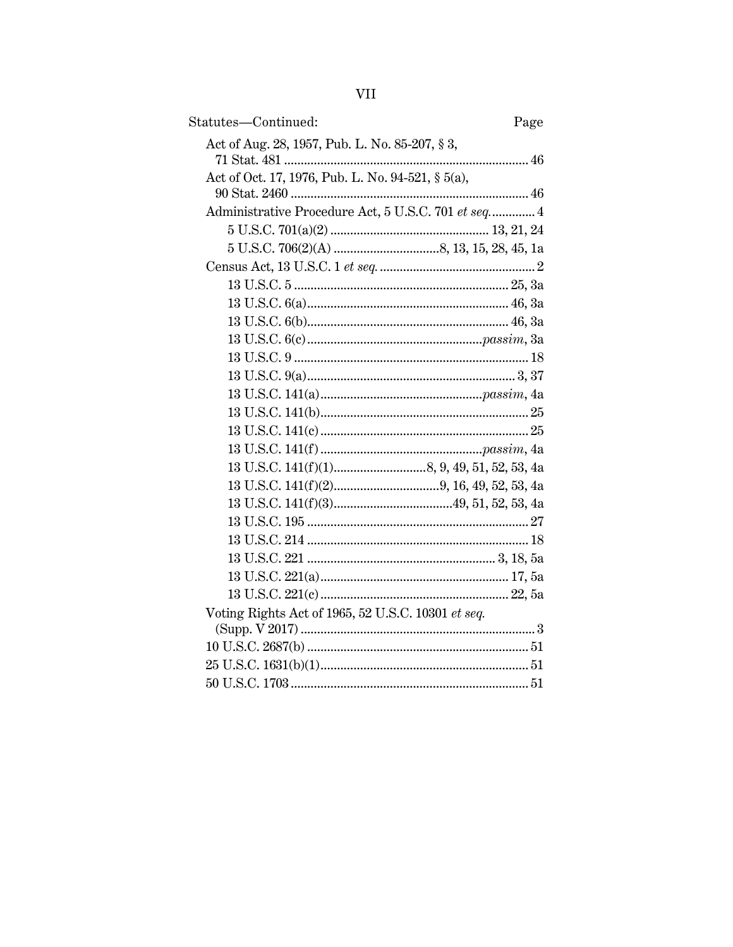| ×, |
|----|
|    |
|    |
|    |

| Statutes-Continued:                                 | Page |
|-----------------------------------------------------|------|
| Act of Aug. 28, 1957, Pub. L. No. 85-207, § 3,      |      |
| Act of Oct. 17, 1976, Pub. L. No. 94-521, § 5(a),   |      |
| Administrative Procedure Act, 5 U.S.C. 701 et seq 4 |      |
|                                                     |      |
|                                                     |      |
|                                                     |      |
|                                                     |      |
|                                                     |      |
|                                                     |      |
|                                                     |      |
|                                                     |      |
|                                                     |      |
|                                                     |      |
|                                                     |      |
|                                                     |      |
|                                                     |      |
|                                                     |      |
|                                                     |      |
|                                                     |      |
|                                                     |      |
|                                                     |      |
|                                                     |      |
|                                                     |      |
|                                                     |      |
| Voting Rights Act of 1965, 52 U.S.C. 10301 et seq.  |      |
|                                                     |      |
|                                                     |      |
|                                                     |      |
|                                                     |      |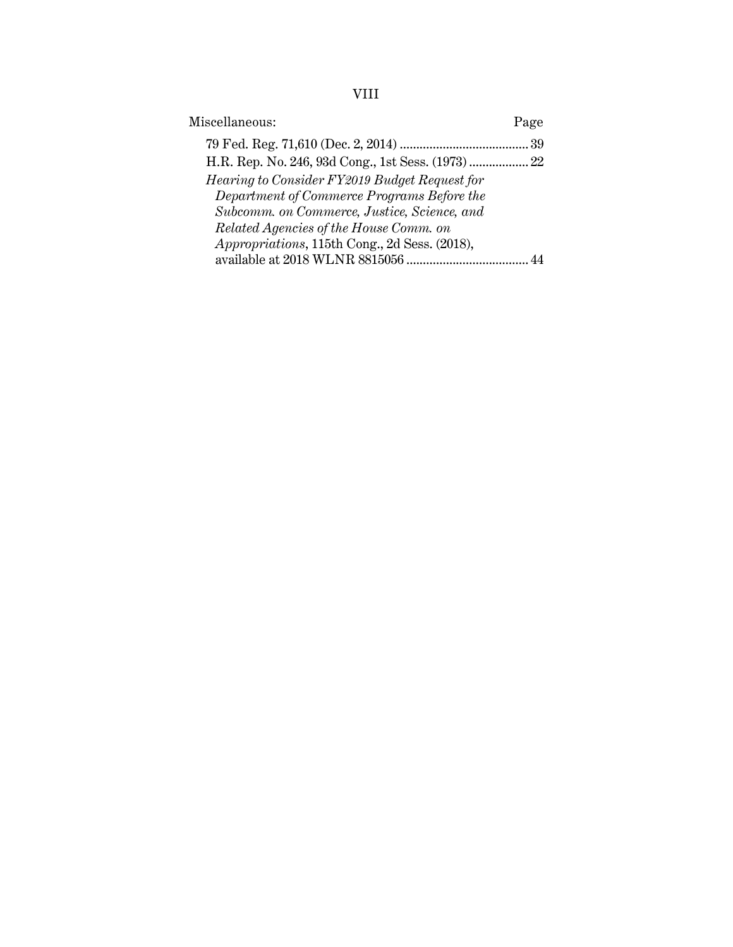# VIII

| Miscellaneous:                                    | Page |
|---------------------------------------------------|------|
|                                                   |      |
| H.R. Rep. No. 246, 93d Cong., 1st Sess. (1973) 22 |      |
| Hearing to Consider FY2019 Budget Request for     |      |
| Department of Commerce Programs Before the        |      |
| Subcomm. on Commerce, Justice, Science, and       |      |
| Related Agencies of the House Comm. on            |      |
| Appropriations, 115th Cong., 2d Sess. (2018),     |      |
|                                                   |      |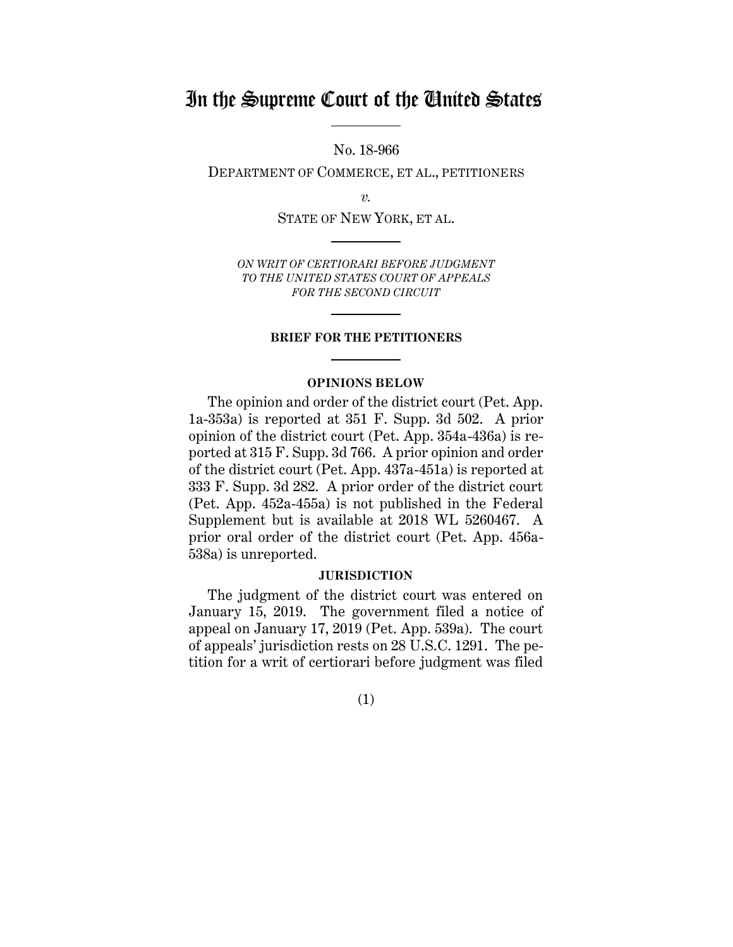# In the Supreme Court of the United States

No. 18-966

DEPARTMENT OF COMMERCE, ET AL., PETITIONERS

*v.*

STATE OF NEW YORK, ET AL.

*ON WRIT OF CERTIORARI BEFORE JUDGMENT TO THE UNITED STATES COURT OF APPEALS FOR THE SECOND CIRCUIT*

#### **BRIEF FOR THE PETITIONERS**

#### **OPINIONS BELOW**

The opinion and order of the district court (Pet. App. 1a-353a) is reported at 351 F. Supp. 3d 502. A prior opinion of the district court (Pet. App. 354a-436a) is reported at 315 F. Supp. 3d 766. A prior opinion and order of the district court (Pet. App. 437a-451a) is reported at 333 F. Supp. 3d 282. A prior order of the district court (Pet. App. 452a-455a) is not published in the Federal Supplement but is available at 2018 WL 5260467. A prior oral order of the district court (Pet. App. 456a-538a) is unreported.

#### **JURISDICTION**

The judgment of the district court was entered on January 15, 2019. The government filed a notice of appeal on January 17, 2019 (Pet. App. 539a). The court of appeals' jurisdiction rests on 28 U.S.C. 1291. The petition for a writ of certiorari before judgment was filed

(1)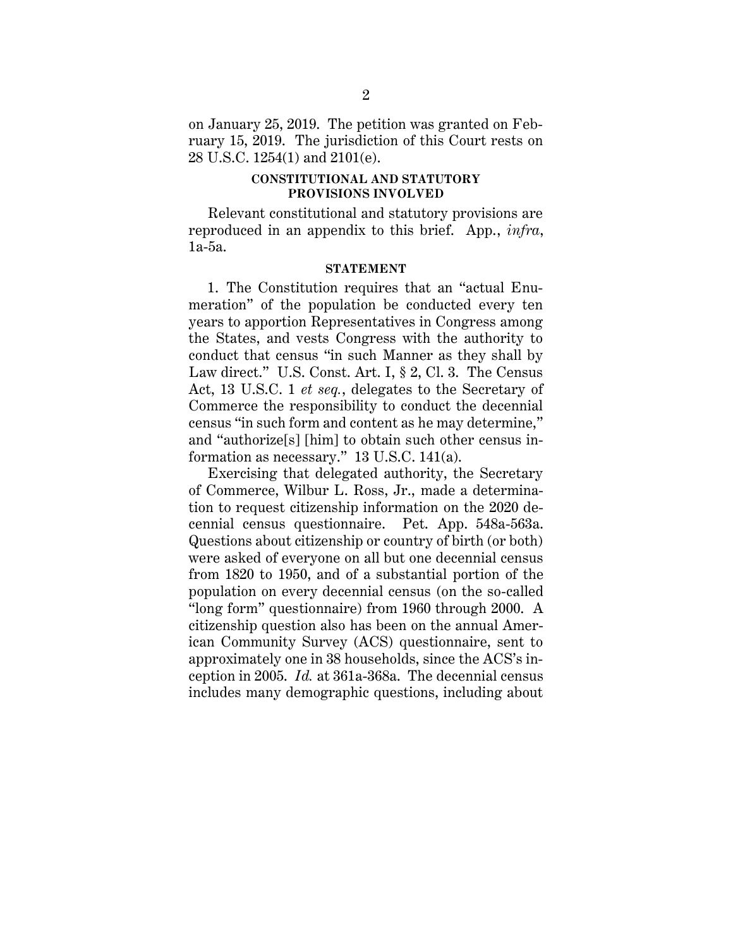on January 25, 2019. The petition was granted on February 15, 2019. The jurisdiction of this Court rests on 28 U.S.C. 1254(1) and 2101(e).

### **CONSTITUTIONAL AND STATUTORY PROVISIONS INVOLVED**

Relevant constitutional and statutory provisions are reproduced in an appendix to this brief. App., *infra*, 1a-5a.

#### **STATEMENT**

1. The Constitution requires that an "actual Enumeration" of the population be conducted every ten years to apportion Representatives in Congress among the States, and vests Congress with the authority to conduct that census "in such Manner as they shall by Law direct." U.S. Const. Art. I, § 2, Cl. 3. The Census Act, 13 U.S.C. 1 *et seq.*, delegates to the Secretary of Commerce the responsibility to conduct the decennial census "in such form and content as he may determine," and "authorize[s] [him] to obtain such other census information as necessary." 13 U.S.C. 141(a).

Exercising that delegated authority, the Secretary of Commerce, Wilbur L. Ross, Jr., made a determination to request citizenship information on the 2020 decennial census questionnaire. Pet. App. 548a-563a. Questions about citizenship or country of birth (or both) were asked of everyone on all but one decennial census from 1820 to 1950, and of a substantial portion of the population on every decennial census (on the so-called "long form" questionnaire) from 1960 through 2000. A citizenship question also has been on the annual American Community Survey (ACS) questionnaire, sent to approximately one in 38 households, since the ACS's inception in 2005. *Id.* at 361a-368a. The decennial census includes many demographic questions, including about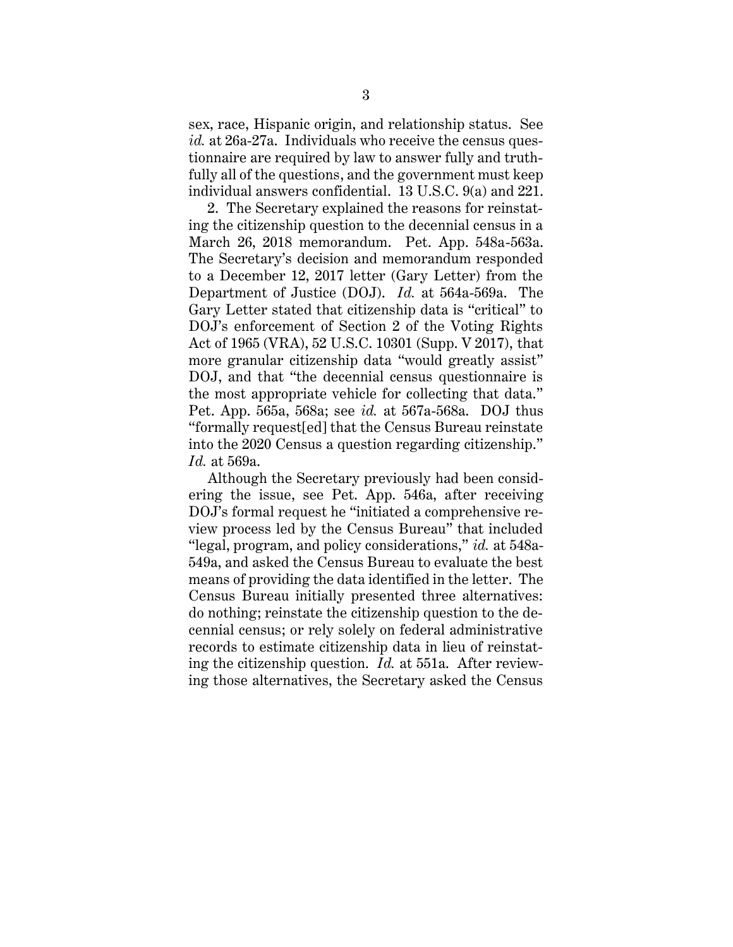sex, race, Hispanic origin, and relationship status. See *id.* at 26a-27a. Individuals who receive the census questionnaire are required by law to answer fully and truthfully all of the questions, and the government must keep individual answers confidential. 13 U.S.C. 9(a) and 221.

2. The Secretary explained the reasons for reinstating the citizenship question to the decennial census in a March 26, 2018 memorandum. Pet. App. 548a-563a. The Secretary's decision and memorandum responded to a December 12, 2017 letter (Gary Letter) from the Department of Justice (DOJ). *Id.* at 564a-569a. The Gary Letter stated that citizenship data is "critical" to DOJ's enforcement of Section 2 of the Voting Rights Act of 1965 (VRA), 52 U.S.C. 10301 (Supp. V 2017), that more granular citizenship data "would greatly assist" DOJ, and that "the decennial census questionnaire is the most appropriate vehicle for collecting that data." Pet. App. 565a, 568a; see *id.* at 567a-568a. DOJ thus "formally request[ed] that the Census Bureau reinstate into the 2020 Census a question regarding citizenship." *Id.* at 569a.

Although the Secretary previously had been considering the issue, see Pet. App. 546a, after receiving DOJ's formal request he "initiated a comprehensive review process led by the Census Bureau" that included "legal, program, and policy considerations," *id.* at 548a-549a, and asked the Census Bureau to evaluate the best means of providing the data identified in the letter. The Census Bureau initially presented three alternatives: do nothing; reinstate the citizenship question to the decennial census; or rely solely on federal administrative records to estimate citizenship data in lieu of reinstating the citizenship question. *Id.* at 551a. After reviewing those alternatives, the Secretary asked the Census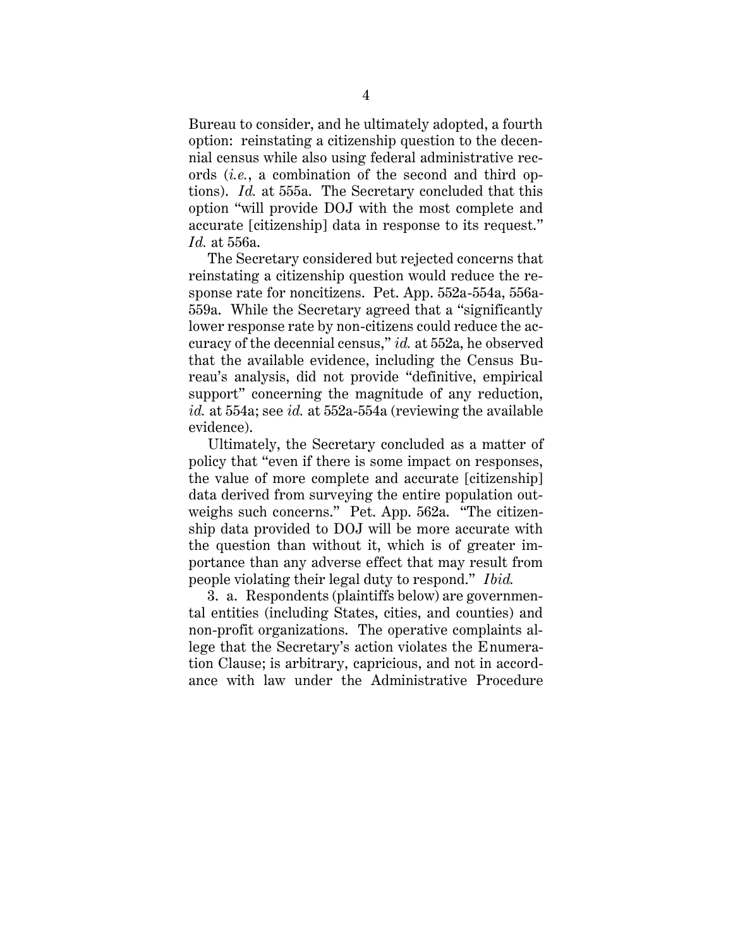Bureau to consider, and he ultimately adopted, a fourth option: reinstating a citizenship question to the decennial census while also using federal administrative records (*i.e.*, a combination of the second and third options). *Id.* at 555a. The Secretary concluded that this option "will provide DOJ with the most complete and accurate [citizenship] data in response to its request." *Id.* at 556a.

The Secretary considered but rejected concerns that reinstating a citizenship question would reduce the response rate for noncitizens. Pet. App. 552a-554a, 556a-559a. While the Secretary agreed that a "significantly lower response rate by non-citizens could reduce the accuracy of the decennial census," *id.* at 552a, he observed that the available evidence, including the Census Bureau's analysis, did not provide "definitive, empirical support" concerning the magnitude of any reduction, *id.* at 554a; see *id.* at 552a-554a (reviewing the available evidence).

Ultimately, the Secretary concluded as a matter of policy that "even if there is some impact on responses, the value of more complete and accurate [citizenship] data derived from surveying the entire population outweighs such concerns." Pet. App. 562a. "The citizenship data provided to DOJ will be more accurate with the question than without it, which is of greater importance than any adverse effect that may result from people violating their legal duty to respond." *Ibid.*

3. a. Respondents (plaintiffs below) are governmental entities (including States, cities, and counties) and non-profit organizations. The operative complaints allege that the Secretary's action violates the Enumeration Clause; is arbitrary, capricious, and not in accordance with law under the Administrative Procedure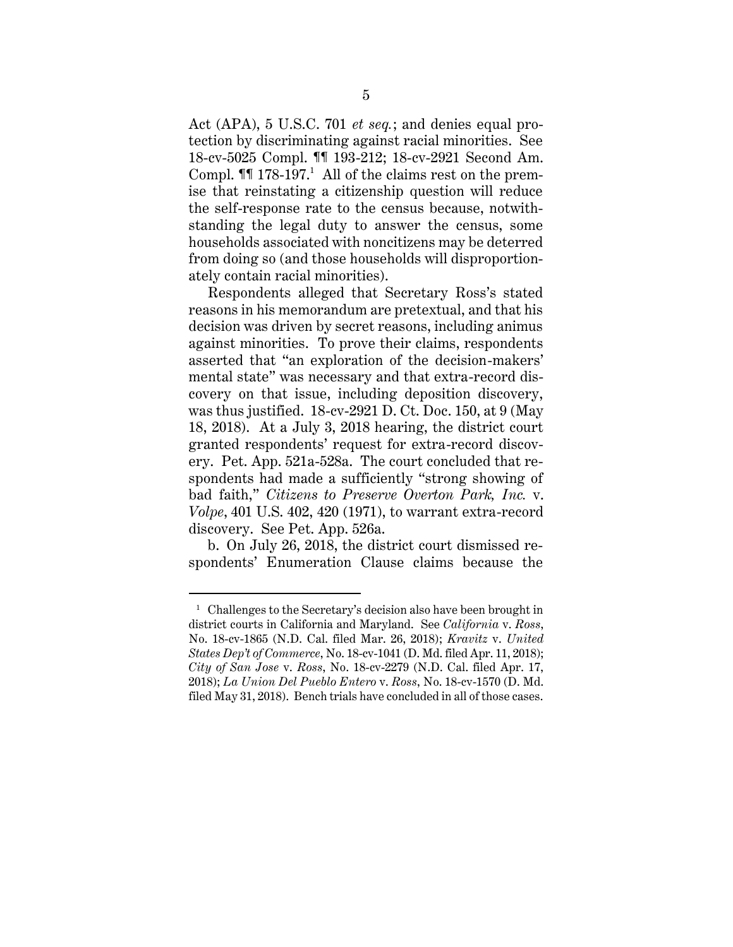Act (APA), 5 U.S.C. 701 *et seq.*; and denies equal protection by discriminating against racial minorities. See 18-cv-5025 Compl. ¶¶ 193-212; 18-cv-2921 Second Am. Compl.  $\P$ [ 178-197.<sup>1</sup> All of the claims rest on the premise that reinstating a citizenship question will reduce the self-response rate to the census because, notwithstanding the legal duty to answer the census, some households associated with noncitizens may be deterred from doing so (and those households will disproportionately contain racial minorities).

Respondents alleged that Secretary Ross's stated reasons in his memorandum are pretextual, and that his decision was driven by secret reasons, including animus against minorities. To prove their claims, respondents asserted that "an exploration of the decision-makers' mental state" was necessary and that extra-record discovery on that issue, including deposition discovery, was thus justified. 18-cv-2921 D. Ct. Doc. 150, at 9 (May 18, 2018). At a July 3, 2018 hearing, the district court granted respondents' request for extra-record discovery. Pet. App. 521a-528a. The court concluded that respondents had made a sufficiently "strong showing of bad faith," *Citizens to Preserve Overton Park, Inc.* v. *Volpe*, 401 U.S. 402, 420 (1971), to warrant extra-record discovery. See Pet. App. 526a.

b. On July 26, 2018, the district court dismissed respondents' Enumeration Clause claims because the

 $\overline{a}$ 

 $1$  Challenges to the Secretary's decision also have been brought in district courts in California and Maryland. See *California* v. *Ross*, No. 18-cv-1865 (N.D. Cal. filed Mar. 26, 2018); *Kravitz* v. *United States Dep't of Commerce*, No. 18-cv-1041 (D. Md. filed Apr. 11, 2018); *City of San Jose* v. *Ross*, No. 18-cv-2279 (N.D. Cal. filed Apr. 17, 2018); *La Union Del Pueblo Entero* v. *Ross*, No. 18-cv-1570 (D. Md. filed May 31, 2018). Bench trials have concluded in all of those cases.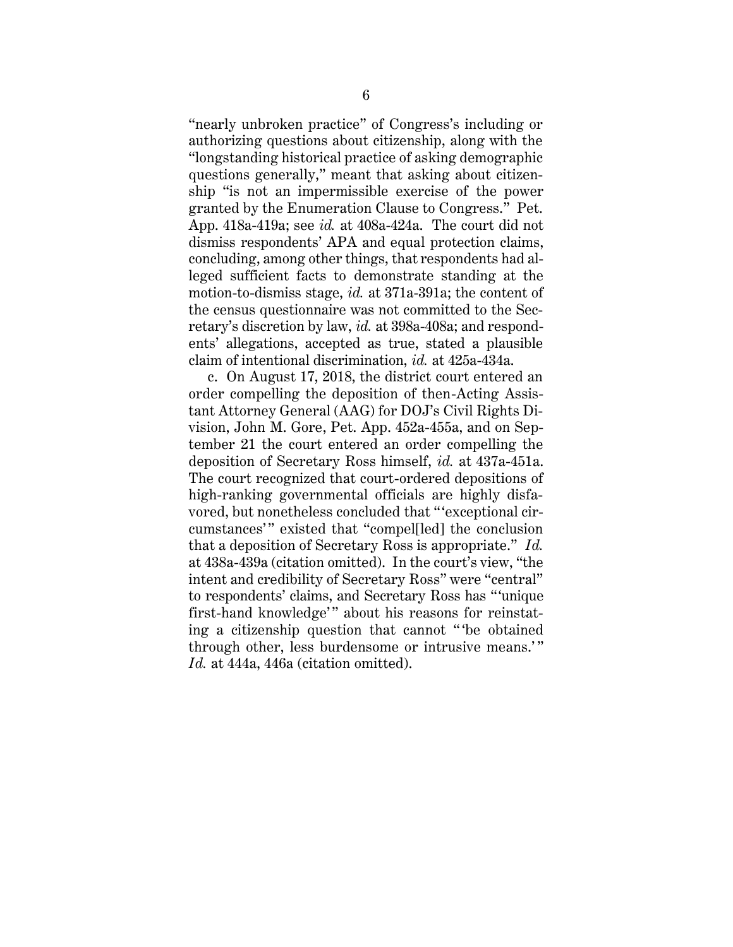"nearly unbroken practice" of Congress's including or authorizing questions about citizenship, along with the "longstanding historical practice of asking demographic questions generally," meant that asking about citizenship "is not an impermissible exercise of the power granted by the Enumeration Clause to Congress." Pet. App. 418a-419a; see *id.* at 408a-424a. The court did not dismiss respondents' APA and equal protection claims, concluding, among other things, that respondents had alleged sufficient facts to demonstrate standing at the motion-to-dismiss stage, *id.* at 371a-391a; the content of the census questionnaire was not committed to the Secretary's discretion by law, *id.* at 398a-408a; and respondents' allegations, accepted as true, stated a plausible claim of intentional discrimination, *id.* at 425a-434a.

c. On August 17, 2018, the district court entered an order compelling the deposition of then-Acting Assistant Attorney General (AAG) for DOJ's Civil Rights Division, John M. Gore, Pet. App. 452a-455a, and on September 21 the court entered an order compelling the deposition of Secretary Ross himself, *id.* at 437a-451a. The court recognized that court-ordered depositions of high-ranking governmental officials are highly disfavored, but nonetheless concluded that " 'exceptional circumstances'" existed that "compel[led] the conclusion that a deposition of Secretary Ross is appropriate." *Id.* at 438a-439a (citation omitted). In the court's view, "the intent and credibility of Secretary Ross" were "central" to respondents' claims, and Secretary Ross has "'unique first-hand knowledge'" about his reasons for reinstating a citizenship question that cannot " 'be obtained through other, less burdensome or intrusive means.'" *Id.* at 444a, 446a (citation omitted).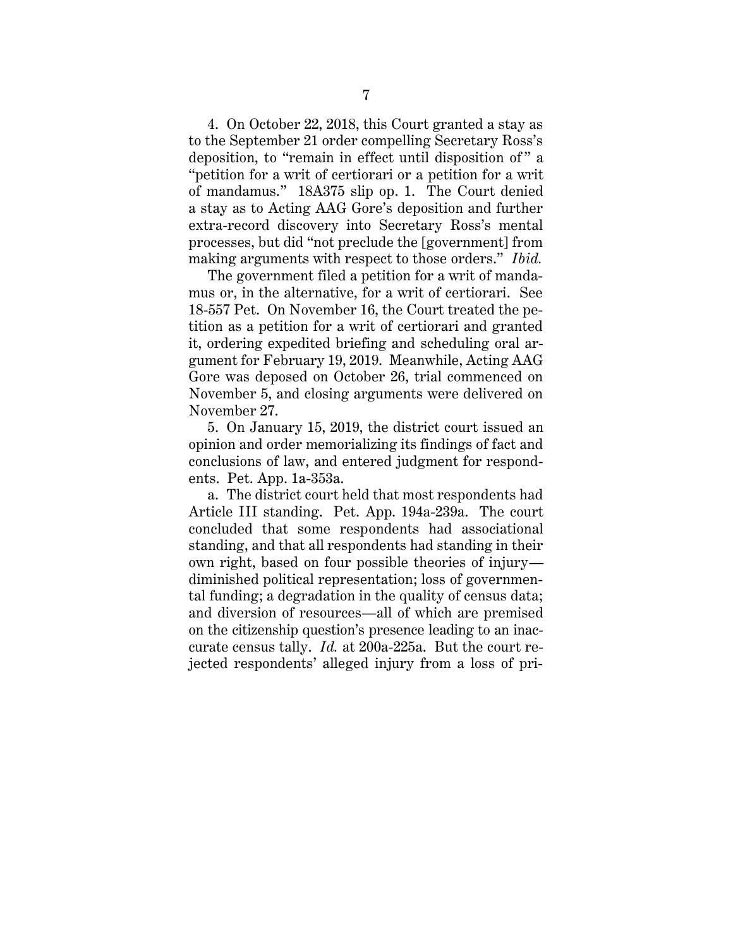4. On October 22, 2018, this Court granted a stay as to the September 21 order compelling Secretary Ross's deposition, to "remain in effect until disposition of " a "petition for a writ of certiorari or a petition for a writ of mandamus." 18A375 slip op. 1. The Court denied a stay as to Acting AAG Gore's deposition and further extra-record discovery into Secretary Ross's mental processes, but did "not preclude the [government] from making arguments with respect to those orders." *Ibid.*

The government filed a petition for a writ of mandamus or, in the alternative, for a writ of certiorari. See 18-557 Pet. On November 16, the Court treated the petition as a petition for a writ of certiorari and granted it, ordering expedited briefing and scheduling oral argument for February 19, 2019. Meanwhile, Acting AAG Gore was deposed on October 26, trial commenced on November 5, and closing arguments were delivered on November 27.

5. On January 15, 2019, the district court issued an opinion and order memorializing its findings of fact and conclusions of law, and entered judgment for respondents. Pet. App. 1a-353a.

a. The district court held that most respondents had Article III standing. Pet. App. 194a-239a. The court concluded that some respondents had associational standing, and that all respondents had standing in their own right, based on four possible theories of injury diminished political representation; loss of governmental funding; a degradation in the quality of census data; and diversion of resources—all of which are premised on the citizenship question's presence leading to an inaccurate census tally. *Id.* at 200a-225a. But the court rejected respondents' alleged injury from a loss of pri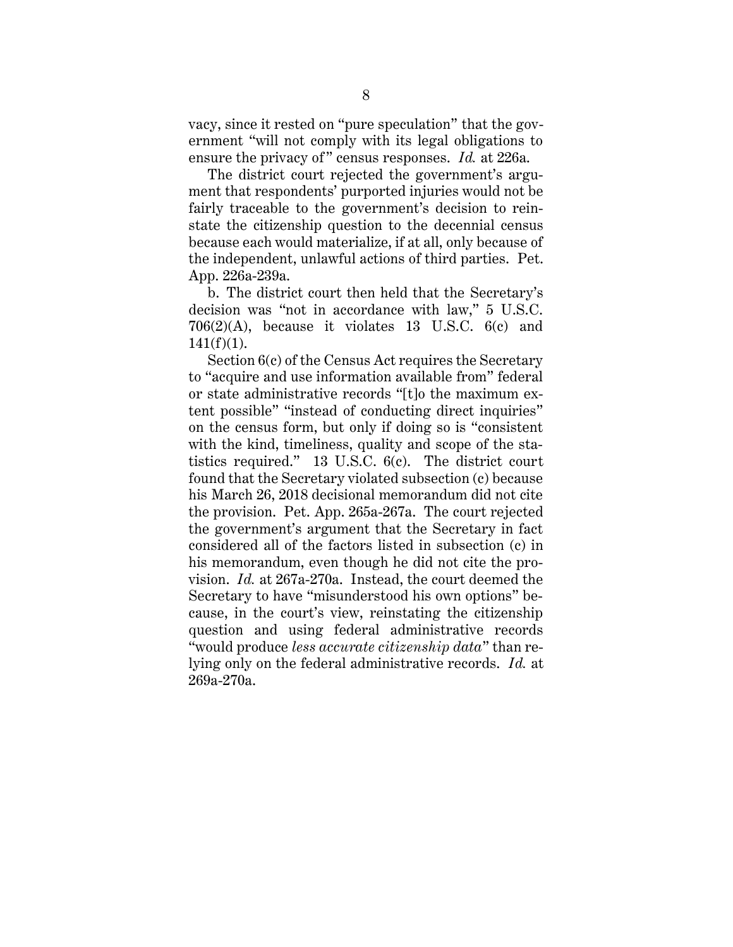vacy, since it rested on "pure speculation" that the government "will not comply with its legal obligations to ensure the privacy of" census responses. *Id.* at 226a.

The district court rejected the government's argument that respondents' purported injuries would not be fairly traceable to the government's decision to reinstate the citizenship question to the decennial census because each would materialize, if at all, only because of the independent, unlawful actions of third parties. Pet. App. 226a-239a.

b. The district court then held that the Secretary's decision was "not in accordance with law," 5 U.S.C. 706(2)(A), because it violates 13 U.S.C. 6(c) and  $141(f)(1)$ .

Section 6(c) of the Census Act requires the Secretary to "acquire and use information available from" federal or state administrative records "[t]o the maximum extent possible" "instead of conducting direct inquiries" on the census form, but only if doing so is "consistent with the kind, timeliness, quality and scope of the statistics required." 13 U.S.C. 6(c). The district court found that the Secretary violated subsection (c) because his March 26, 2018 decisional memorandum did not cite the provision. Pet. App. 265a-267a. The court rejected the government's argument that the Secretary in fact considered all of the factors listed in subsection (c) in his memorandum, even though he did not cite the provision. *Id.* at 267a-270a. Instead, the court deemed the Secretary to have "misunderstood his own options" because, in the court's view, reinstating the citizenship question and using federal administrative records "would produce *less accurate citizenship data*" than relying only on the federal administrative records. *Id.* at 269a-270a.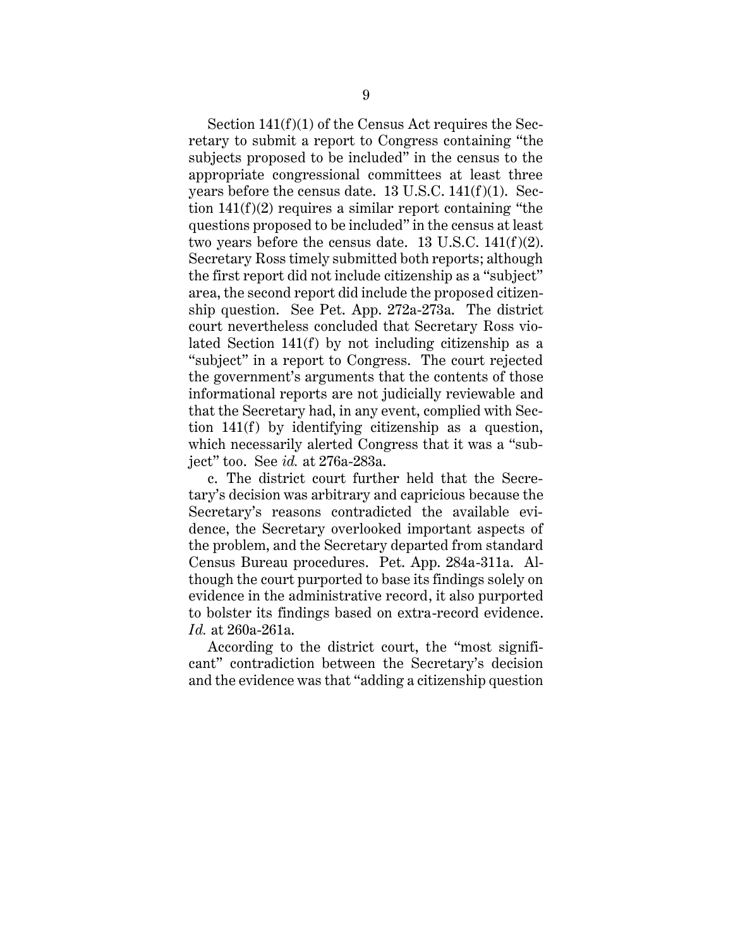Section 141(f)(1) of the Census Act requires the Secretary to submit a report to Congress containing "the subjects proposed to be included" in the census to the appropriate congressional committees at least three years before the census date. 13 U.S.C. 141(f)(1). Section 141(f)(2) requires a similar report containing "the questions proposed to be included" in the census at least two years before the census date. 13 U.S.C.  $141(f)(2)$ . Secretary Ross timely submitted both reports; although the first report did not include citizenship as a "subject" area, the second report did include the proposed citizenship question. See Pet. App. 272a-273a. The district court nevertheless concluded that Secretary Ross violated Section 141(f) by not including citizenship as a "subject" in a report to Congress. The court rejected the government's arguments that the contents of those informational reports are not judicially reviewable and that the Secretary had, in any event, complied with Section 141(f) by identifying citizenship as a question, which necessarily alerted Congress that it was a "subject" too. See *id.* at 276a-283a.

c. The district court further held that the Secretary's decision was arbitrary and capricious because the Secretary's reasons contradicted the available evidence, the Secretary overlooked important aspects of the problem, and the Secretary departed from standard Census Bureau procedures. Pet. App. 284a-311a. Although the court purported to base its findings solely on evidence in the administrative record, it also purported to bolster its findings based on extra-record evidence. *Id.* at 260a-261a.

According to the district court, the "most significant" contradiction between the Secretary's decision and the evidence was that "adding a citizenship question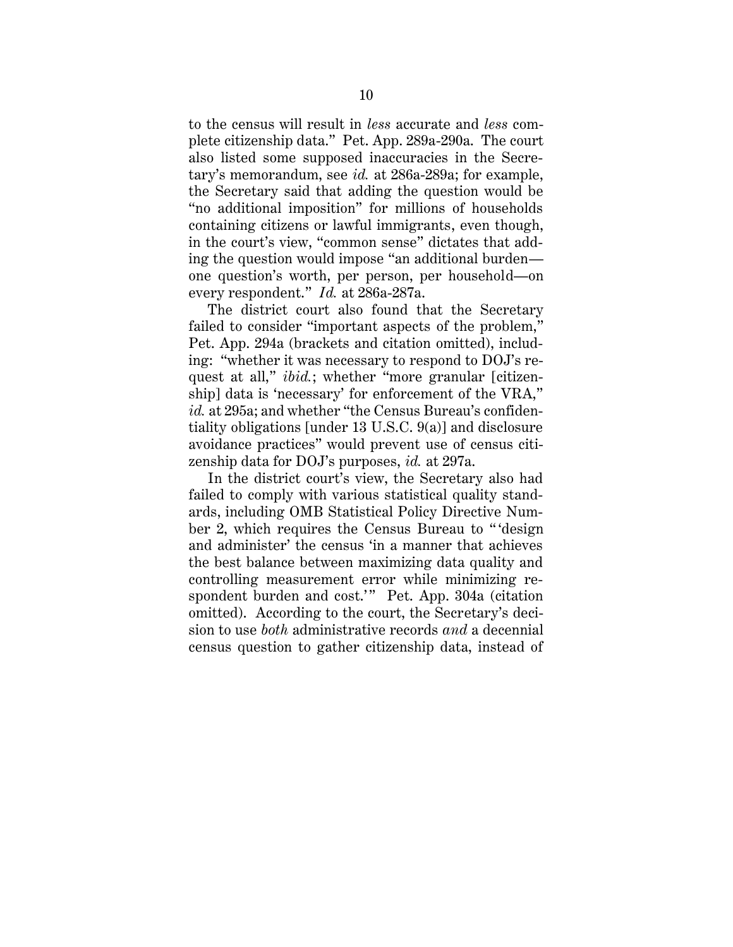to the census will result in *less* accurate and *less* complete citizenship data." Pet. App. 289a-290a. The court also listed some supposed inaccuracies in the Secretary's memorandum, see *id.* at 286a-289a; for example, the Secretary said that adding the question would be "no additional imposition" for millions of households containing citizens or lawful immigrants, even though, in the court's view, "common sense" dictates that adding the question would impose "an additional burden one question's worth, per person, per household—on every respondent." *Id.* at 286a-287a.

The district court also found that the Secretary failed to consider "important aspects of the problem," Pet. App. 294a (brackets and citation omitted), including: "whether it was necessary to respond to DOJ's request at all," *ibid.*; whether "more granular [citizenship] data is 'necessary' for enforcement of the VRA," *id.* at 295a; and whether "the Census Bureau's confidentiality obligations [under 13 U.S.C. 9(a)] and disclosure avoidance practices" would prevent use of census citizenship data for DOJ's purposes, *id.* at 297a.

In the district court's view, the Secretary also had failed to comply with various statistical quality standards, including OMB Statistical Policy Directive Number 2, which requires the Census Bureau to " 'design and administer' the census 'in a manner that achieves the best balance between maximizing data quality and controlling measurement error while minimizing respondent burden and cost.'" Pet. App. 304a (citation omitted). According to the court, the Secretary's decision to use *both* administrative records *and* a decennial census question to gather citizenship data, instead of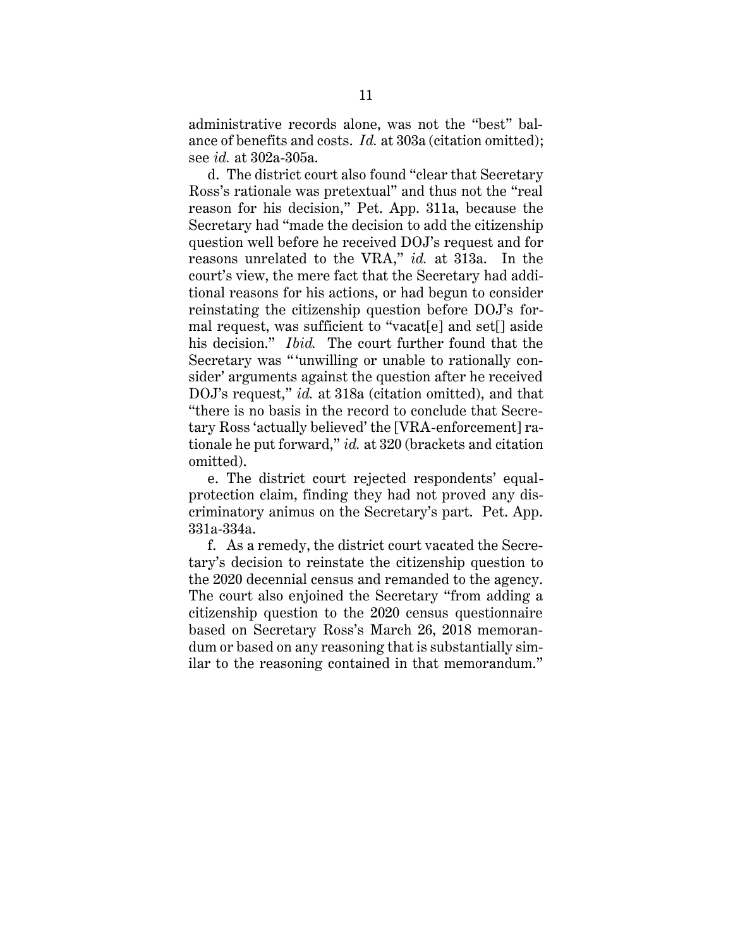administrative records alone, was not the "best" balance of benefits and costs. *Id.* at 303a (citation omitted); see *id.* at 302a-305a.

d. The district court also found "clear that Secretary Ross's rationale was pretextual" and thus not the "real reason for his decision," Pet. App. 311a, because the Secretary had "made the decision to add the citizenship question well before he received DOJ's request and for reasons unrelated to the VRA," *id.* at 313a. In the court's view, the mere fact that the Secretary had additional reasons for his actions, or had begun to consider reinstating the citizenship question before DOJ's formal request, was sufficient to "vacat[e] and set[] aside his decision." *Ibid.* The court further found that the Secretary was "'unwilling or unable to rationally consider' arguments against the question after he received DOJ's request," *id.* at 318a (citation omitted), and that "there is no basis in the record to conclude that Secretary Ross 'actually believed' the [VRA-enforcement] rationale he put forward," *id.* at 320 (brackets and citation omitted).

e. The district court rejected respondents' equalprotection claim, finding they had not proved any discriminatory animus on the Secretary's part. Pet. App. 331a-334a.

f. As a remedy, the district court vacated the Secretary's decision to reinstate the citizenship question to the 2020 decennial census and remanded to the agency. The court also enjoined the Secretary "from adding a citizenship question to the 2020 census questionnaire based on Secretary Ross's March 26, 2018 memorandum or based on any reasoning that is substantially similar to the reasoning contained in that memorandum."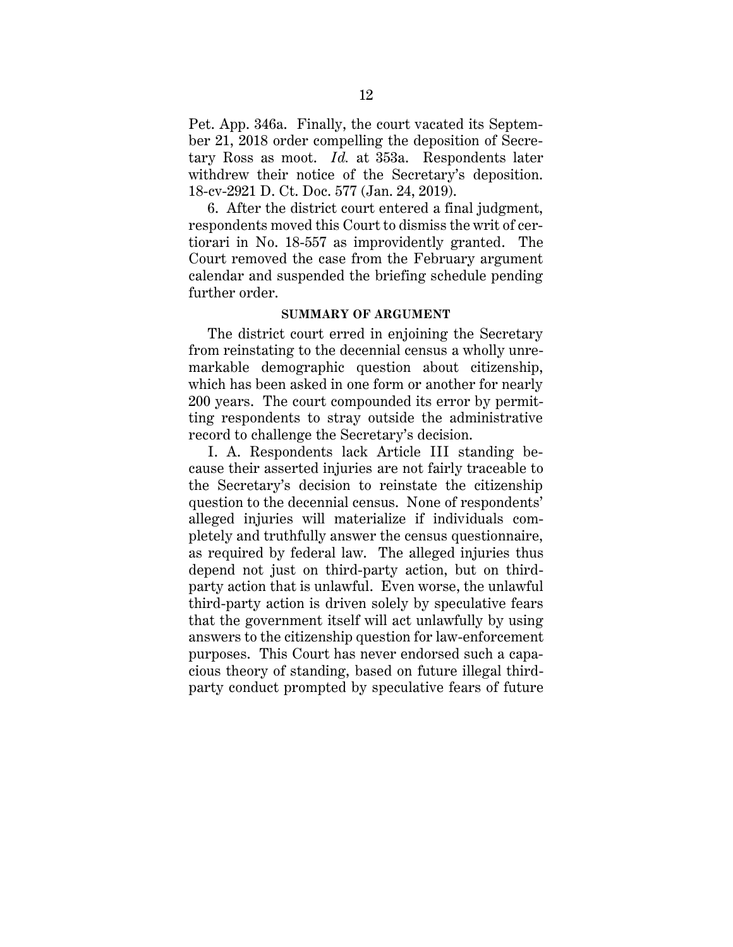Pet. App. 346a. Finally, the court vacated its September 21, 2018 order compelling the deposition of Secretary Ross as moot. *Id.* at 353a. Respondents later withdrew their notice of the Secretary's deposition. 18-cv-2921 D. Ct. Doc. 577 (Jan. 24, 2019).

6. After the district court entered a final judgment, respondents moved this Court to dismiss the writ of certiorari in No. 18-557 as improvidently granted. The Court removed the case from the February argument calendar and suspended the briefing schedule pending further order.

#### **SUMMARY OF ARGUMENT**

The district court erred in enjoining the Secretary from reinstating to the decennial census a wholly unremarkable demographic question about citizenship, which has been asked in one form or another for nearly 200 years. The court compounded its error by permitting respondents to stray outside the administrative record to challenge the Secretary's decision.

I. A. Respondents lack Article III standing because their asserted injuries are not fairly traceable to the Secretary's decision to reinstate the citizenship question to the decennial census. None of respondents' alleged injuries will materialize if individuals completely and truthfully answer the census questionnaire, as required by federal law. The alleged injuries thus depend not just on third-party action, but on thirdparty action that is unlawful. Even worse, the unlawful third-party action is driven solely by speculative fears that the government itself will act unlawfully by using answers to the citizenship question for law-enforcement purposes. This Court has never endorsed such a capacious theory of standing, based on future illegal thirdparty conduct prompted by speculative fears of future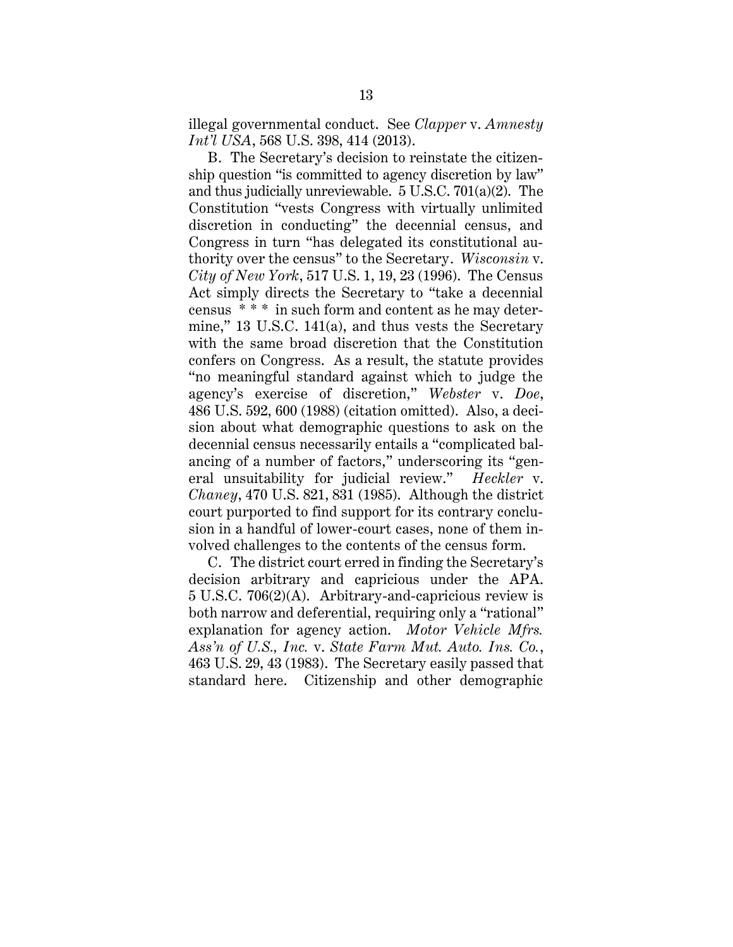illegal governmental conduct. See *Clapper* v. *Amnesty Int'l USA*, 568 U.S. 398, 414 (2013).

B. The Secretary's decision to reinstate the citizenship question "is committed to agency discretion by law" and thus judicially unreviewable. 5 U.S.C. 701(a)(2). The Constitution "vests Congress with virtually unlimited discretion in conducting" the decennial census, and Congress in turn "has delegated its constitutional authority over the census" to the Secretary. *Wisconsin* v. *City of New York*, 517 U.S. 1, 19, 23 (1996). The Census Act simply directs the Secretary to "take a decennial census \* \* \* in such form and content as he may determine," 13 U.S.C. 141(a), and thus vests the Secretary with the same broad discretion that the Constitution confers on Congress. As a result, the statute provides "no meaningful standard against which to judge the agency's exercise of discretion," *Webster* v. *Doe*, 486 U.S. 592, 600 (1988) (citation omitted). Also, a decision about what demographic questions to ask on the decennial census necessarily entails a "complicated balancing of a number of factors," underscoring its "general unsuitability for judicial review." *Heckler* v. *Chaney*, 470 U.S. 821, 831 (1985). Although the district court purported to find support for its contrary conclusion in a handful of lower-court cases, none of them involved challenges to the contents of the census form.

C. The district court erred in finding the Secretary's decision arbitrary and capricious under the APA. 5 U.S.C. 706(2)(A). Arbitrary-and-capricious review is both narrow and deferential, requiring only a "rational" explanation for agency action. *Motor Vehicle Mfrs. Ass'n of U.S., Inc.* v. *State Farm Mut. Auto. Ins. Co.*, 463 U.S. 29, 43 (1983). The Secretary easily passed that standard here. Citizenship and other demographic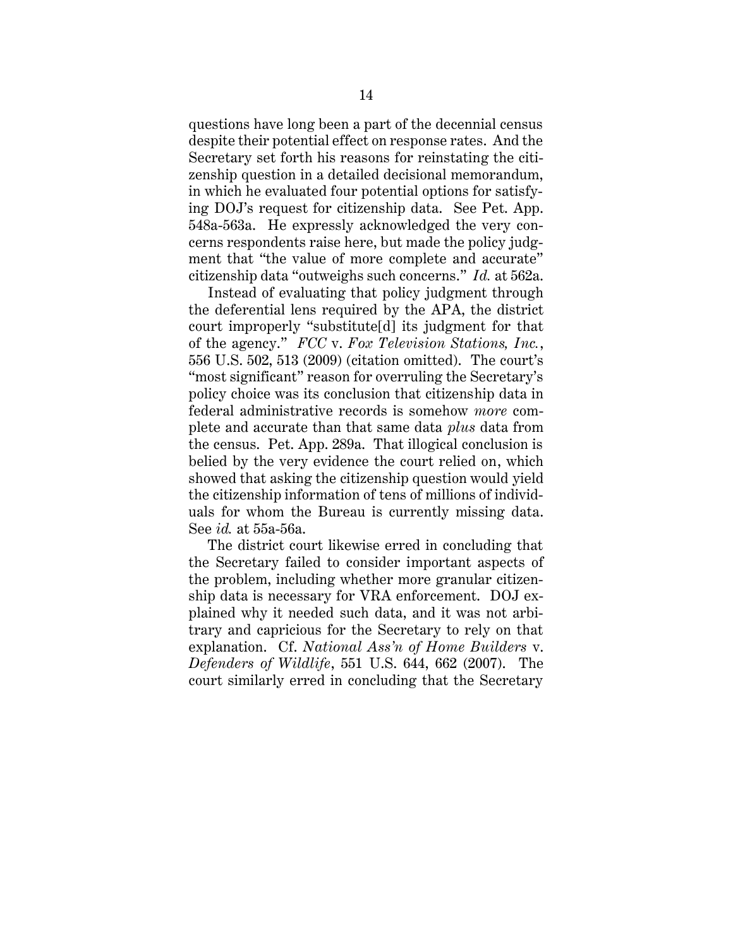questions have long been a part of the decennial census despite their potential effect on response rates. And the Secretary set forth his reasons for reinstating the citizenship question in a detailed decisional memorandum, in which he evaluated four potential options for satisfying DOJ's request for citizenship data. See Pet. App. 548a-563a. He expressly acknowledged the very concerns respondents raise here, but made the policy judgment that "the value of more complete and accurate" citizenship data "outweighs such concerns." *Id.* at 562a.

Instead of evaluating that policy judgment through the deferential lens required by the APA, the district court improperly "substitute[d] its judgment for that of the agency." *FCC* v. *Fox Television Stations, Inc.*, 556 U.S. 502, 513 (2009) (citation omitted). The court's "most significant" reason for overruling the Secretary's policy choice was its conclusion that citizenship data in federal administrative records is somehow *more* complete and accurate than that same data *plus* data from the census. Pet. App. 289a. That illogical conclusion is belied by the very evidence the court relied on, which showed that asking the citizenship question would yield the citizenship information of tens of millions of individuals for whom the Bureau is currently missing data. See *id.* at 55a-56a.

The district court likewise erred in concluding that the Secretary failed to consider important aspects of the problem, including whether more granular citizenship data is necessary for VRA enforcement. DOJ explained why it needed such data, and it was not arbitrary and capricious for the Secretary to rely on that explanation. Cf. *National Ass'n of Home Builders* v. *Defenders of Wildlife*, 551 U.S. 644, 662 (2007). The court similarly erred in concluding that the Secretary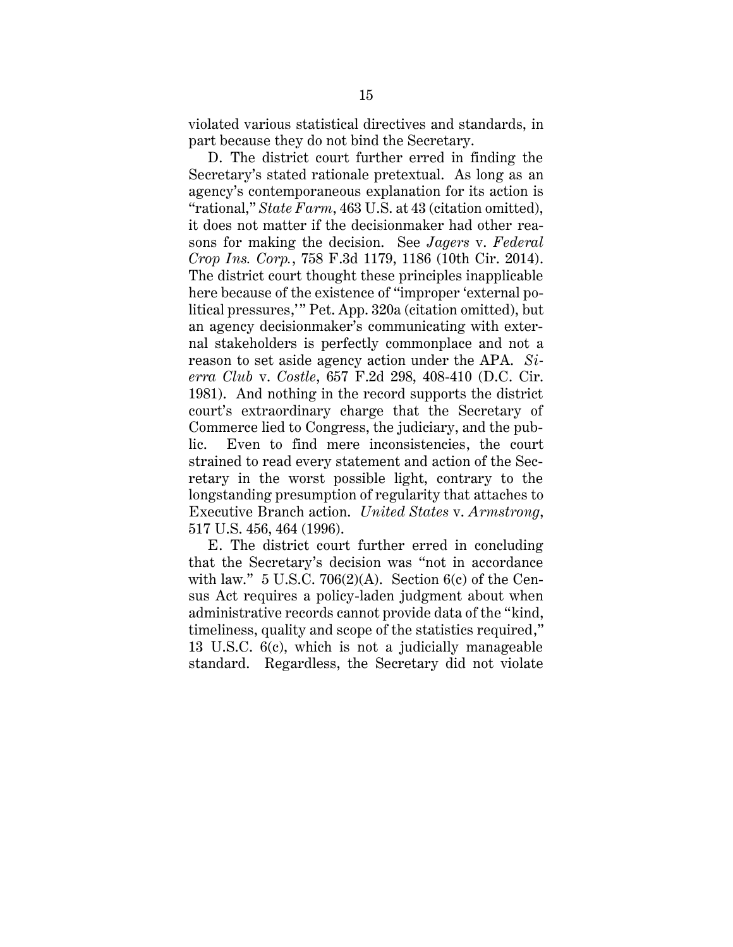violated various statistical directives and standards, in part because they do not bind the Secretary.

D. The district court further erred in finding the Secretary's stated rationale pretextual. As long as an agency's contemporaneous explanation for its action is "rational," *State Farm*, 463 U.S. at 43 (citation omitted), it does not matter if the decisionmaker had other reasons for making the decision. See *Jagers* v. *Federal Crop Ins. Corp.*, 758 F.3d 1179, 1186 (10th Cir. 2014). The district court thought these principles inapplicable here because of the existence of "improper 'external political pressures," Pet. App. 320a (citation omitted), but an agency decisionmaker's communicating with external stakeholders is perfectly commonplace and not a reason to set aside agency action under the APA. *Sierra Club* v. *Costle*, 657 F.2d 298, 408-410 (D.C. Cir. 1981). And nothing in the record supports the district court's extraordinary charge that the Secretary of Commerce lied to Congress, the judiciary, and the public. Even to find mere inconsistencies, the court strained to read every statement and action of the Secretary in the worst possible light, contrary to the longstanding presumption of regularity that attaches to Executive Branch action. *United States* v. *Armstrong*, 517 U.S. 456, 464 (1996).

E. The district court further erred in concluding that the Secretary's decision was "not in accordance with law."  $5 \text{ U.S.C. } 706(2)(\text{A})$ . Section  $6(c)$  of the Census Act requires a policy-laden judgment about when administrative records cannot provide data of the "kind, timeliness, quality and scope of the statistics required," 13 U.S.C. 6(c), which is not a judicially manageable standard. Regardless, the Secretary did not violate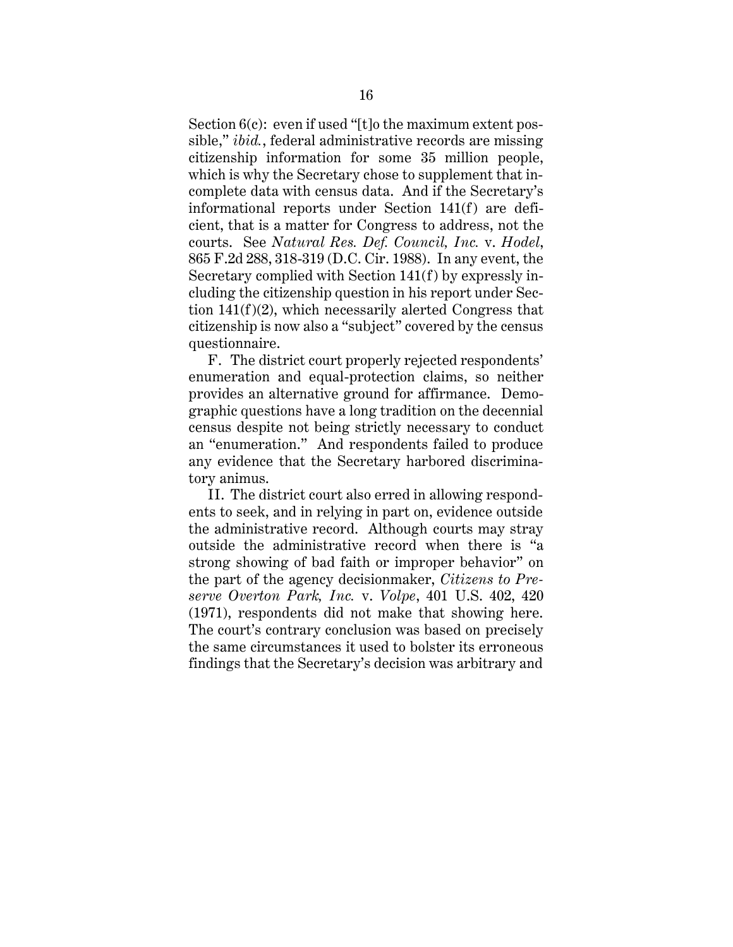Section  $6(c)$ : even if used "[t]o the maximum extent possible," *ibid.*, federal administrative records are missing citizenship information for some 35 million people, which is why the Secretary chose to supplement that incomplete data with census data. And if the Secretary's informational reports under Section 141(f) are deficient, that is a matter for Congress to address, not the courts. See *Natural Res. Def. Council, Inc.* v. *Hodel*, 865 F.2d 288, 318-319 (D.C. Cir. 1988). In any event, the Secretary complied with Section 141(f) by expressly including the citizenship question in his report under Section 141(f)(2), which necessarily alerted Congress that citizenship is now also a "subject" covered by the census questionnaire.

F. The district court properly rejected respondents' enumeration and equal-protection claims, so neither provides an alternative ground for affirmance. Demographic questions have a long tradition on the decennial census despite not being strictly necessary to conduct an "enumeration." And respondents failed to produce any evidence that the Secretary harbored discriminatory animus.

II. The district court also erred in allowing respondents to seek, and in relying in part on, evidence outside the administrative record. Although courts may stray outside the administrative record when there is "a strong showing of bad faith or improper behavior" on the part of the agency decisionmaker, *Citizens to Preserve Overton Park, Inc.* v. *Volpe*, 401 U.S. 402, 420 (1971), respondents did not make that showing here. The court's contrary conclusion was based on precisely the same circumstances it used to bolster its erroneous findings that the Secretary's decision was arbitrary and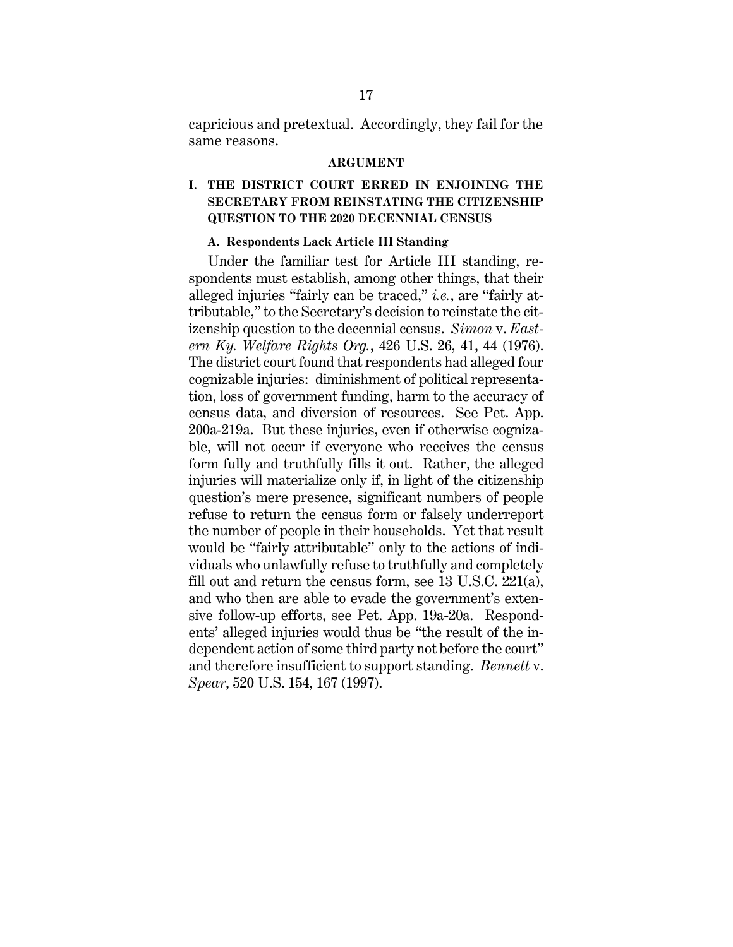capricious and pretextual. Accordingly, they fail for the same reasons.

#### **ARGUMENT**

# **I. THE DISTRICT COURT ERRED IN ENJOINING THE SECRETARY FROM REINSTATING THE CITIZENSHIP QUESTION TO THE 2020 DECENNIAL CENSUS**

#### **A. Respondents Lack Article III Standing**

Under the familiar test for Article III standing, respondents must establish, among other things, that their alleged injuries "fairly can be traced," *i.e.*, are "fairly attributable," to the Secretary's decision to reinstate the citizenship question to the decennial census. *Simon* v. *Eastern Ky. Welfare Rights Org.*, 426 U.S. 26, 41, 44 (1976). The district court found that respondents had alleged four cognizable injuries: diminishment of political representation, loss of government funding, harm to the accuracy of census data, and diversion of resources. See Pet. App. 200a-219a. But these injuries, even if otherwise cognizable, will not occur if everyone who receives the census form fully and truthfully fills it out. Rather, the alleged injuries will materialize only if, in light of the citizenship question's mere presence, significant numbers of people refuse to return the census form or falsely underreport the number of people in their households. Yet that result would be "fairly attributable" only to the actions of individuals who unlawfully refuse to truthfully and completely fill out and return the census form, see 13 U.S.C. 221(a), and who then are able to evade the government's extensive follow-up efforts, see Pet. App. 19a-20a. Respondents' alleged injuries would thus be "the result of the independent action of some third party not before the court" and therefore insufficient to support standing. *Bennett* v. *Spear*, 520 U.S. 154, 167 (1997).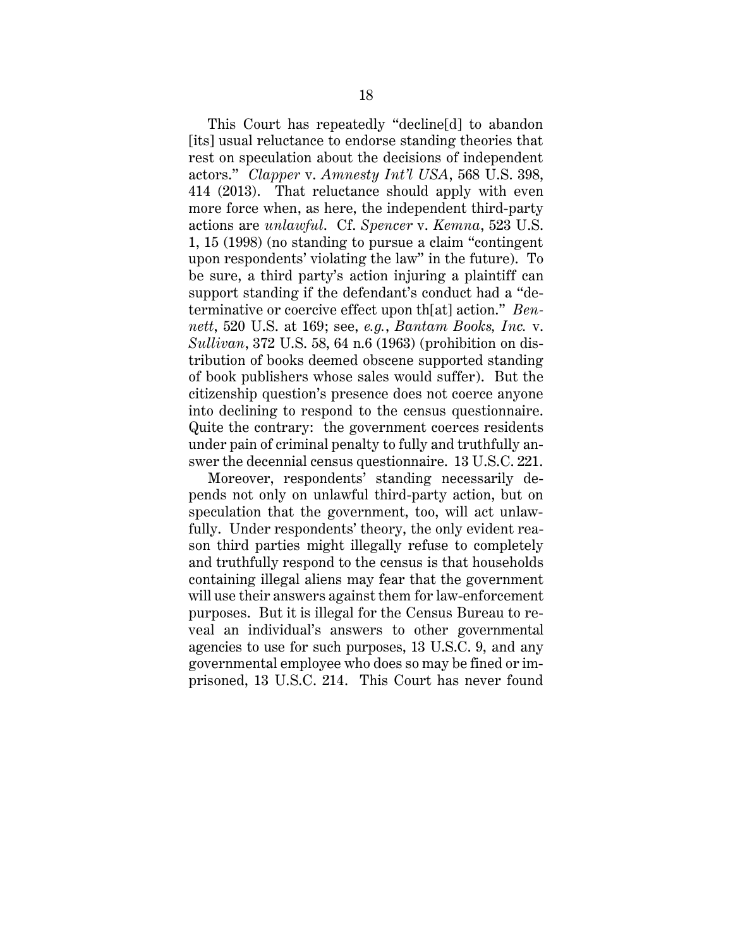This Court has repeatedly "decline[d] to abandon [its] usual reluctance to endorse standing theories that rest on speculation about the decisions of independent actors." *Clapper* v. *Amnesty Int'l USA*, 568 U.S. 398, 414 (2013). That reluctance should apply with even more force when, as here, the independent third-party actions are *unlawful*. Cf. *Spencer* v. *Kemna*, 523 U.S. 1, 15 (1998) (no standing to pursue a claim "contingent upon respondents' violating the law" in the future). To be sure, a third party's action injuring a plaintiff can support standing if the defendant's conduct had a "determinative or coercive effect upon th[at] action." *Bennett*, 520 U.S. at 169; see, *e.g.*, *Bantam Books, Inc.* v. *Sullivan*, 372 U.S. 58, 64 n.6 (1963) (prohibition on distribution of books deemed obscene supported standing of book publishers whose sales would suffer). But the citizenship question's presence does not coerce anyone into declining to respond to the census questionnaire. Quite the contrary: the government coerces residents under pain of criminal penalty to fully and truthfully answer the decennial census questionnaire. 13 U.S.C. 221.

Moreover, respondents' standing necessarily depends not only on unlawful third-party action, but on speculation that the government, too, will act unlawfully. Under respondents' theory, the only evident reason third parties might illegally refuse to completely and truthfully respond to the census is that households containing illegal aliens may fear that the government will use their answers against them for law-enforcement purposes. But it is illegal for the Census Bureau to reveal an individual's answers to other governmental agencies to use for such purposes, 13 U.S.C. 9, and any governmental employee who does so may be fined or imprisoned, 13 U.S.C. 214. This Court has never found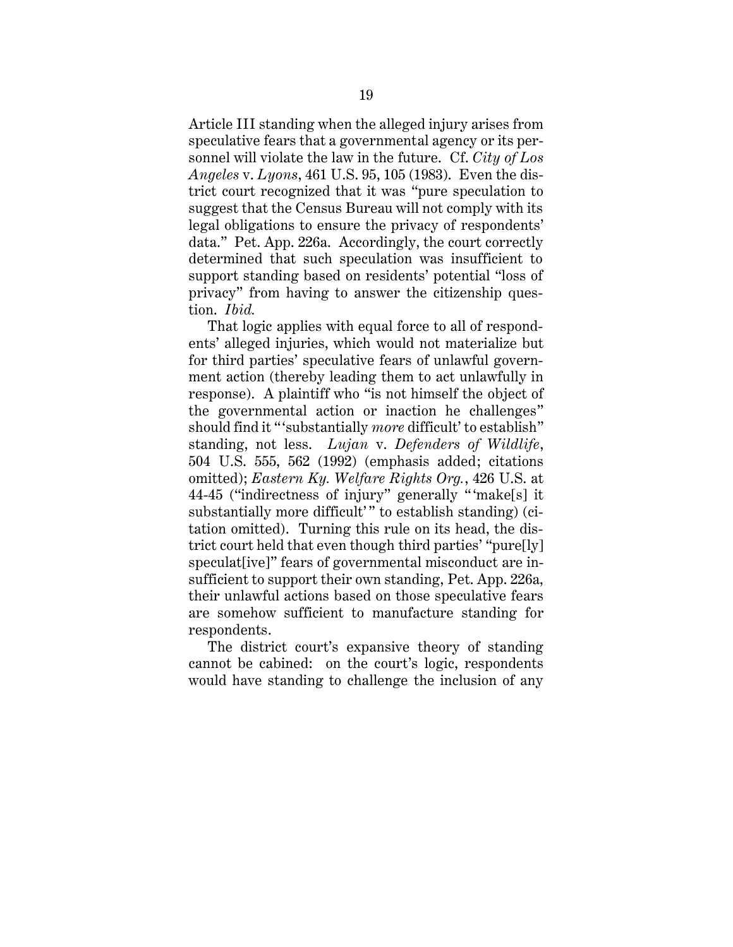Article III standing when the alleged injury arises from speculative fears that a governmental agency or its personnel will violate the law in the future. Cf. *City of Los Angeles* v. *Lyons*, 461 U.S. 95, 105 (1983). Even the district court recognized that it was "pure speculation to suggest that the Census Bureau will not comply with its legal obligations to ensure the privacy of respondents' data." Pet. App. 226a. Accordingly, the court correctly determined that such speculation was insufficient to support standing based on residents' potential "loss of privacy" from having to answer the citizenship question. *Ibid.*

That logic applies with equal force to all of respondents' alleged injuries, which would not materialize but for third parties' speculative fears of unlawful government action (thereby leading them to act unlawfully in response). A plaintiff who "is not himself the object of the governmental action or inaction he challenges" should find it "'substantially *more* difficult' to establish" standing, not less. *Lujan* v. *Defenders of Wildlife*, 504 U.S. 555, 562 (1992) (emphasis added; citations omitted); *Eastern Ky. Welfare Rights Org.*, 426 U.S. at 44-45 ("indirectness of injury" generally " 'make[s] it substantially more difficult'" to establish standing) (citation omitted). Turning this rule on its head, the district court held that even though third parties' "pure[ly] speculat [ive]" fears of governmental misconduct are insufficient to support their own standing, Pet. App. 226a, their unlawful actions based on those speculative fears are somehow sufficient to manufacture standing for respondents.

The district court's expansive theory of standing cannot be cabined: on the court's logic, respondents would have standing to challenge the inclusion of any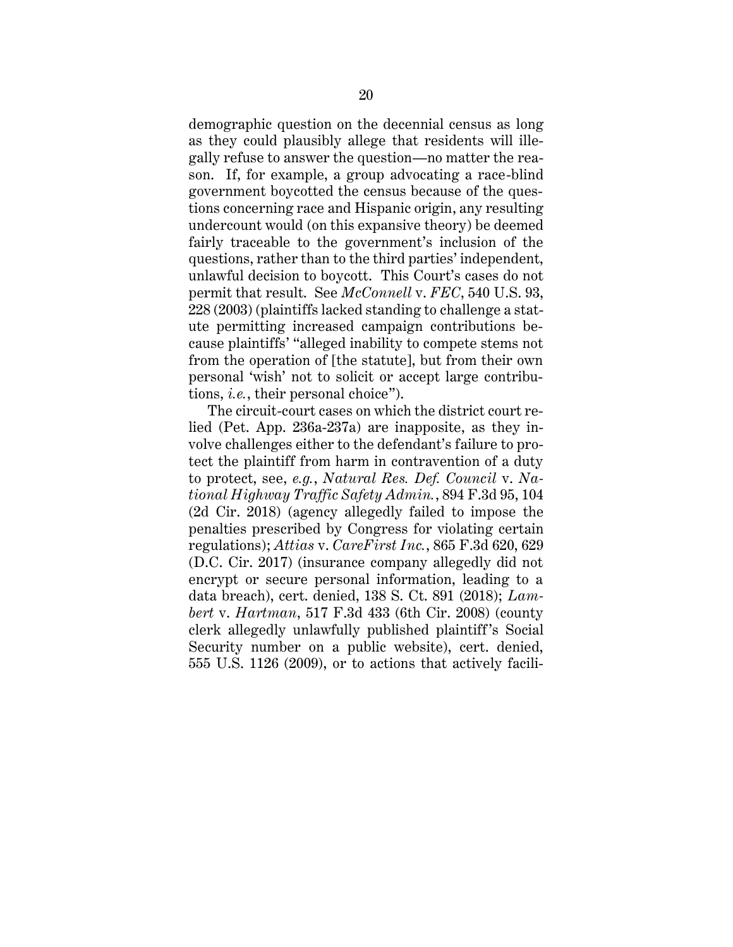demographic question on the decennial census as long as they could plausibly allege that residents will illegally refuse to answer the question—no matter the reason. If, for example, a group advocating a race-blind government boycotted the census because of the questions concerning race and Hispanic origin, any resulting undercount would (on this expansive theory) be deemed fairly traceable to the government's inclusion of the questions, rather than to the third parties' independent, unlawful decision to boycott. This Court's cases do not permit that result. See *McConnell* v. *FEC*, 540 U.S. 93, 228 (2003) (plaintiffs lacked standing to challenge a statute permitting increased campaign contributions because plaintiffs' "alleged inability to compete stems not from the operation of [the statute], but from their own personal 'wish' not to solicit or accept large contributions, *i.e.*, their personal choice").

The circuit-court cases on which the district court relied (Pet. App. 236a-237a) are inapposite, as they involve challenges either to the defendant's failure to protect the plaintiff from harm in contravention of a duty to protect, see, *e.g.*, *Natural Res. Def. Council* v. *National Highway Traffic Safety Admin.*, 894 F.3d 95, 104 (2d Cir. 2018) (agency allegedly failed to impose the penalties prescribed by Congress for violating certain regulations); *Attias* v. *CareFirst Inc.*, 865 F.3d 620, 629 (D.C. Cir. 2017) (insurance company allegedly did not encrypt or secure personal information, leading to a data breach), cert. denied, 138 S. Ct. 891 (2018); *Lambert* v. *Hartman*, 517 F.3d 433 (6th Cir. 2008) (county clerk allegedly unlawfully published plaintiff's Social Security number on a public website), cert. denied, 555 U.S. 1126 (2009), or to actions that actively facili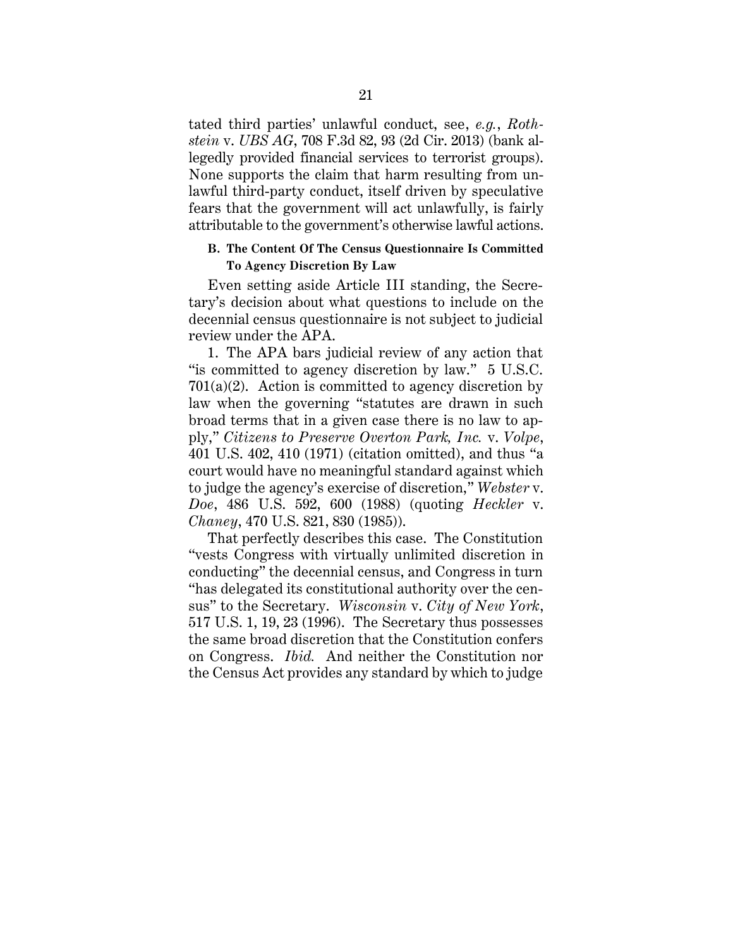tated third parties' unlawful conduct, see, *e.g.*, *Rothstein* v. *UBS AG*, 708 F.3d 82, 93 (2d Cir. 2013) (bank allegedly provided financial services to terrorist groups). None supports the claim that harm resulting from unlawful third-party conduct, itself driven by speculative fears that the government will act unlawfully, is fairly attributable to the government's otherwise lawful actions.

## **B. The Content Of The Census Questionnaire Is Committed To Agency Discretion By Law**

Even setting aside Article III standing, the Secretary's decision about what questions to include on the decennial census questionnaire is not subject to judicial review under the APA.

1. The APA bars judicial review of any action that "is committed to agency discretion by law." 5 U.S.C.  $701(a)(2)$ . Action is committed to agency discretion by law when the governing "statutes are drawn in such broad terms that in a given case there is no law to apply," *Citizens to Preserve Overton Park, Inc.* v. *Volpe*, 401 U.S. 402, 410 (1971) (citation omitted), and thus "a court would have no meaningful standard against which to judge the agency's exercise of discretion," *Webster* v. *Doe*, 486 U.S. 592, 600 (1988) (quoting *Heckler* v. *Chaney*, 470 U.S. 821, 830 (1985)).

That perfectly describes this case. The Constitution "vests Congress with virtually unlimited discretion in conducting" the decennial census, and Congress in turn "has delegated its constitutional authority over the census" to the Secretary. *Wisconsin* v. *City of New York*, 517 U.S. 1, 19, 23 (1996). The Secretary thus possesses the same broad discretion that the Constitution confers on Congress. *Ibid.* And neither the Constitution nor the Census Act provides any standard by which to judge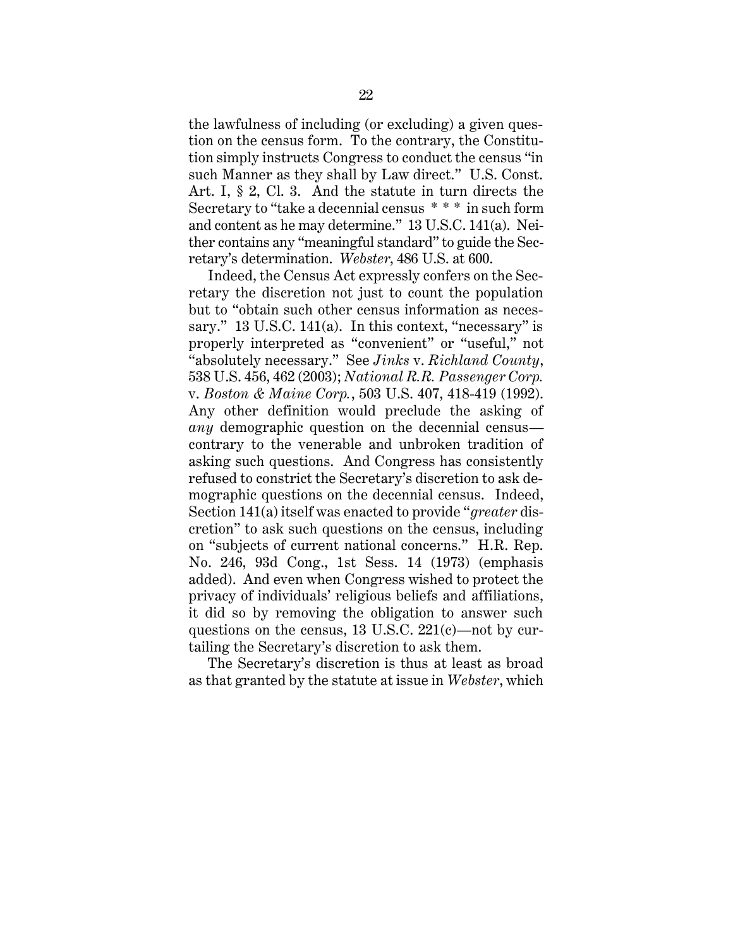the lawfulness of including (or excluding) a given question on the census form. To the contrary, the Constitution simply instructs Congress to conduct the census "in such Manner as they shall by Law direct." U.S. Const. Art. I, § 2, Cl. 3. And the statute in turn directs the Secretary to "take a decennial census \* \* \* in such form and content as he may determine." 13 U.S.C. 141(a). Neither contains any "meaningful standard" to guide the Secretary's determination. *Webster*, 486 U.S. at 600.

Indeed, the Census Act expressly confers on the Secretary the discretion not just to count the population but to "obtain such other census information as necessary." 13 U.S.C. 141(a). In this context, "necessary" is properly interpreted as "convenient" or "useful," not "absolutely necessary." See *Jinks* v. *Richland County*, 538 U.S. 456, 462 (2003); *National R.R. Passenger Corp.* v. *Boston & Maine Corp.*, 503 U.S. 407, 418-419 (1992). Any other definition would preclude the asking of *any* demographic question on the decennial census contrary to the venerable and unbroken tradition of asking such questions. And Congress has consistently refused to constrict the Secretary's discretion to ask demographic questions on the decennial census. Indeed, Section 141(a) itself was enacted to provide "*greater* discretion" to ask such questions on the census, including on "subjects of current national concerns." H.R. Rep. No. 246, 93d Cong., 1st Sess. 14 (1973) (emphasis added). And even when Congress wished to protect the privacy of individuals' religious beliefs and affiliations, it did so by removing the obligation to answer such questions on the census, 13 U.S.C. 221(c)—not by curtailing the Secretary's discretion to ask them.

The Secretary's discretion is thus at least as broad as that granted by the statute at issue in *Webster*, which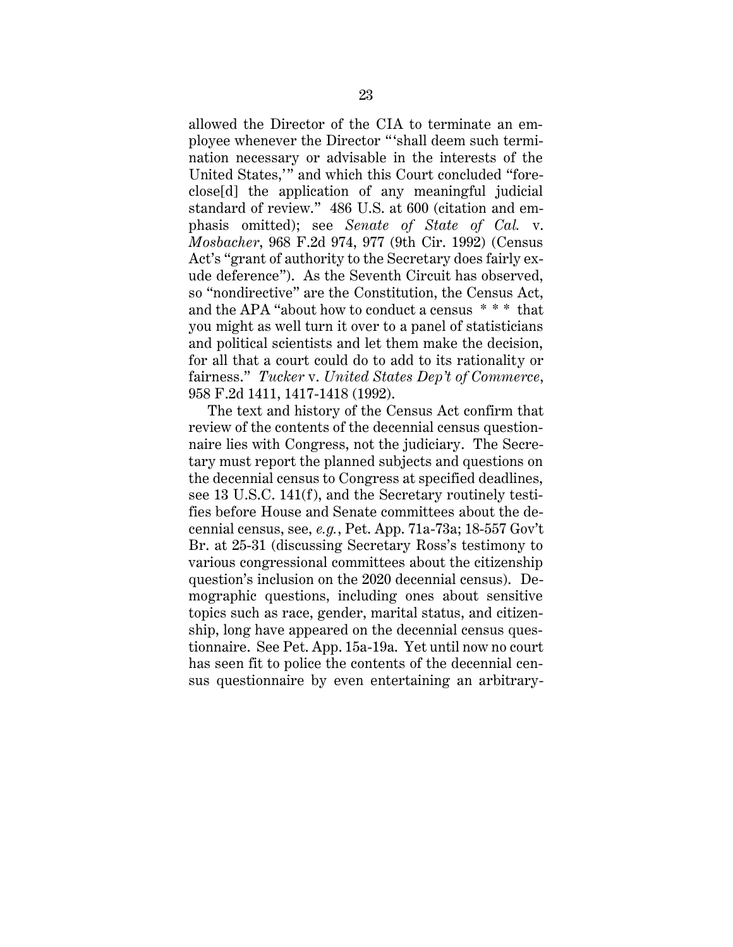allowed the Director of the CIA to terminate an employee whenever the Director " 'shall deem such termination necessary or advisable in the interests of the United States,'" and which this Court concluded "foreclose[d] the application of any meaningful judicial standard of review." 486 U.S. at 600 (citation and emphasis omitted); see *Senate of State of Cal.* v. *Mosbacher*, 968 F.2d 974, 977 (9th Cir. 1992) (Census Act's "grant of authority to the Secretary does fairly exude deference"). As the Seventh Circuit has observed, so "nondirective" are the Constitution, the Census Act, and the APA "about how to conduct a census \* \* \* that you might as well turn it over to a panel of statisticians and political scientists and let them make the decision, for all that a court could do to add to its rationality or fairness." *Tucker* v. *United States Dep't of Commerce*, 958 F.2d 1411, 1417-1418 (1992).

The text and history of the Census Act confirm that review of the contents of the decennial census questionnaire lies with Congress, not the judiciary. The Secretary must report the planned subjects and questions on the decennial census to Congress at specified deadlines, see 13 U.S.C. 141(f), and the Secretary routinely testifies before House and Senate committees about the decennial census, see, *e.g.*, Pet. App. 71a-73a; 18-557 Gov't Br. at 25-31 (discussing Secretary Ross's testimony to various congressional committees about the citizenship question's inclusion on the 2020 decennial census). Demographic questions, including ones about sensitive topics such as race, gender, marital status, and citizenship, long have appeared on the decennial census questionnaire. See Pet. App. 15a-19a. Yet until now no court has seen fit to police the contents of the decennial census questionnaire by even entertaining an arbitrary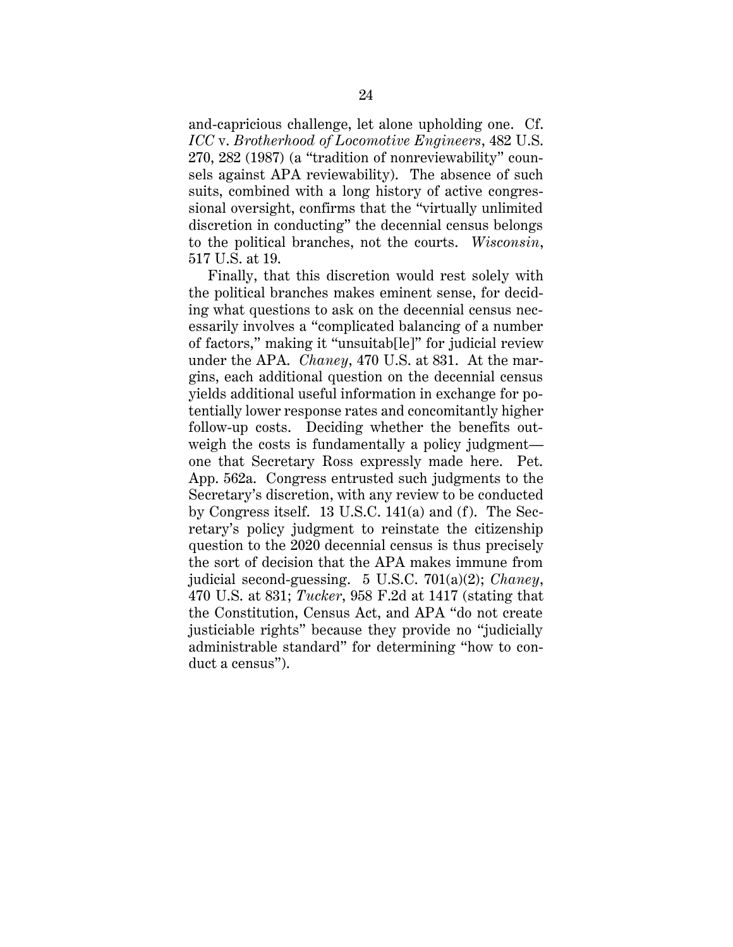and-capricious challenge, let alone upholding one. Cf. *ICC* v. *Brotherhood of Locomotive Engineers*, 482 U.S. 270, 282 (1987) (a "tradition of nonreviewability" counsels against APA reviewability). The absence of such suits, combined with a long history of active congressional oversight, confirms that the "virtually unlimited discretion in conducting" the decennial census belongs to the political branches, not the courts. *Wisconsin*, 517 U.S. at 19.

Finally, that this discretion would rest solely with the political branches makes eminent sense, for deciding what questions to ask on the decennial census necessarily involves a "complicated balancing of a number of factors," making it "unsuitab[le]" for judicial review under the APA. *Chaney*, 470 U.S. at 831. At the margins, each additional question on the decennial census yields additional useful information in exchange for potentially lower response rates and concomitantly higher follow-up costs. Deciding whether the benefits outweigh the costs is fundamentally a policy judgment one that Secretary Ross expressly made here. Pet. App. 562a. Congress entrusted such judgments to the Secretary's discretion, with any review to be conducted by Congress itself. 13 U.S.C. 141(a) and (f). The Secretary's policy judgment to reinstate the citizenship question to the 2020 decennial census is thus precisely the sort of decision that the APA makes immune from judicial second-guessing. 5 U.S.C. 701(a)(2); *Chaney*, 470 U.S. at 831; *Tucker*, 958 F.2d at 1417 (stating that the Constitution, Census Act, and APA "do not create justiciable rights" because they provide no "judicially administrable standard" for determining "how to conduct a census").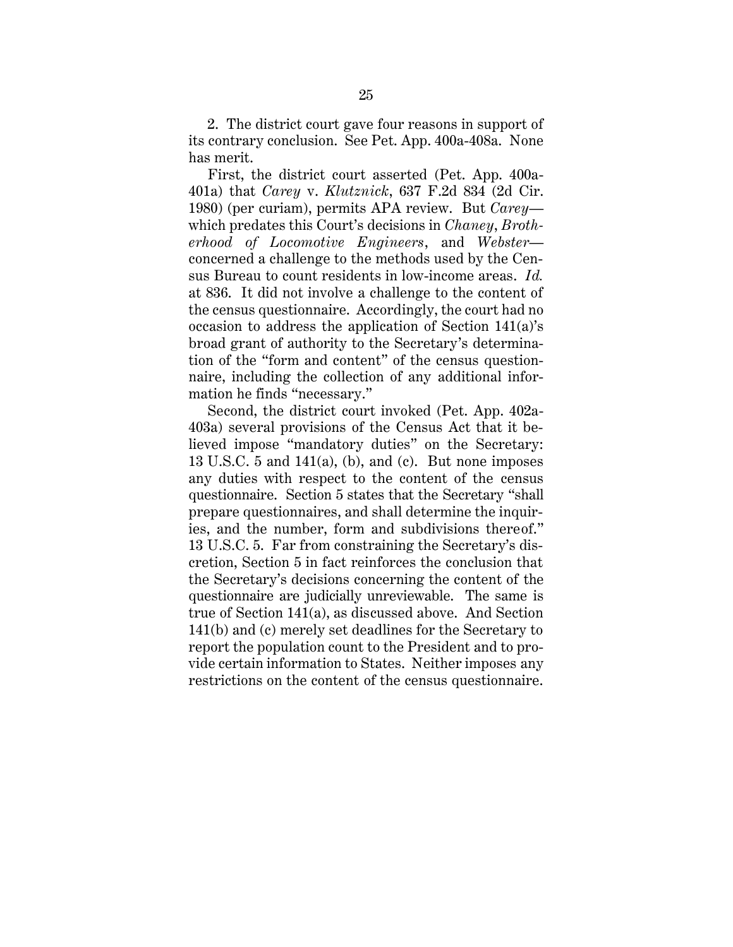2. The district court gave four reasons in support of its contrary conclusion. See Pet. App. 400a-408a. None has merit.

First, the district court asserted (Pet. App. 400a-401a) that *Carey* v. *Klutznick*, 637 F.2d 834 (2d Cir. 1980) (per curiam), permits APA review. But *Carey* which predates this Court's decisions in *Chaney*, *Brotherhood of Locomotive Engineers*, and *Webster* concerned a challenge to the methods used by the Census Bureau to count residents in low-income areas. *Id.* at 836. It did not involve a challenge to the content of the census questionnaire. Accordingly, the court had no occasion to address the application of Section 141(a)'s broad grant of authority to the Secretary's determination of the "form and content" of the census questionnaire, including the collection of any additional information he finds "necessary."

Second, the district court invoked (Pet. App. 402a-403a) several provisions of the Census Act that it believed impose "mandatory duties" on the Secretary: 13 U.S.C. 5 and  $141(a)$ , (b), and (c). But none imposes any duties with respect to the content of the census questionnaire. Section 5 states that the Secretary "shall prepare questionnaires, and shall determine the inquiries, and the number, form and subdivisions thereof." 13 U.S.C. 5. Far from constraining the Secretary's discretion, Section 5 in fact reinforces the conclusion that the Secretary's decisions concerning the content of the questionnaire are judicially unreviewable. The same is true of Section 141(a), as discussed above. And Section 141(b) and (c) merely set deadlines for the Secretary to report the population count to the President and to provide certain information to States. Neither imposes any restrictions on the content of the census questionnaire.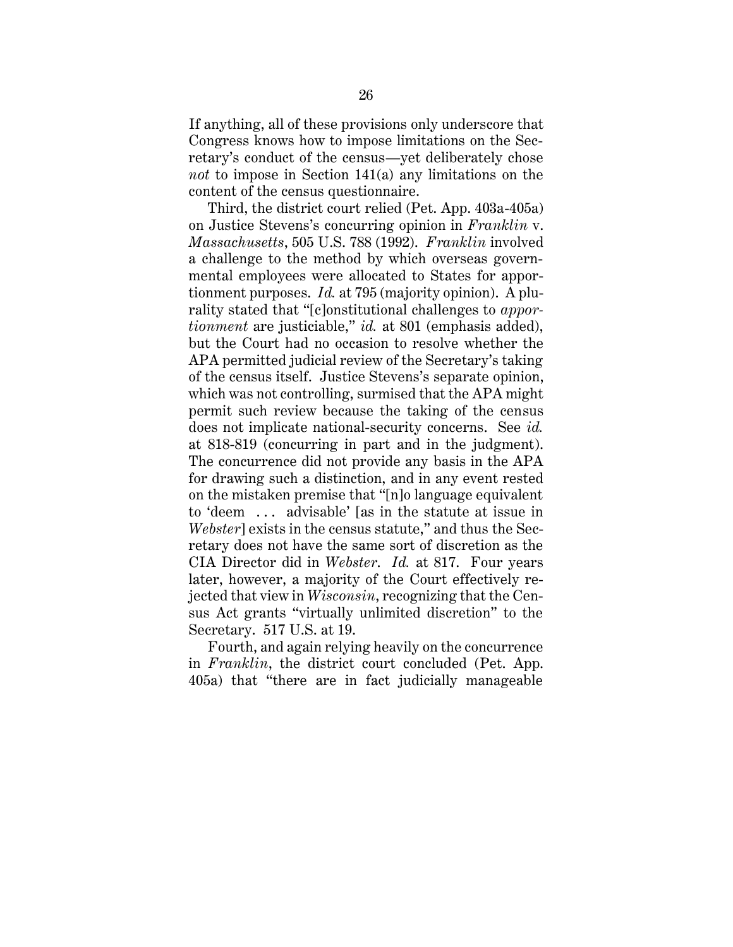If anything, all of these provisions only underscore that Congress knows how to impose limitations on the Secretary's conduct of the census—yet deliberately chose *not* to impose in Section 141(a) any limitations on the content of the census questionnaire.

Third, the district court relied (Pet. App. 403a-405a) on Justice Stevens's concurring opinion in *Franklin* v. *Massachusetts*, 505 U.S. 788 (1992). *Franklin* involved a challenge to the method by which overseas governmental employees were allocated to States for apportionment purposes. *Id.* at 795 (majority opinion). A plurality stated that "[c]onstitutional challenges to *apportionment* are justiciable," *id.* at 801 (emphasis added), but the Court had no occasion to resolve whether the APA permitted judicial review of the Secretary's taking of the census itself. Justice Stevens's separate opinion, which was not controlling, surmised that the APA might permit such review because the taking of the census does not implicate national-security concerns. See *id.* at 818-819 (concurring in part and in the judgment). The concurrence did not provide any basis in the APA for drawing such a distinction, and in any event rested on the mistaken premise that "[n]o language equivalent to 'deem . . . advisable' [as in the statute at issue in *Webster*] exists in the census statute," and thus the Secretary does not have the same sort of discretion as the CIA Director did in *Webster*. *Id.* at 817. Four years later, however, a majority of the Court effectively rejected that view in *Wisconsin*, recognizing that the Census Act grants "virtually unlimited discretion" to the Secretary. 517 U.S. at 19.

Fourth, and again relying heavily on the concurrence in *Franklin*, the district court concluded (Pet. App. 405a) that "there are in fact judicially manageable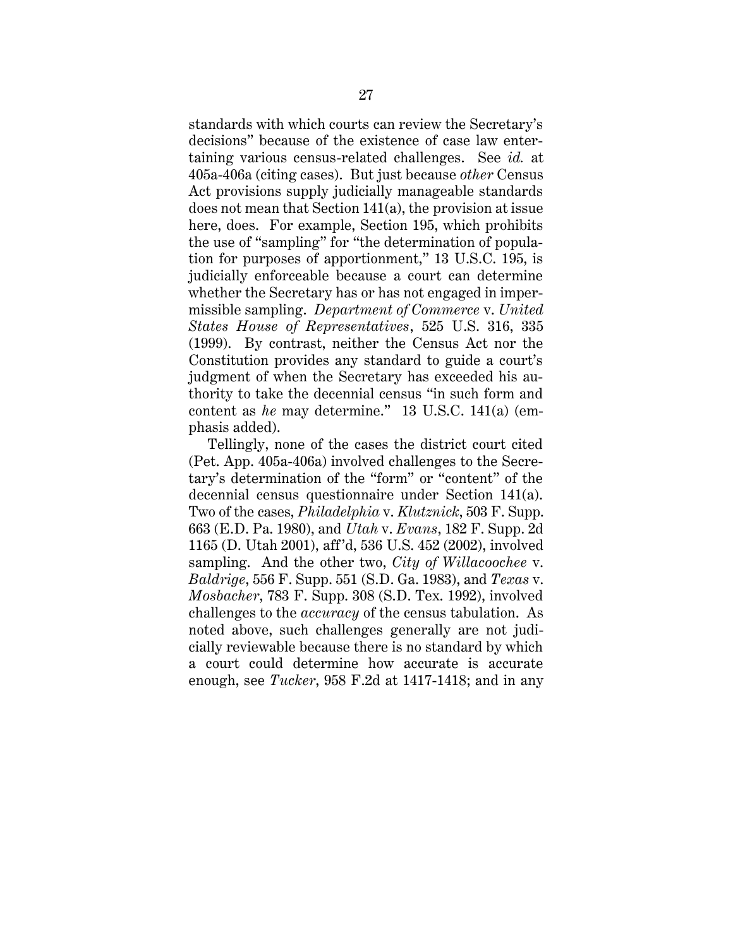standards with which courts can review the Secretary's decisions" because of the existence of case law entertaining various census-related challenges. See *id.* at 405a-406a (citing cases). But just because *other* Census Act provisions supply judicially manageable standards does not mean that Section 141(a), the provision at issue here, does. For example, Section 195, which prohibits the use of "sampling" for "the determination of population for purposes of apportionment," 13 U.S.C. 195, is judicially enforceable because a court can determine whether the Secretary has or has not engaged in impermissible sampling. *Department of Commerce* v. *United States House of Representatives*, 525 U.S. 316, 335 (1999). By contrast, neither the Census Act nor the Constitution provides any standard to guide a court's judgment of when the Secretary has exceeded his authority to take the decennial census "in such form and content as *he* may determine." 13 U.S.C. 141(a) (emphasis added).

Tellingly, none of the cases the district court cited (Pet. App. 405a-406a) involved challenges to the Secretary's determination of the "form" or "content" of the decennial census questionnaire under Section 141(a). Two of the cases, *Philadelphia* v. *Klutznick*, 503 F. Supp. 663 (E.D. Pa. 1980), and *Utah* v. *Evans*, 182 F. Supp. 2d 1165 (D. Utah 2001), aff'd, 536 U.S. 452 (2002), involved sampling. And the other two, *City of Willacoochee* v. *Baldrige*, 556 F. Supp. 551 (S.D. Ga. 1983), and *Texas* v. *Mosbacher*, 783 F. Supp. 308 (S.D. Tex. 1992), involved challenges to the *accuracy* of the census tabulation. As noted above, such challenges generally are not judicially reviewable because there is no standard by which a court could determine how accurate is accurate enough, see *Tucker*, 958 F.2d at 1417-1418; and in any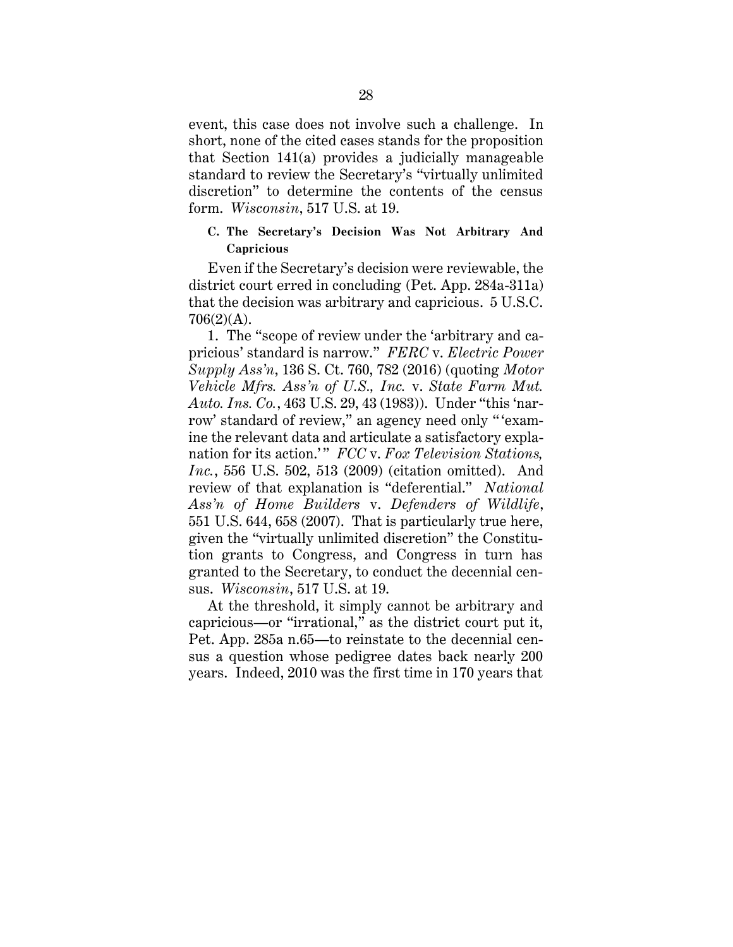event, this case does not involve such a challenge. In short, none of the cited cases stands for the proposition that Section 141(a) provides a judicially manageable standard to review the Secretary's "virtually unlimited discretion" to determine the contents of the census form. *Wisconsin*, 517 U.S. at 19.

## **C. The Secretary's Decision Was Not Arbitrary And Capricious**

Even if the Secretary's decision were reviewable, the district court erred in concluding (Pet. App. 284a-311a) that the decision was arbitrary and capricious. 5 U.S.C.  $706(2)(A)$ .

1. The "scope of review under the 'arbitrary and capricious' standard is narrow." *FERC* v. *Electric Power Supply Ass'n*, 136 S. Ct. 760, 782 (2016) (quoting *Motor Vehicle Mfrs. Ass'n of U.S., Inc.* v. *State Farm Mut. Auto. Ins. Co.*, 463 U.S. 29, 43 (1983)). Under "this 'narrow' standard of review," an agency need only "'examine the relevant data and articulate a satisfactory explanation for its action.' " *FCC* v. *Fox Television Stations, Inc.*, 556 U.S. 502, 513 (2009) (citation omitted). And review of that explanation is "deferential." *National Ass'n of Home Builders* v. *Defenders of Wildlife*, 551 U.S. 644, 658 (2007). That is particularly true here, given the "virtually unlimited discretion" the Constitution grants to Congress, and Congress in turn has granted to the Secretary, to conduct the decennial census. *Wisconsin*, 517 U.S. at 19.

At the threshold, it simply cannot be arbitrary and capricious—or "irrational," as the district court put it, Pet. App. 285a n.65—to reinstate to the decennial census a question whose pedigree dates back nearly 200 years. Indeed, 2010 was the first time in 170 years that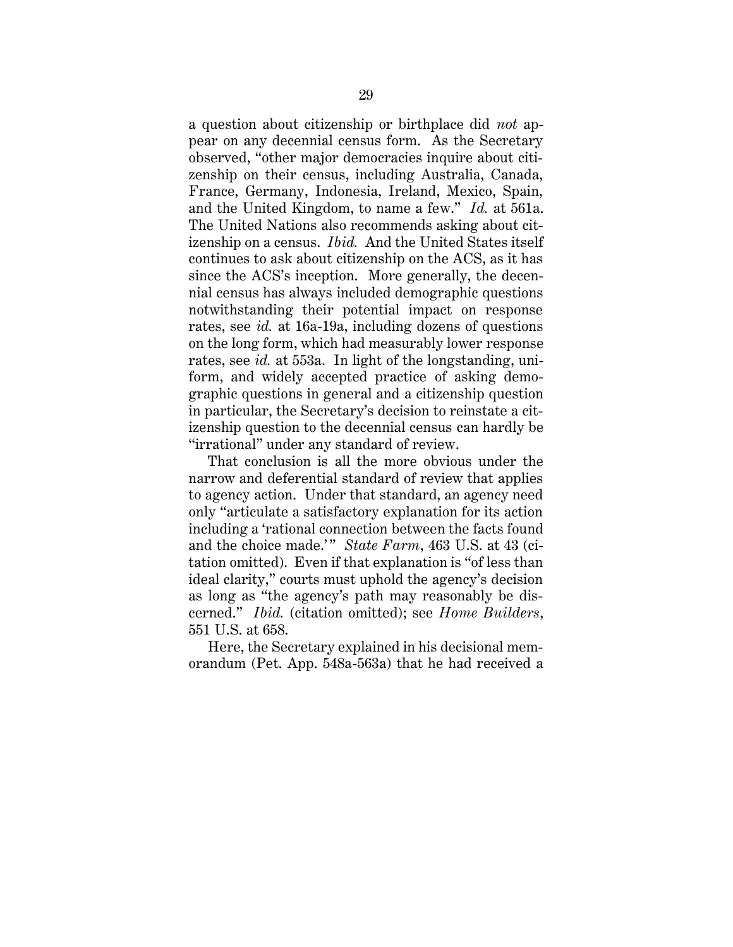a question about citizenship or birthplace did *not* appear on any decennial census form. As the Secretary observed, "other major democracies inquire about citizenship on their census, including Australia, Canada, France, Germany, Indonesia, Ireland, Mexico, Spain, and the United Kingdom, to name a few." *Id.* at 561a. The United Nations also recommends asking about citizenship on a census. *Ibid.* And the United States itself continues to ask about citizenship on the ACS, as it has since the ACS's inception. More generally, the decennial census has always included demographic questions notwithstanding their potential impact on response rates, see *id.* at 16a-19a, including dozens of questions on the long form, which had measurably lower response rates, see *id.* at 553a. In light of the longstanding, uniform, and widely accepted practice of asking demographic questions in general and a citizenship question in particular, the Secretary's decision to reinstate a citizenship question to the decennial census can hardly be "irrational" under any standard of review.

That conclusion is all the more obvious under the narrow and deferential standard of review that applies to agency action. Under that standard, an agency need only "articulate a satisfactory explanation for its action including a 'rational connection between the facts found and the choice made.'" *State Farm*, 463 U.S. at 43 (citation omitted). Even if that explanation is "of less than ideal clarity," courts must uphold the agency's decision as long as "the agency's path may reasonably be discerned." *Ibid.* (citation omitted); see *Home Builders*, 551 U.S. at 658.

Here, the Secretary explained in his decisional memorandum (Pet. App. 548a-563a) that he had received a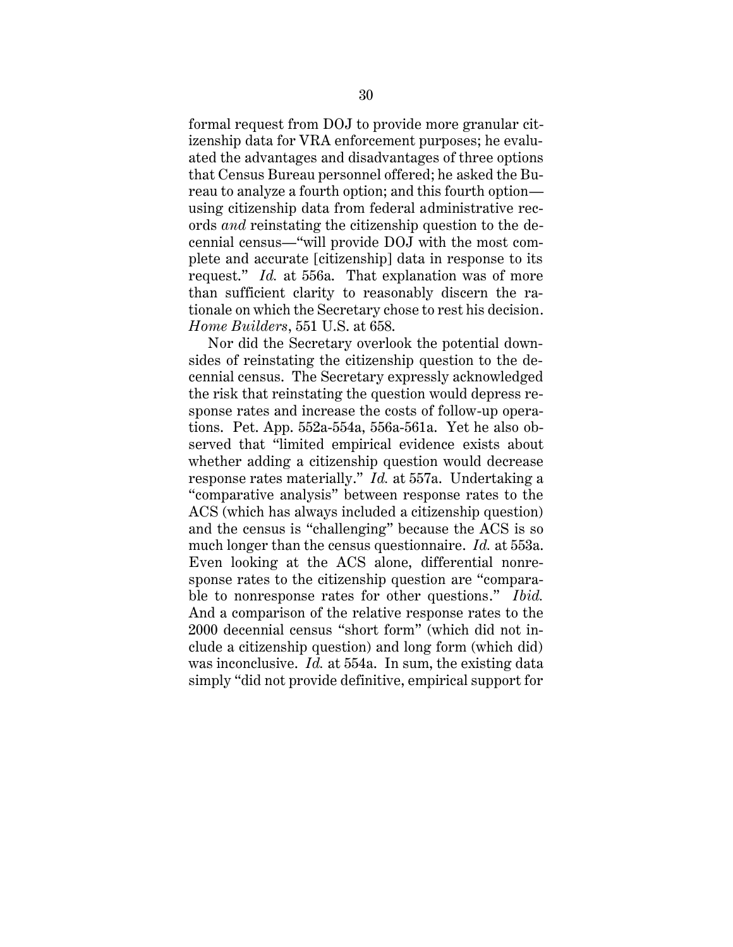formal request from DOJ to provide more granular citizenship data for VRA enforcement purposes; he evaluated the advantages and disadvantages of three options that Census Bureau personnel offered; he asked the Bureau to analyze a fourth option; and this fourth option using citizenship data from federal administrative records *and* reinstating the citizenship question to the decennial census—"will provide DOJ with the most complete and accurate [citizenship] data in response to its request." *Id.* at 556a. That explanation was of more than sufficient clarity to reasonably discern the rationale on which the Secretary chose to rest his decision. *Home Builders*, 551 U.S. at 658.

Nor did the Secretary overlook the potential downsides of reinstating the citizenship question to the decennial census. The Secretary expressly acknowledged the risk that reinstating the question would depress response rates and increase the costs of follow-up operations. Pet. App. 552a-554a, 556a-561a. Yet he also observed that "limited empirical evidence exists about whether adding a citizenship question would decrease response rates materially." *Id.* at 557a. Undertaking a "comparative analysis" between response rates to the ACS (which has always included a citizenship question) and the census is "challenging" because the ACS is so much longer than the census questionnaire. *Id.* at 553a. Even looking at the ACS alone, differential nonresponse rates to the citizenship question are "comparable to nonresponse rates for other questions." *Ibid.* And a comparison of the relative response rates to the 2000 decennial census "short form" (which did not include a citizenship question) and long form (which did) was inconclusive. *Id.* at 554a. In sum, the existing data simply "did not provide definitive, empirical support for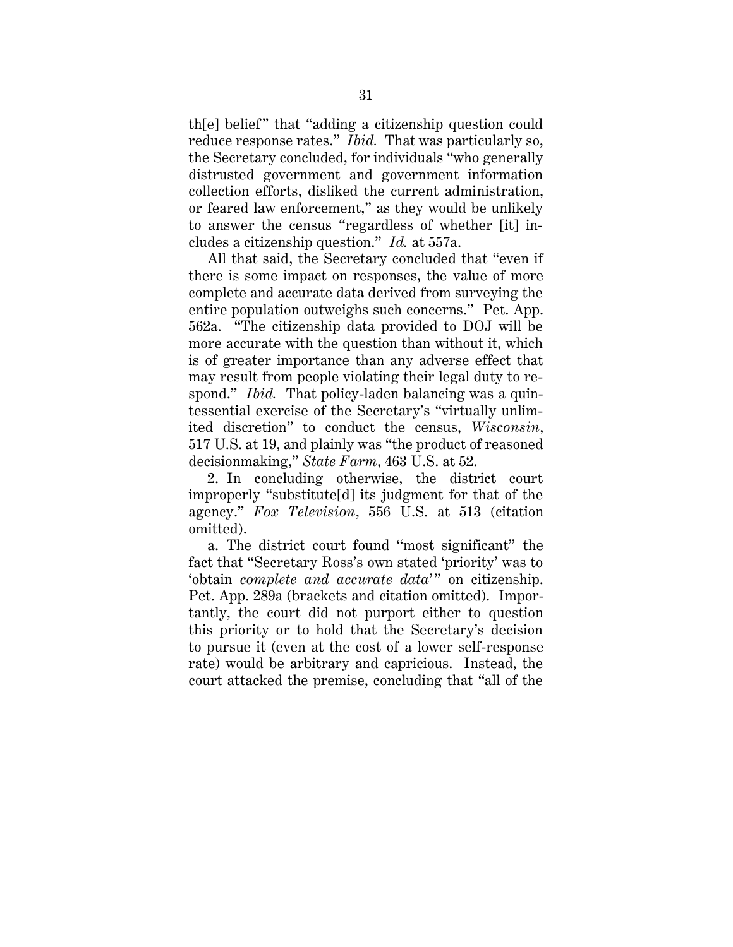th[e] belief" that "adding a citizenship question could reduce response rates." *Ibid.* That was particularly so, the Secretary concluded, for individuals "who generally distrusted government and government information collection efforts, disliked the current administration, or feared law enforcement," as they would be unlikely to answer the census "regardless of whether [it] includes a citizenship question." *Id.* at 557a.

All that said, the Secretary concluded that "even if there is some impact on responses, the value of more complete and accurate data derived from surveying the entire population outweighs such concerns." Pet. App. 562a. "The citizenship data provided to DOJ will be more accurate with the question than without it, which is of greater importance than any adverse effect that may result from people violating their legal duty to respond." *Ibid.* That policy-laden balancing was a quintessential exercise of the Secretary's "virtually unlimited discretion" to conduct the census, *Wisconsin*, 517 U.S. at 19, and plainly was "the product of reasoned decisionmaking," *State Farm*, 463 U.S. at 52.

2. In concluding otherwise, the district court improperly "substitute[d] its judgment for that of the agency." *Fox Television*, 556 U.S. at 513 (citation omitted).

a. The district court found "most significant" the fact that "Secretary Ross's own stated 'priority' was to 'obtain *complete and accurate data*'" on citizenship. Pet. App. 289a (brackets and citation omitted). Importantly, the court did not purport either to question this priority or to hold that the Secretary's decision to pursue it (even at the cost of a lower self-response rate) would be arbitrary and capricious. Instead, the court attacked the premise, concluding that "all of the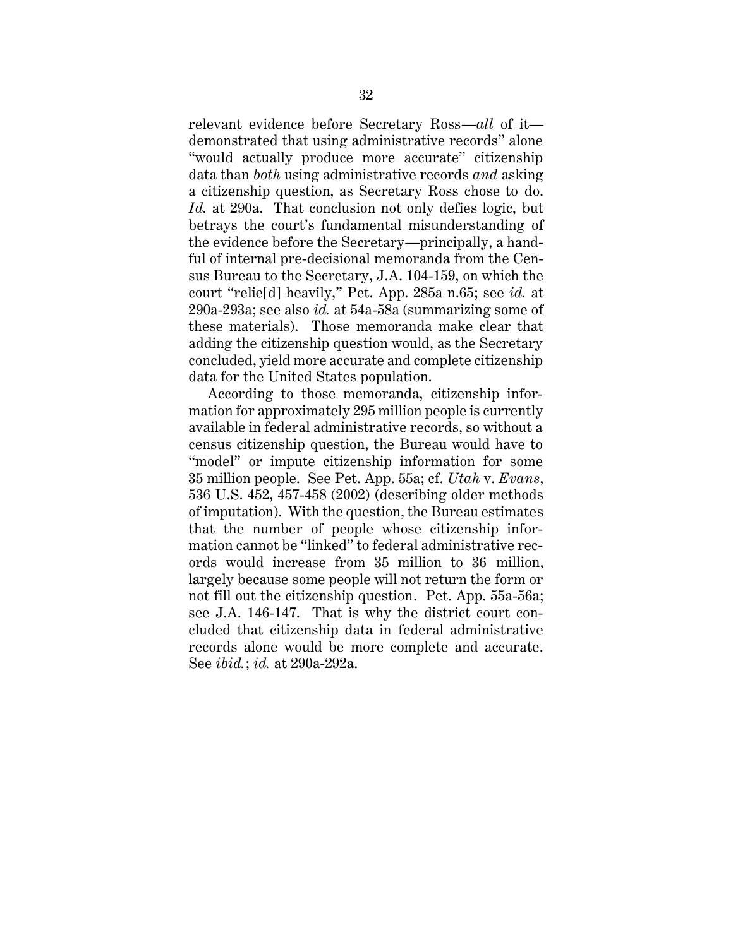relevant evidence before Secretary Ross—*all* of it demonstrated that using administrative records" alone "would actually produce more accurate" citizenship data than *both* using administrative records *and* asking a citizenship question, as Secretary Ross chose to do. *Id.* at 290a. That conclusion not only defies logic, but betrays the court's fundamental misunderstanding of the evidence before the Secretary—principally, a handful of internal pre-decisional memoranda from the Census Bureau to the Secretary, J.A. 104-159, on which the court "relie[d] heavily," Pet. App. 285a n.65; see *id.* at 290a-293a; see also *id.* at 54a-58a (summarizing some of these materials). Those memoranda make clear that adding the citizenship question would, as the Secretary concluded, yield more accurate and complete citizenship data for the United States population.

According to those memoranda, citizenship information for approximately 295 million people is currently available in federal administrative records, so without a census citizenship question, the Bureau would have to "model" or impute citizenship information for some 35 million people. See Pet. App. 55a; cf. *Utah* v. *Evans*, 536 U.S. 452, 457-458 (2002) (describing older methods of imputation). With the question, the Bureau estimates that the number of people whose citizenship information cannot be "linked" to federal administrative records would increase from 35 million to 36 million, largely because some people will not return the form or not fill out the citizenship question. Pet. App. 55a-56a; see J.A. 146-147. That is why the district court concluded that citizenship data in federal administrative records alone would be more complete and accurate. See *ibid.*; *id.* at 290a-292a.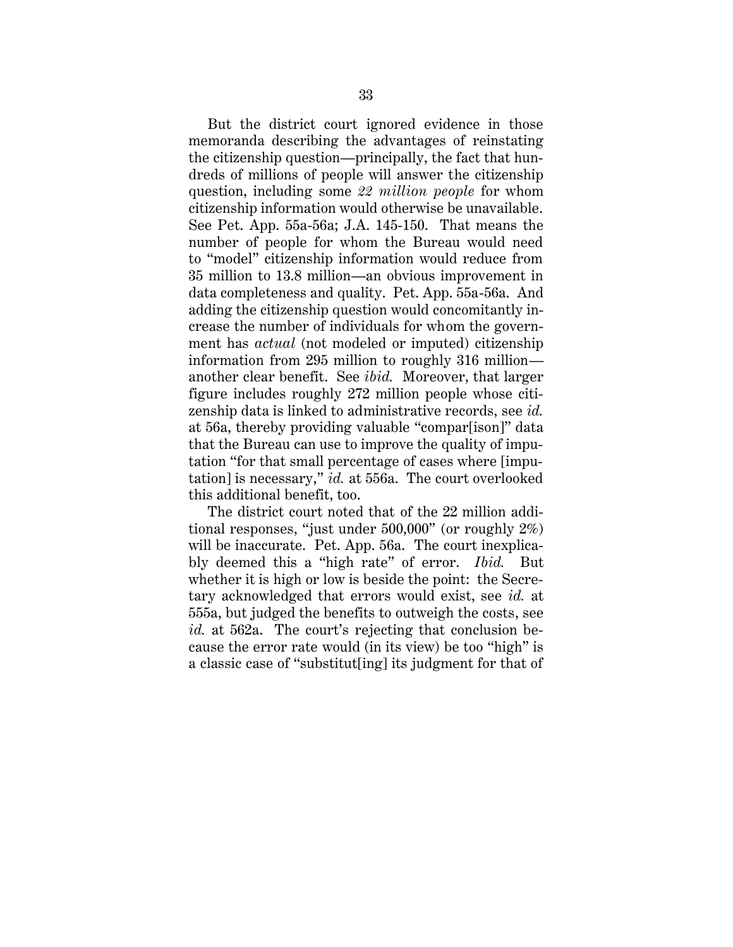But the district court ignored evidence in those memoranda describing the advantages of reinstating the citizenship question—principally, the fact that hundreds of millions of people will answer the citizenship question, including some *22 million people* for whom citizenship information would otherwise be unavailable. See Pet. App. 55a-56a; J.A. 145-150. That means the number of people for whom the Bureau would need to "model" citizenship information would reduce from 35 million to 13.8 million—an obvious improvement in data completeness and quality. Pet. App. 55a-56a. And adding the citizenship question would concomitantly increase the number of individuals for whom the government has *actual* (not modeled or imputed) citizenship information from 295 million to roughly 316 million another clear benefit. See *ibid.* Moreover, that larger figure includes roughly 272 million people whose citizenship data is linked to administrative records, see *id.* at 56a, thereby providing valuable "compar[ison]" data that the Bureau can use to improve the quality of imputation "for that small percentage of cases where [imputation] is necessary," *id.* at 556a. The court overlooked this additional benefit, too.

The district court noted that of the 22 million additional responses, "just under 500,000" (or roughly 2%) will be inaccurate. Pet. App. 56a. The court inexplicably deemed this a "high rate" of error. *Ibid.* But whether it is high or low is beside the point: the Secretary acknowledged that errors would exist, see *id.* at 555a, but judged the benefits to outweigh the costs, see *id.* at 562a. The court's rejecting that conclusion because the error rate would (in its view) be too "high" is a classic case of "substitut[ing] its judgment for that of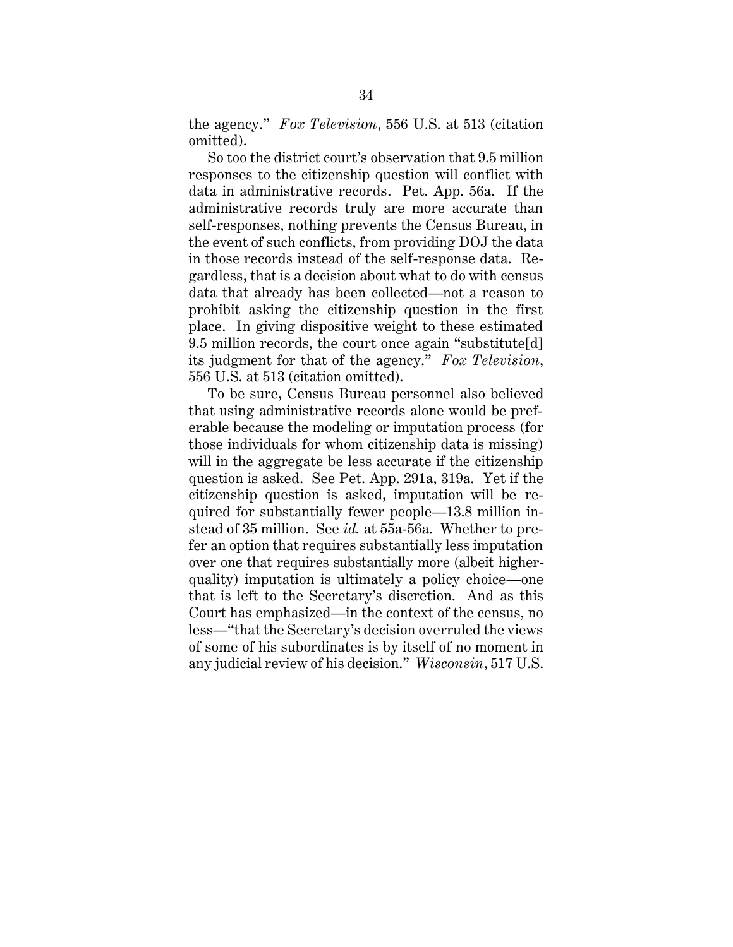the agency." *Fox Television*, 556 U.S. at 513 (citation omitted).

So too the district court's observation that 9.5 million responses to the citizenship question will conflict with data in administrative records. Pet. App. 56a. If the administrative records truly are more accurate than self-responses, nothing prevents the Census Bureau, in the event of such conflicts, from providing DOJ the data in those records instead of the self-response data. Regardless, that is a decision about what to do with census data that already has been collected—not a reason to prohibit asking the citizenship question in the first place. In giving dispositive weight to these estimated 9.5 million records, the court once again "substitute[d] its judgment for that of the agency." *Fox Television*, 556 U.S. at 513 (citation omitted).

To be sure, Census Bureau personnel also believed that using administrative records alone would be preferable because the modeling or imputation process (for those individuals for whom citizenship data is missing) will in the aggregate be less accurate if the citizenship question is asked. See Pet. App. 291a, 319a. Yet if the citizenship question is asked, imputation will be required for substantially fewer people—13.8 million instead of 35 million. See *id.* at 55a-56a. Whether to prefer an option that requires substantially less imputation over one that requires substantially more (albeit higherquality) imputation is ultimately a policy choice—one that is left to the Secretary's discretion. And as this Court has emphasized—in the context of the census, no less—"that the Secretary's decision overruled the views of some of his subordinates is by itself of no moment in any judicial review of his decision." *Wisconsin*, 517 U.S.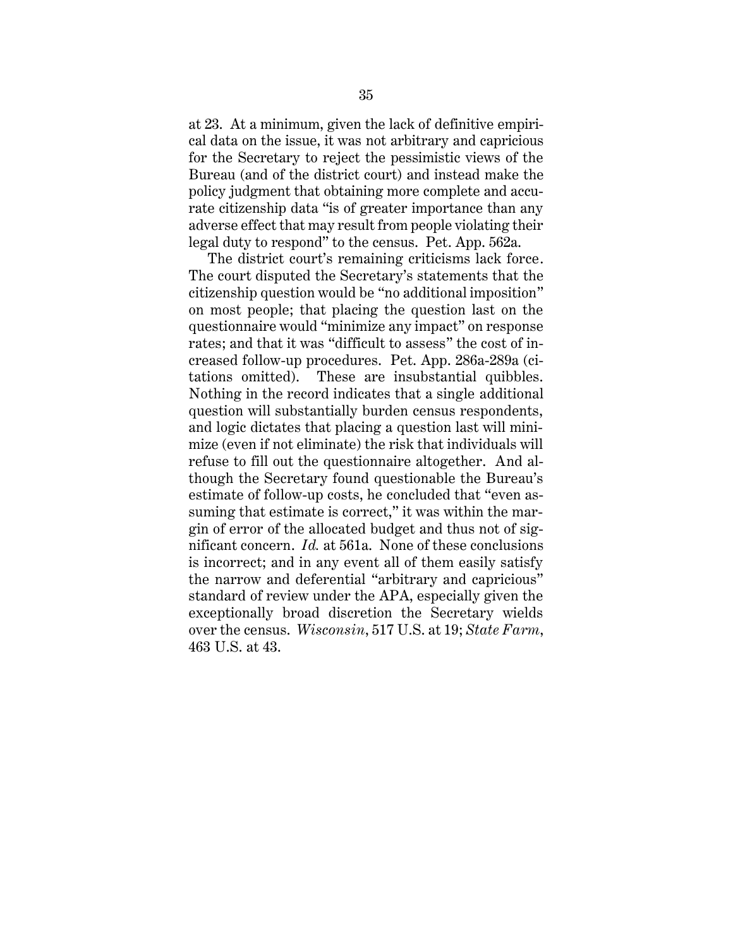at 23. At a minimum, given the lack of definitive empirical data on the issue, it was not arbitrary and capricious for the Secretary to reject the pessimistic views of the Bureau (and of the district court) and instead make the policy judgment that obtaining more complete and accurate citizenship data "is of greater importance than any adverse effect that may result from people violating their legal duty to respond" to the census. Pet. App. 562a.

The district court's remaining criticisms lack force. The court disputed the Secretary's statements that the citizenship question would be "no additional imposition" on most people; that placing the question last on the questionnaire would "minimize any impact" on response rates; and that it was "difficult to assess" the cost of increased follow-up procedures. Pet. App. 286a-289a (citations omitted). These are insubstantial quibbles. Nothing in the record indicates that a single additional question will substantially burden census respondents, and logic dictates that placing a question last will minimize (even if not eliminate) the risk that individuals will refuse to fill out the questionnaire altogether. And although the Secretary found questionable the Bureau's estimate of follow-up costs, he concluded that "even assuming that estimate is correct," it was within the margin of error of the allocated budget and thus not of significant concern. *Id.* at 561a. None of these conclusions is incorrect; and in any event all of them easily satisfy the narrow and deferential "arbitrary and capricious" standard of review under the APA, especially given the exceptionally broad discretion the Secretary wields over the census. *Wisconsin*, 517 U.S. at 19; *State Farm*, 463 U.S. at 43.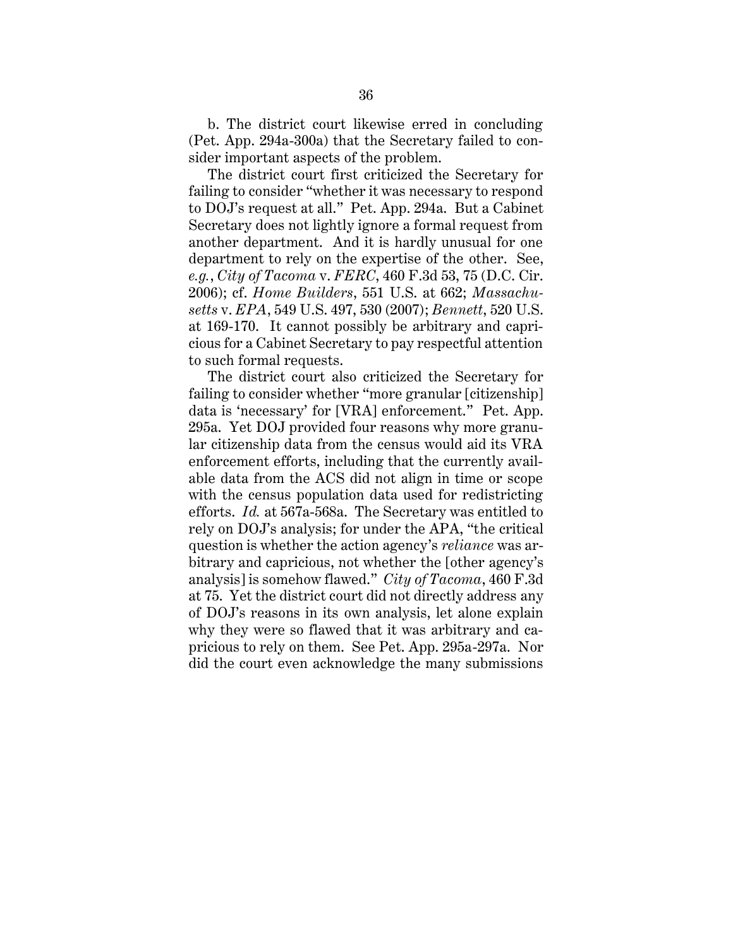b. The district court likewise erred in concluding (Pet. App. 294a-300a) that the Secretary failed to consider important aspects of the problem.

The district court first criticized the Secretary for failing to consider "whether it was necessary to respond to DOJ's request at all." Pet. App. 294a. But a Cabinet Secretary does not lightly ignore a formal request from another department. And it is hardly unusual for one department to rely on the expertise of the other. See, *e.g.*, *City of Tacoma* v. *FERC*, 460 F.3d 53, 75 (D.C. Cir. 2006); cf. *Home Builders*, 551 U.S. at 662; *Massachusetts* v. *EPA*, 549 U.S. 497, 530 (2007); *Bennett*, 520 U.S. at 169-170. It cannot possibly be arbitrary and capricious for a Cabinet Secretary to pay respectful attention to such formal requests.

The district court also criticized the Secretary for failing to consider whether "more granular [citizenship] data is 'necessary' for [VRA] enforcement." Pet. App. 295a. Yet DOJ provided four reasons why more granular citizenship data from the census would aid its VRA enforcement efforts, including that the currently available data from the ACS did not align in time or scope with the census population data used for redistricting efforts. *Id.* at 567a-568a. The Secretary was entitled to rely on DOJ's analysis; for under the APA, "the critical question is whether the action agency's *reliance* was arbitrary and capricious, not whether the [other agency's analysis] is somehow flawed." *City of Tacoma*, 460 F.3d at 75. Yet the district court did not directly address any of DOJ's reasons in its own analysis, let alone explain why they were so flawed that it was arbitrary and capricious to rely on them. See Pet. App. 295a-297a. Nor did the court even acknowledge the many submissions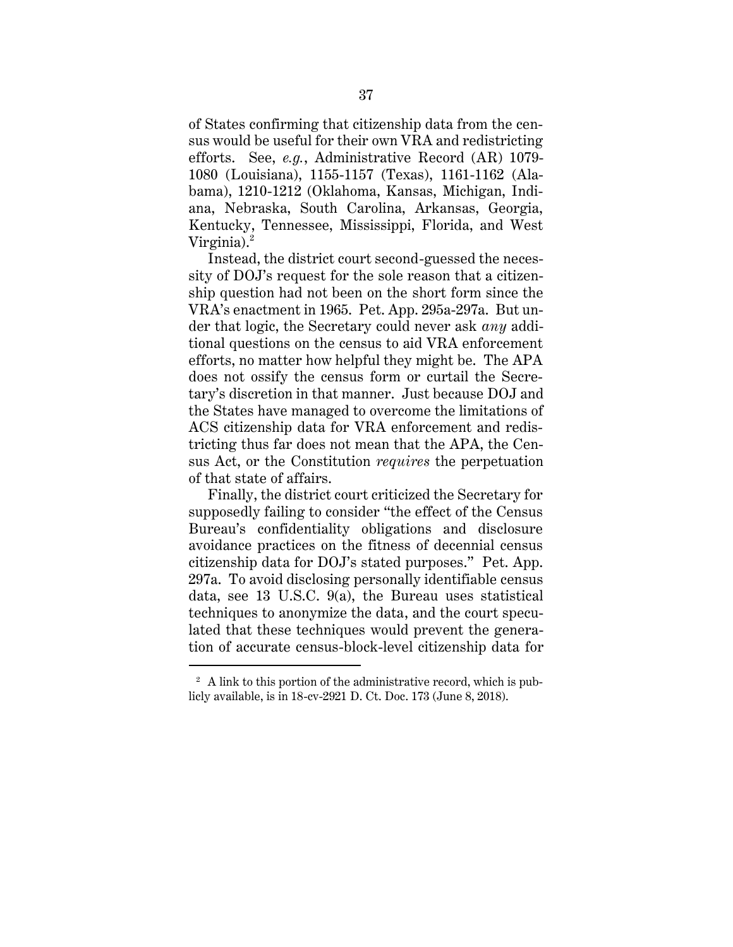of States confirming that citizenship data from the census would be useful for their own VRA and redistricting efforts. See, *e.g.*, Administrative Record (AR) 1079- 1080 (Louisiana), 1155-1157 (Texas), 1161-1162 (Alabama), 1210-1212 (Oklahoma, Kansas, Michigan, Indiana, Nebraska, South Carolina, Arkansas, Georgia, Kentucky, Tennessee, Mississippi, Florida, and West Virginia). $^2$ 

Instead, the district court second-guessed the necessity of DOJ's request for the sole reason that a citizenship question had not been on the short form since the VRA's enactment in 1965. Pet. App. 295a-297a. But under that logic, the Secretary could never ask *any* additional questions on the census to aid VRA enforcement efforts, no matter how helpful they might be. The APA does not ossify the census form or curtail the Secretary's discretion in that manner. Just because DOJ and the States have managed to overcome the limitations of ACS citizenship data for VRA enforcement and redistricting thus far does not mean that the APA, the Census Act, or the Constitution *requires* the perpetuation of that state of affairs.

Finally, the district court criticized the Secretary for supposedly failing to consider "the effect of the Census Bureau's confidentiality obligations and disclosure avoidance practices on the fitness of decennial census citizenship data for DOJ's stated purposes." Pet. App. 297a. To avoid disclosing personally identifiable census data, see 13 U.S.C. 9(a), the Bureau uses statistical techniques to anonymize the data, and the court speculated that these techniques would prevent the generation of accurate census-block-level citizenship data for

 $\overline{a}$ 

 $2 \text{ A link to this portion of the administrative record, which is pub-}$ licly available, is in 18-cv-2921 D. Ct. Doc. 173 (June 8, 2018).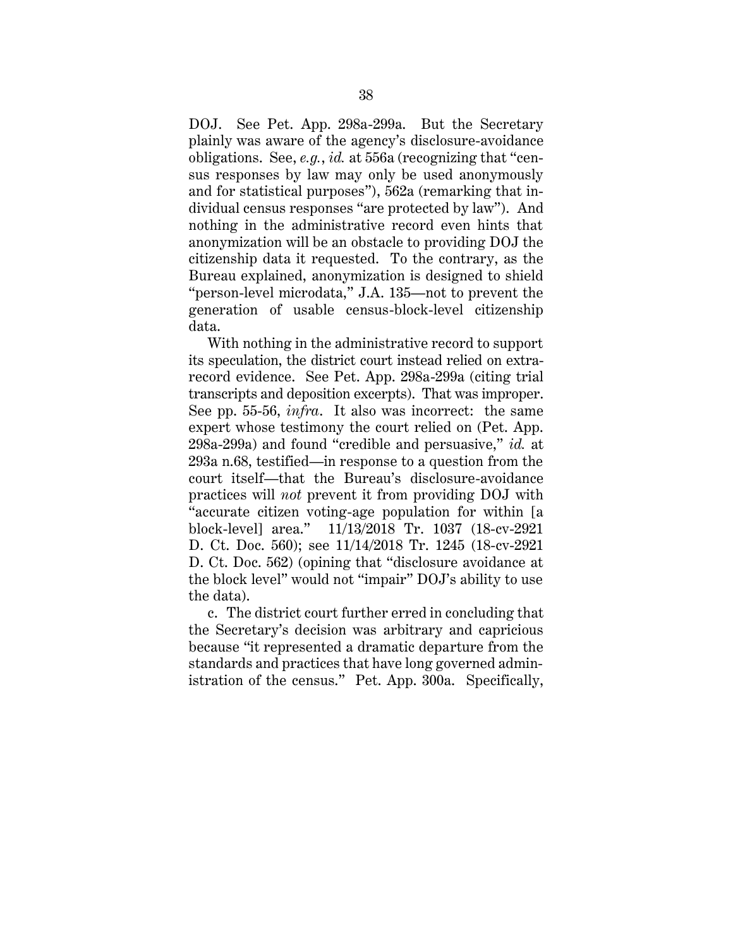DOJ. See Pet. App. 298a-299a. But the Secretary plainly was aware of the agency's disclosure-avoidance obligations. See, *e.g.*, *id.* at 556a (recognizing that "census responses by law may only be used anonymously and for statistical purposes"), 562a (remarking that individual census responses "are protected by law"). And nothing in the administrative record even hints that anonymization will be an obstacle to providing DOJ the citizenship data it requested. To the contrary, as the Bureau explained, anonymization is designed to shield "person-level microdata," J.A. 135—not to prevent the generation of usable census-block-level citizenship data.

With nothing in the administrative record to support its speculation, the district court instead relied on extrarecord evidence. See Pet. App. 298a-299a (citing trial transcripts and deposition excerpts). That was improper. See pp. 55-56, *infra*. It also was incorrect: the same expert whose testimony the court relied on (Pet. App. 298a-299a) and found "credible and persuasive," *id.* at 293a n.68, testified—in response to a question from the court itself—that the Bureau's disclosure-avoidance practices will *not* prevent it from providing DOJ with "accurate citizen voting-age population for within [a block-level] area." 11/13/2018 Tr. 1037 (18-cv-2921 D. Ct. Doc. 560); see 11/14/2018 Tr. 1245 (18-cv-2921 D. Ct. Doc. 562) (opining that "disclosure avoidance at the block level" would not "impair" DOJ's ability to use the data).

c. The district court further erred in concluding that the Secretary's decision was arbitrary and capricious because "it represented a dramatic departure from the standards and practices that have long governed administration of the census." Pet. App. 300a. Specifically,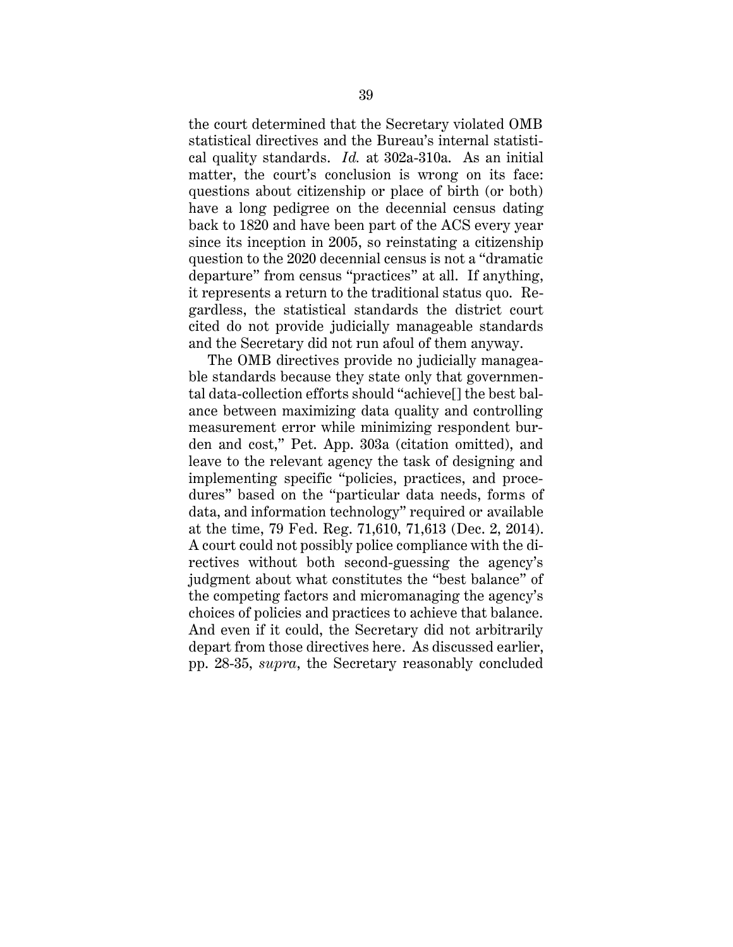the court determined that the Secretary violated OMB statistical directives and the Bureau's internal statistical quality standards. *Id.* at 302a-310a. As an initial matter, the court's conclusion is wrong on its face: questions about citizenship or place of birth (or both) have a long pedigree on the decennial census dating back to 1820 and have been part of the ACS every year since its inception in 2005, so reinstating a citizenship question to the 2020 decennial census is not a "dramatic departure" from census "practices" at all. If anything, it represents a return to the traditional status quo. Regardless, the statistical standards the district court cited do not provide judicially manageable standards and the Secretary did not run afoul of them anyway.

The OMB directives provide no judicially manageable standards because they state only that governmental data-collection efforts should "achieve[] the best balance between maximizing data quality and controlling measurement error while minimizing respondent burden and cost," Pet. App. 303a (citation omitted), and leave to the relevant agency the task of designing and implementing specific "policies, practices, and procedures" based on the "particular data needs, forms of data, and information technology" required or available at the time, 79 Fed. Reg. 71,610, 71,613 (Dec. 2, 2014). A court could not possibly police compliance with the directives without both second-guessing the agency's judgment about what constitutes the "best balance" of the competing factors and micromanaging the agency's choices of policies and practices to achieve that balance. And even if it could, the Secretary did not arbitrarily depart from those directives here. As discussed earlier, pp. 28-35, *supra*, the Secretary reasonably concluded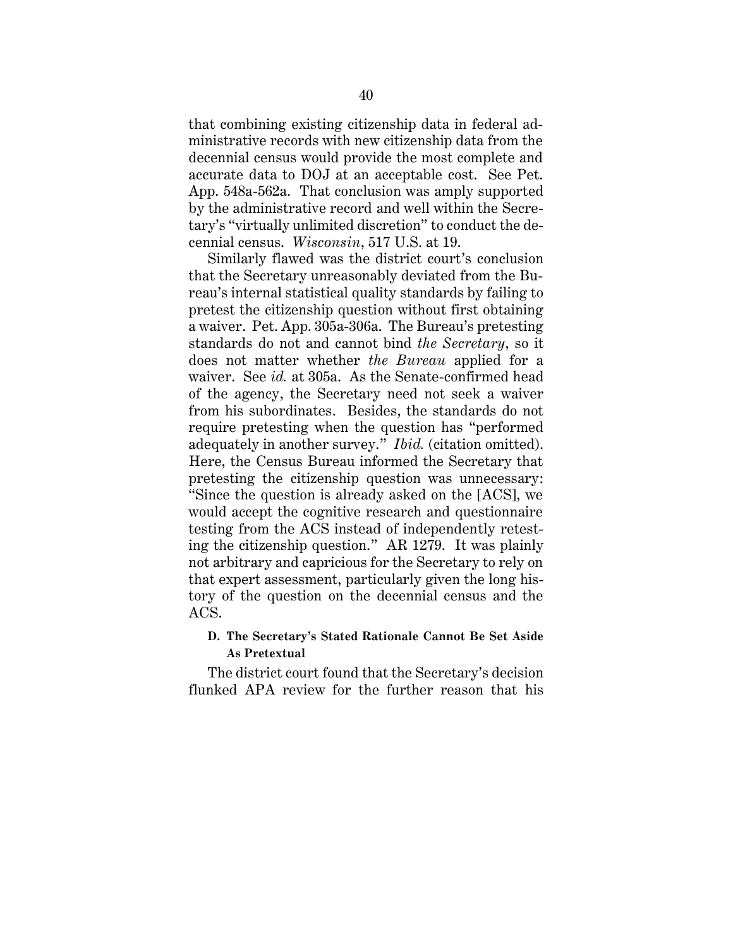that combining existing citizenship data in federal administrative records with new citizenship data from the decennial census would provide the most complete and accurate data to DOJ at an acceptable cost. See Pet. App. 548a-562a. That conclusion was amply supported by the administrative record and well within the Secretary's "virtually unlimited discretion" to conduct the decennial census. *Wisconsin*, 517 U.S. at 19.

Similarly flawed was the district court's conclusion that the Secretary unreasonably deviated from the Bureau's internal statistical quality standards by failing to pretest the citizenship question without first obtaining a waiver. Pet. App. 305a-306a. The Bureau's pretesting standards do not and cannot bind *the Secretary*, so it does not matter whether *the Bureau* applied for a waiver. See *id.* at 305a. As the Senate-confirmed head of the agency, the Secretary need not seek a waiver from his subordinates. Besides, the standards do not require pretesting when the question has "performed adequately in another survey." *Ibid.* (citation omitted). Here, the Census Bureau informed the Secretary that pretesting the citizenship question was unnecessary: "Since the question is already asked on the [ACS], we would accept the cognitive research and questionnaire testing from the ACS instead of independently retesting the citizenship question." AR 1279. It was plainly not arbitrary and capricious for the Secretary to rely on that expert assessment, particularly given the long history of the question on the decennial census and the ACS.

## **D. The Secretary's Stated Rationale Cannot Be Set Aside As Pretextual**

The district court found that the Secretary's decision flunked APA review for the further reason that his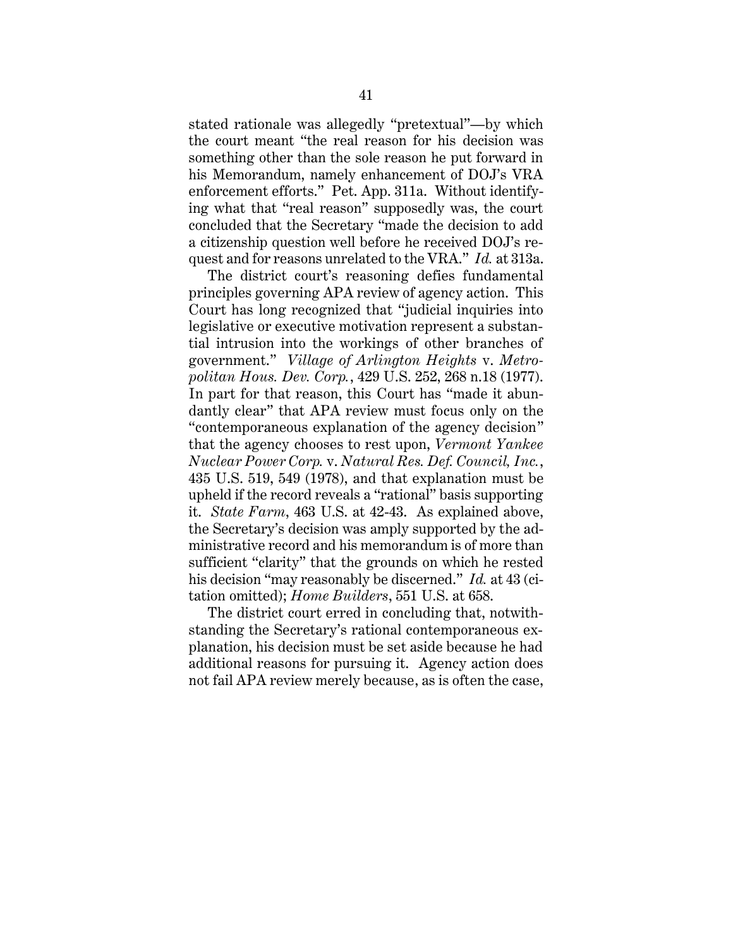stated rationale was allegedly "pretextual"—by which the court meant "the real reason for his decision was something other than the sole reason he put forward in his Memorandum, namely enhancement of DOJ's VRA enforcement efforts." Pet. App. 311a. Without identifying what that "real reason" supposedly was, the court concluded that the Secretary "made the decision to add a citizenship question well before he received DOJ's request and for reasons unrelated to the VRA." *Id.* at 313a.

The district court's reasoning defies fundamental principles governing APA review of agency action. This Court has long recognized that "judicial inquiries into legislative or executive motivation represent a substantial intrusion into the workings of other branches of government." *Village of Arlington Heights* v. *Metropolitan Hous. Dev. Corp.*, 429 U.S. 252, 268 n.18 (1977). In part for that reason, this Court has "made it abundantly clear" that APA review must focus only on the "contemporaneous explanation of the agency decision" that the agency chooses to rest upon, *Vermont Yankee Nuclear Power Corp.* v. *Natural Res. Def. Council, Inc.*, 435 U.S. 519, 549 (1978), and that explanation must be upheld if the record reveals a "rational" basis supporting it. *State Farm*, 463 U.S. at 42-43. As explained above, the Secretary's decision was amply supported by the administrative record and his memorandum is of more than sufficient "clarity" that the grounds on which he rested his decision "may reasonably be discerned." *Id.* at 43 (citation omitted); *Home Builders*, 551 U.S. at 658.

The district court erred in concluding that, notwithstanding the Secretary's rational contemporaneous explanation, his decision must be set aside because he had additional reasons for pursuing it. Agency action does not fail APA review merely because, as is often the case,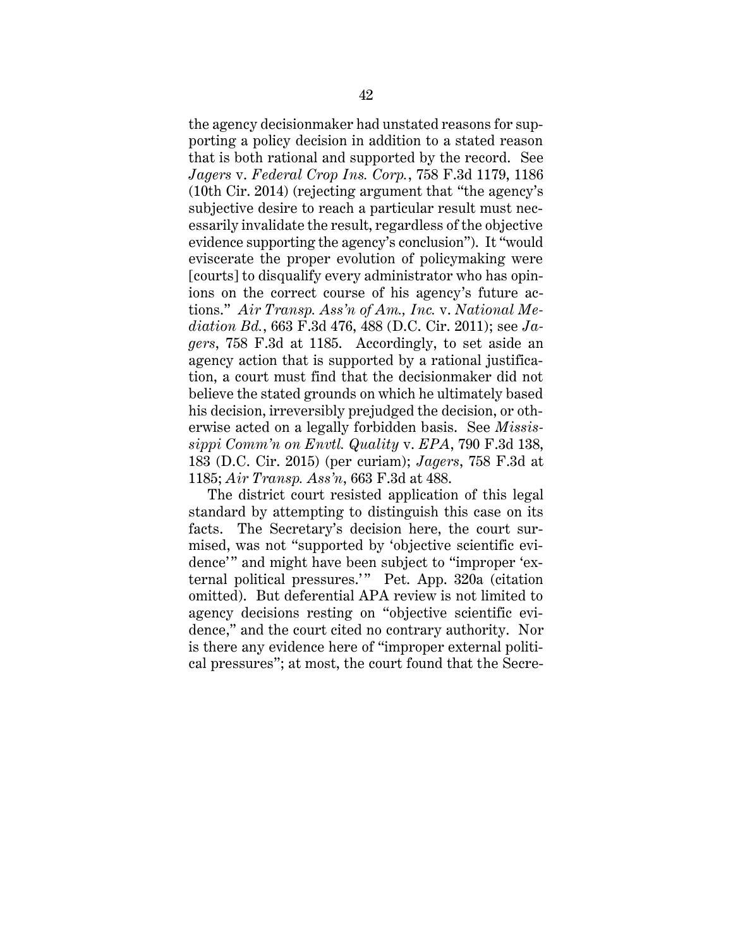the agency decisionmaker had unstated reasons for supporting a policy decision in addition to a stated reason that is both rational and supported by the record. See *Jagers* v. *Federal Crop Ins. Corp.*, 758 F.3d 1179, 1186 (10th Cir. 2014) (rejecting argument that "the agency's subjective desire to reach a particular result must necessarily invalidate the result, regardless of the objective evidence supporting the agency's conclusion"). It "would eviscerate the proper evolution of policymaking were [courts] to disqualify every administrator who has opinions on the correct course of his agency's future actions." *Air Transp. Ass'n of Am., Inc.* v. *National Mediation Bd.*, 663 F.3d 476, 488 (D.C. Cir. 2011); see *Jagers*, 758 F.3d at 1185. Accordingly, to set aside an agency action that is supported by a rational justification, a court must find that the decisionmaker did not believe the stated grounds on which he ultimately based his decision, irreversibly prejudged the decision, or otherwise acted on a legally forbidden basis. See *Mississippi Comm'n on Envtl. Quality* v. *EPA*, 790 F.3d 138, 183 (D.C. Cir. 2015) (per curiam); *Jagers*, 758 F.3d at 1185; *Air Transp. Ass'n*, 663 F.3d at 488.

The district court resisted application of this legal standard by attempting to distinguish this case on its facts. The Secretary's decision here, the court surmised, was not "supported by 'objective scientific evidence'" and might have been subject to "improper 'external political pressures.'" Pet. App. 320a (citation omitted). But deferential APA review is not limited to agency decisions resting on "objective scientific evidence," and the court cited no contrary authority. Nor is there any evidence here of "improper external political pressures"; at most, the court found that the Secre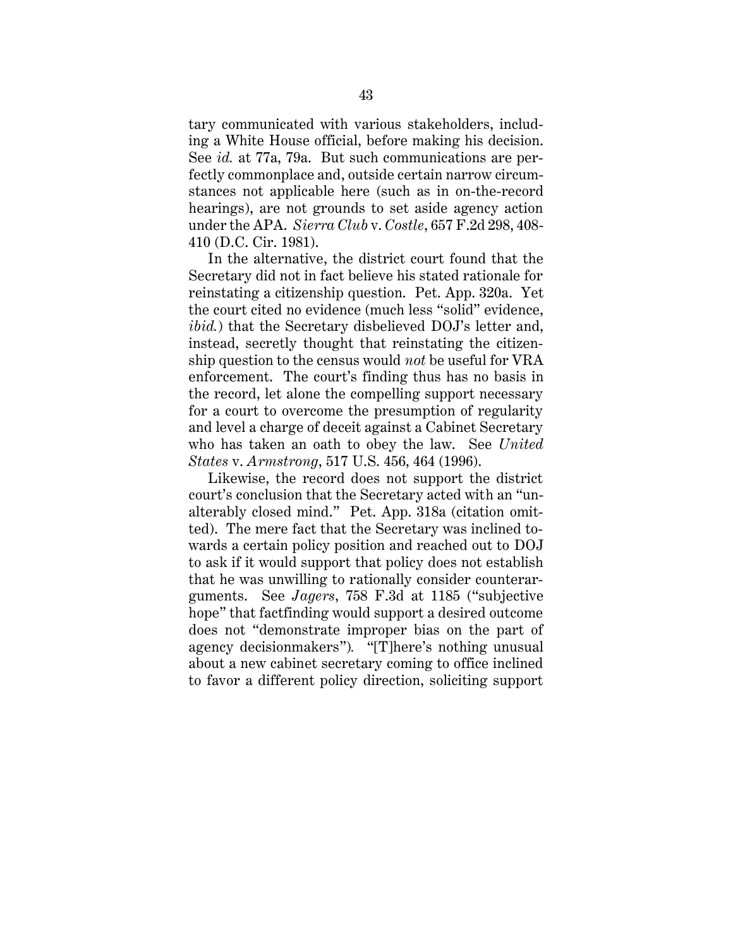tary communicated with various stakeholders, including a White House official, before making his decision. See *id.* at 77a, 79a. But such communications are perfectly commonplace and, outside certain narrow circumstances not applicable here (such as in on-the-record hearings), are not grounds to set aside agency action under the APA. *Sierra Club* v. *Costle*, 657 F.2d 298, 408- 410 (D.C. Cir. 1981).

In the alternative, the district court found that the Secretary did not in fact believe his stated rationale for reinstating a citizenship question. Pet. App. 320a. Yet the court cited no evidence (much less "solid" evidence, *ibid.*) that the Secretary disbelieved DOJ's letter and, instead, secretly thought that reinstating the citizenship question to the census would *not* be useful for VRA enforcement. The court's finding thus has no basis in the record, let alone the compelling support necessary for a court to overcome the presumption of regularity and level a charge of deceit against a Cabinet Secretary who has taken an oath to obey the law. See *United States* v. *Armstrong*, 517 U.S. 456, 464 (1996).

Likewise, the record does not support the district court's conclusion that the Secretary acted with an "unalterably closed mind." Pet. App. 318a (citation omitted). The mere fact that the Secretary was inclined towards a certain policy position and reached out to DOJ to ask if it would support that policy does not establish that he was unwilling to rationally consider counterarguments. See *Jagers*, 758 F.3d at 1185 ("subjective hope" that factfinding would support a desired outcome does not "demonstrate improper bias on the part of agency decisionmakers")*.* "[T]here's nothing unusual about a new cabinet secretary coming to office inclined to favor a different policy direction, soliciting support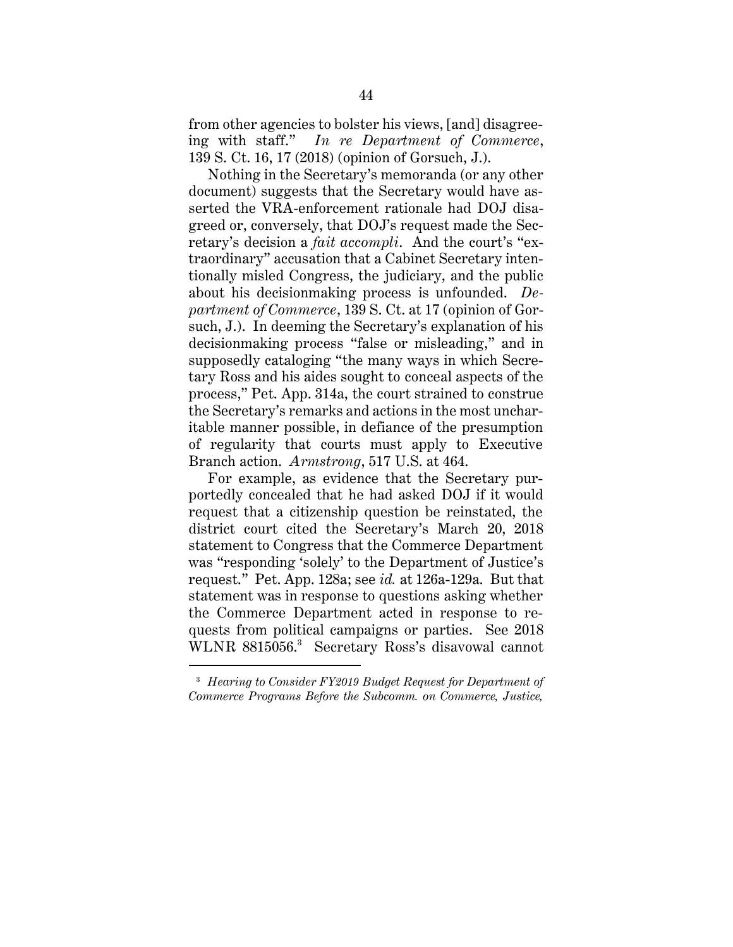from other agencies to bolster his views, [and] disagreeing with staff." *In re Department of Commerce*, 139 S. Ct. 16, 17 (2018) (opinion of Gorsuch, J.).

Nothing in the Secretary's memoranda (or any other document) suggests that the Secretary would have asserted the VRA-enforcement rationale had DOJ disagreed or, conversely, that DOJ's request made the Secretary's decision a *fait accompli*. And the court's "extraordinary" accusation that a Cabinet Secretary intentionally misled Congress, the judiciary, and the public about his decisionmaking process is unfounded. *Department of Commerce*, 139 S. Ct. at 17 (opinion of Gorsuch, J.). In deeming the Secretary's explanation of his decisionmaking process "false or misleading," and in supposedly cataloging "the many ways in which Secretary Ross and his aides sought to conceal aspects of the process," Pet. App. 314a, the court strained to construe the Secretary's remarks and actions in the most uncharitable manner possible, in defiance of the presumption of regularity that courts must apply to Executive Branch action. *Armstrong*, 517 U.S. at 464.

For example, as evidence that the Secretary purportedly concealed that he had asked DOJ if it would request that a citizenship question be reinstated, the district court cited the Secretary's March 20, 2018 statement to Congress that the Commerce Department was "responding 'solely' to the Department of Justice's request." Pet. App. 128a; see *id.* at 126a-129a. But that statement was in response to questions asking whether the Commerce Department acted in response to requests from political campaigns or parties. See 2018 WLNR 8815056.<sup>3</sup> Secretary Ross's disavowal cannot

 $\overline{a}$ 

<sup>3</sup> *Hearing to Consider FY2019 Budget Request for Department of Commerce Programs Before the Subcomm. on Commerce, Justice,*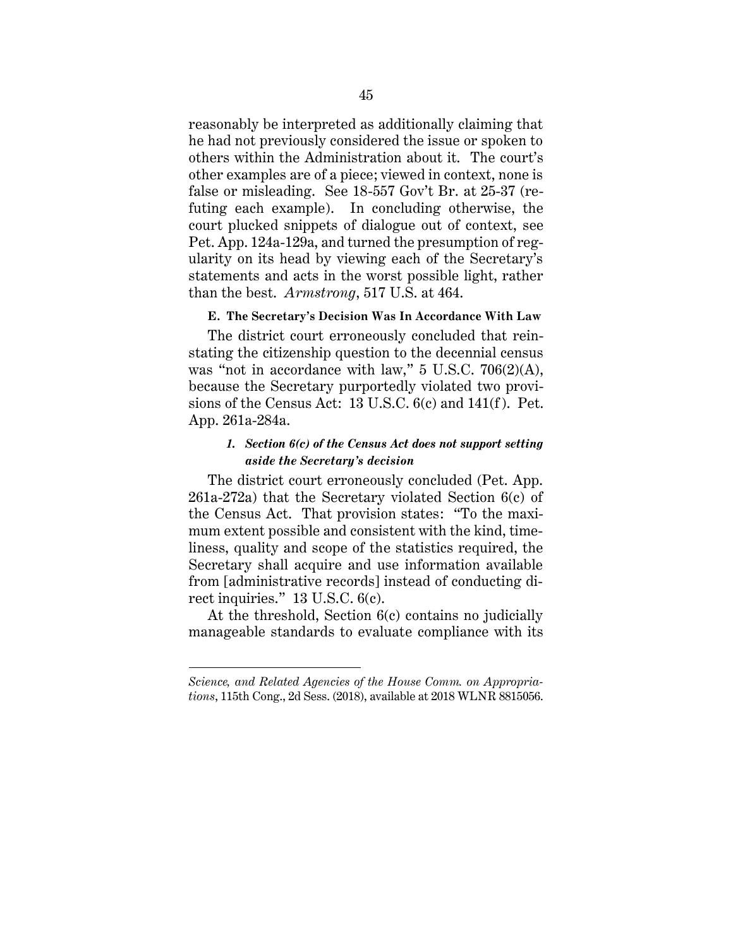reasonably be interpreted as additionally claiming that he had not previously considered the issue or spoken to others within the Administration about it. The court's other examples are of a piece; viewed in context, none is false or misleading. See 18-557 Gov't Br. at 25-37 (refuting each example). In concluding otherwise, the court plucked snippets of dialogue out of context, see Pet. App. 124a-129a, and turned the presumption of regularity on its head by viewing each of the Secretary's statements and acts in the worst possible light, rather than the best. *Armstrong*, 517 U.S. at 464.

#### **E. The Secretary's Decision Was In Accordance With Law**

The district court erroneously concluded that reinstating the citizenship question to the decennial census was "not in accordance with law," 5 U.S.C. 706(2)(A), because the Secretary purportedly violated two provisions of the Census Act: 13 U.S.C. 6(c) and 141(f ). Pet. App. 261a-284a.

## *1. Section 6(c) of the Census Act does not support setting aside the Secretary's decision*

The district court erroneously concluded (Pet. App. 261a-272a) that the Secretary violated Section 6(c) of the Census Act. That provision states: "To the maximum extent possible and consistent with the kind, timeliness, quality and scope of the statistics required, the Secretary shall acquire and use information available from [administrative records] instead of conducting direct inquiries." 13 U.S.C. 6(c).

At the threshold, Section 6(c) contains no judicially manageable standards to evaluate compliance with its

 $\overline{a}$ 

*Science, and Related Agencies of the House Comm. on Appropriations*, 115th Cong., 2d Sess. (2018), available at 2018 WLNR 8815056.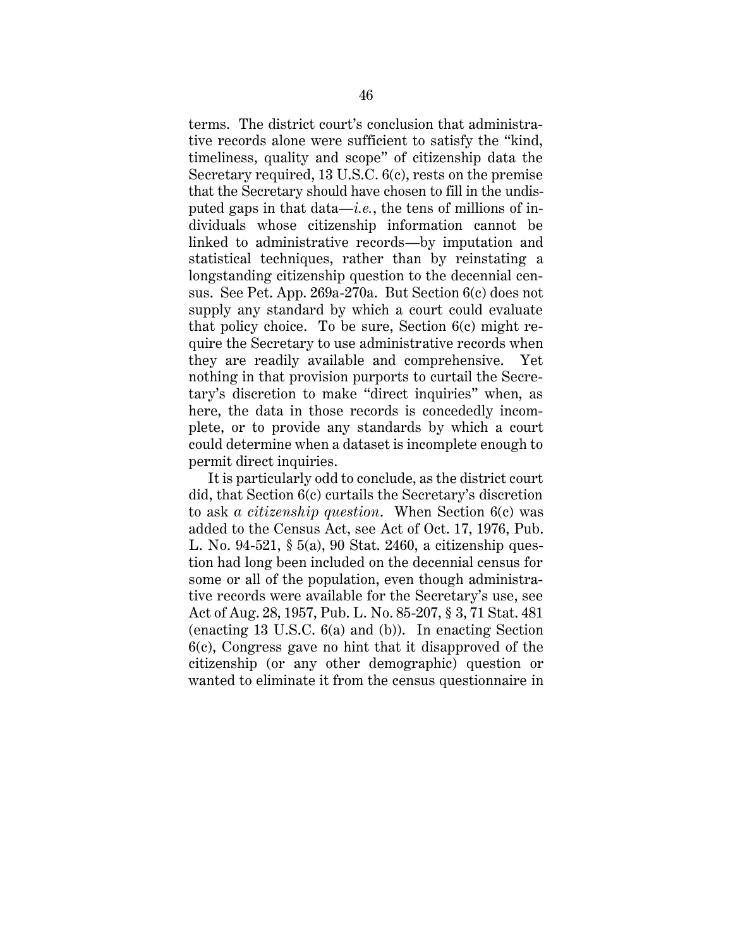terms. The district court's conclusion that administrative records alone were sufficient to satisfy the "kind, timeliness, quality and scope" of citizenship data the Secretary required, 13 U.S.C. 6(c), rests on the premise that the Secretary should have chosen to fill in the undisputed gaps in that data—*i.e.*, the tens of millions of individuals whose citizenship information cannot be linked to administrative records—by imputation and statistical techniques, rather than by reinstating a longstanding citizenship question to the decennial census. See Pet. App. 269a-270a. But Section 6(c) does not supply any standard by which a court could evaluate that policy choice. To be sure, Section 6(c) might require the Secretary to use administrative records when they are readily available and comprehensive. Yet nothing in that provision purports to curtail the Secretary's discretion to make "direct inquiries" when, as here, the data in those records is concededly incomplete, or to provide any standards by which a court could determine when a dataset is incomplete enough to permit direct inquiries.

It is particularly odd to conclude, as the district court did, that Section 6(c) curtails the Secretary's discretion to ask *a citizenship question*. When Section 6(c) was added to the Census Act, see Act of Oct. 17, 1976, Pub. L. No. 94-521, § 5(a), 90 Stat. 2460, a citizenship question had long been included on the decennial census for some or all of the population, even though administrative records were available for the Secretary's use, see Act of Aug. 28, 1957, Pub. L. No. 85-207, § 3, 71 Stat. 481 (enacting 13 U.S.C. 6(a) and (b)). In enacting Section 6(c), Congress gave no hint that it disapproved of the citizenship (or any other demographic) question or wanted to eliminate it from the census questionnaire in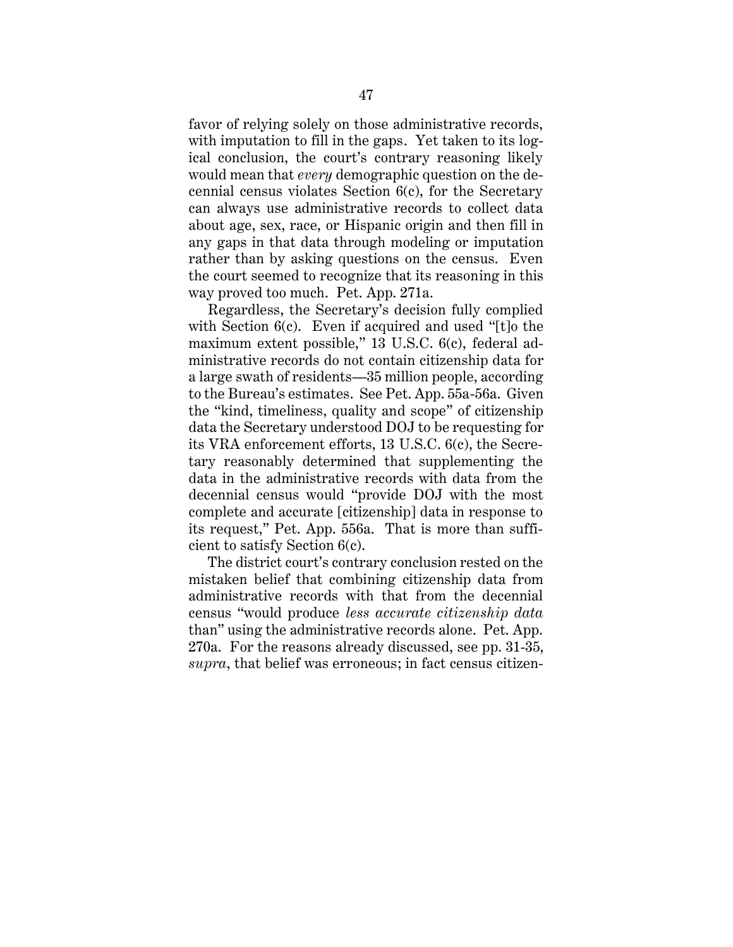favor of relying solely on those administrative records, with imputation to fill in the gaps. Yet taken to its logical conclusion, the court's contrary reasoning likely would mean that *every* demographic question on the decennial census violates Section 6(c), for the Secretary can always use administrative records to collect data about age, sex, race, or Hispanic origin and then fill in any gaps in that data through modeling or imputation rather than by asking questions on the census. Even the court seemed to recognize that its reasoning in this way proved too much. Pet. App. 271a.

Regardless, the Secretary's decision fully complied with Section 6(c). Even if acquired and used "[t]o the maximum extent possible," 13 U.S.C. 6(c), federal administrative records do not contain citizenship data for a large swath of residents—35 million people, according to the Bureau's estimates. See Pet. App. 55a-56a. Given the "kind, timeliness, quality and scope" of citizenship data the Secretary understood DOJ to be requesting for its VRA enforcement efforts, 13 U.S.C. 6(c), the Secretary reasonably determined that supplementing the data in the administrative records with data from the decennial census would "provide DOJ with the most complete and accurate [citizenship] data in response to its request," Pet. App. 556a. That is more than sufficient to satisfy Section 6(c).

The district court's contrary conclusion rested on the mistaken belief that combining citizenship data from administrative records with that from the decennial census "would produce *less accurate citizenship data* than" using the administrative records alone. Pet. App. 270a. For the reasons already discussed, see pp. 31-35, *supra*, that belief was erroneous; in fact census citizen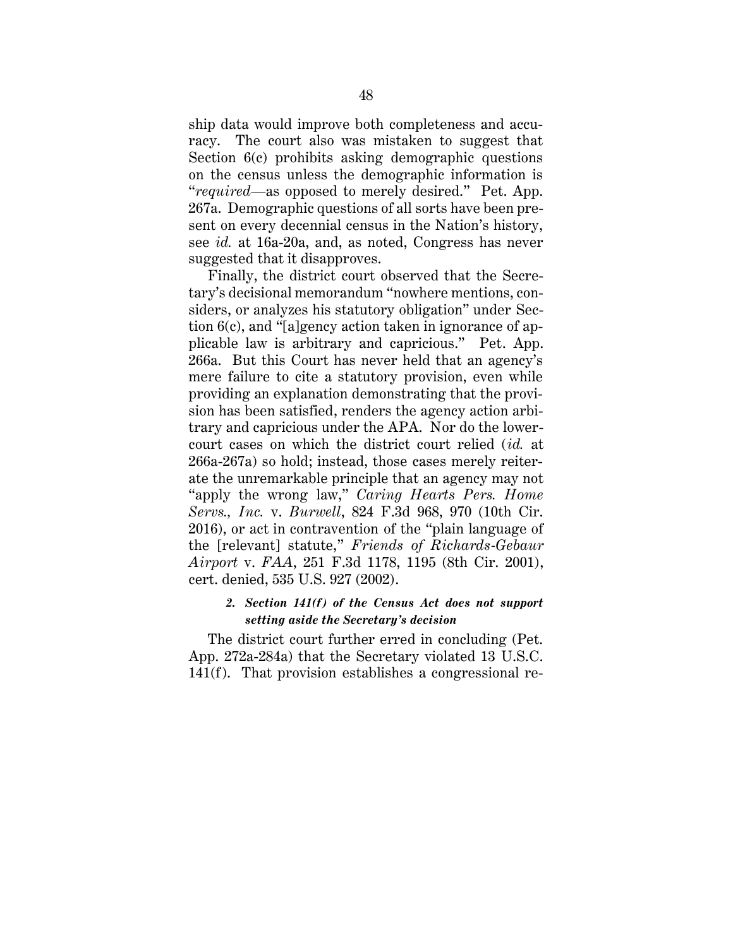ship data would improve both completeness and accuracy. The court also was mistaken to suggest that Section 6(c) prohibits asking demographic questions on the census unless the demographic information is "*required*—as opposed to merely desired." Pet. App. 267a. Demographic questions of all sorts have been present on every decennial census in the Nation's history, see *id.* at 16a-20a, and, as noted, Congress has never suggested that it disapproves.

Finally, the district court observed that the Secretary's decisional memorandum "nowhere mentions, considers, or analyzes his statutory obligation" under Section 6(c), and "[a]gency action taken in ignorance of applicable law is arbitrary and capricious." Pet. App. 266a. But this Court has never held that an agency's mere failure to cite a statutory provision, even while providing an explanation demonstrating that the provision has been satisfied, renders the agency action arbitrary and capricious under the APA. Nor do the lowercourt cases on which the district court relied (*id.* at 266a-267a) so hold; instead, those cases merely reiterate the unremarkable principle that an agency may not "apply the wrong law," *Caring Hearts Pers. Home Servs., Inc.* v. *Burwell*, 824 F.3d 968, 970 (10th Cir. 2016), or act in contravention of the "plain language of the [relevant] statute," *Friends of Richards-Gebaur Airport* v. *FAA*, 251 F.3d 1178, 1195 (8th Cir. 2001), cert. denied, 535 U.S. 927 (2002).

## *2. Section 141(f) of the Census Act does not support setting aside the Secretary's decision*

The district court further erred in concluding (Pet. App. 272a-284a) that the Secretary violated 13 U.S.C. 141(f). That provision establishes a congressional re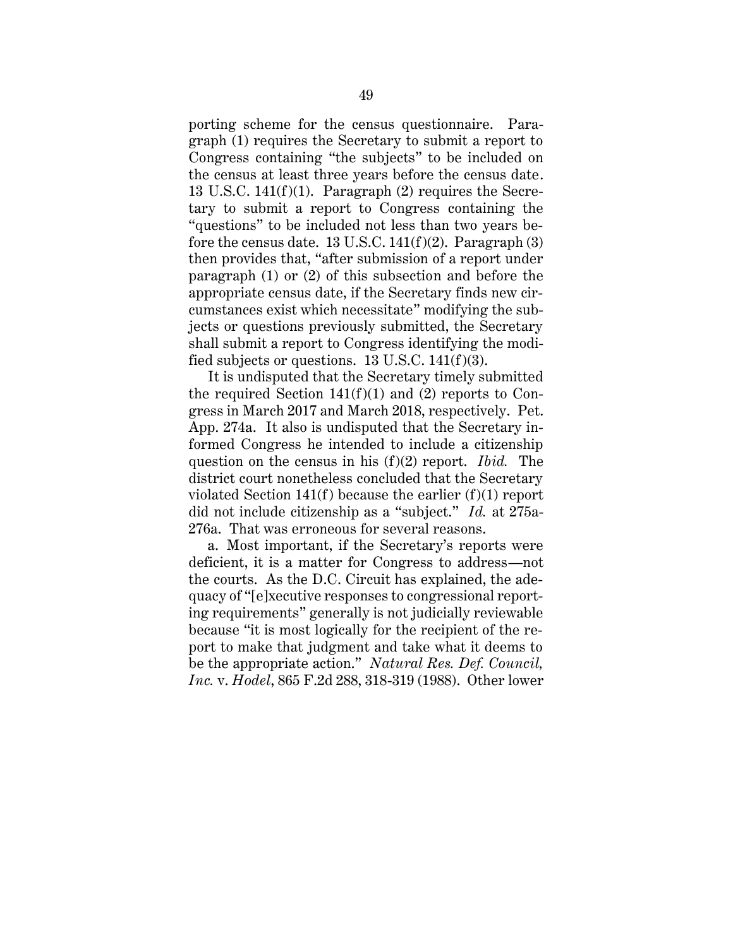porting scheme for the census questionnaire. Paragraph (1) requires the Secretary to submit a report to Congress containing "the subjects" to be included on the census at least three years before the census date. 13 U.S.C. 141(f)(1). Paragraph (2) requires the Secretary to submit a report to Congress containing the "questions" to be included not less than two years before the census date. 13 U.S.C.  $141(f)(2)$ . Paragraph (3) then provides that, "after submission of a report under paragraph (1) or (2) of this subsection and before the appropriate census date, if the Secretary finds new circumstances exist which necessitate" modifying the subjects or questions previously submitted, the Secretary shall submit a report to Congress identifying the modified subjects or questions. 13 U.S.C. 141(f)(3).

It is undisputed that the Secretary timely submitted the required Section  $141(f)(1)$  and (2) reports to Congress in March 2017 and March 2018, respectively. Pet. App. 274a. It also is undisputed that the Secretary informed Congress he intended to include a citizenship question on the census in his (f)(2) report. *Ibid.* The district court nonetheless concluded that the Secretary violated Section  $141(f)$  because the earlier  $(f)(1)$  report did not include citizenship as a "subject." *Id.* at 275a-276a. That was erroneous for several reasons.

a. Most important, if the Secretary's reports were deficient, it is a matter for Congress to address—not the courts. As the D.C. Circuit has explained, the adequacy of "[e]xecutive responses to congressional reporting requirements" generally is not judicially reviewable because "it is most logically for the recipient of the report to make that judgment and take what it deems to be the appropriate action." *Natural Res. Def. Council, Inc.* v. *Hodel*, 865 F.2d 288, 318-319 (1988). Other lower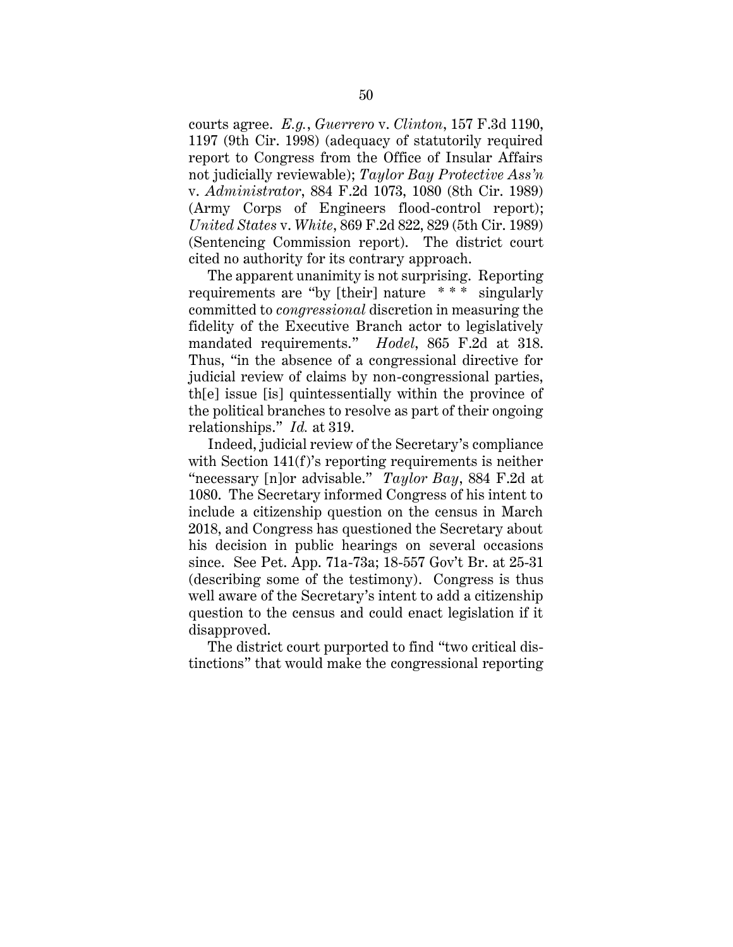courts agree. *E.g.*, *Guerrero* v. *Clinton*, 157 F.3d 1190, 1197 (9th Cir. 1998) (adequacy of statutorily required report to Congress from the Office of Insular Affairs not judicially reviewable); *Taylor Bay Protective Ass'n* v. *Administrator*, 884 F.2d 1073, 1080 (8th Cir. 1989) (Army Corps of Engineers flood-control report); *United States* v. *White*, 869 F.2d 822, 829 (5th Cir. 1989) (Sentencing Commission report). The district court cited no authority for its contrary approach.

The apparent unanimity is not surprising. Reporting requirements are "by [their] nature \* \* \* singularly committed to *congressional* discretion in measuring the fidelity of the Executive Branch actor to legislatively mandated requirements." *Hodel*, 865 F.2d at 318. Thus, "in the absence of a congressional directive for judicial review of claims by non-congressional parties, th[e] issue [is] quintessentially within the province of the political branches to resolve as part of their ongoing relationships." *Id.* at 319.

Indeed, judicial review of the Secretary's compliance with Section 141(f)'s reporting requirements is neither "necessary [n]or advisable." *Taylor Bay*, 884 F.2d at 1080. The Secretary informed Congress of his intent to include a citizenship question on the census in March 2018, and Congress has questioned the Secretary about his decision in public hearings on several occasions since. See Pet. App. 71a-73a; 18-557 Gov't Br. at 25-31 (describing some of the testimony). Congress is thus well aware of the Secretary's intent to add a citizenship question to the census and could enact legislation if it disapproved.

The district court purported to find "two critical distinctions" that would make the congressional reporting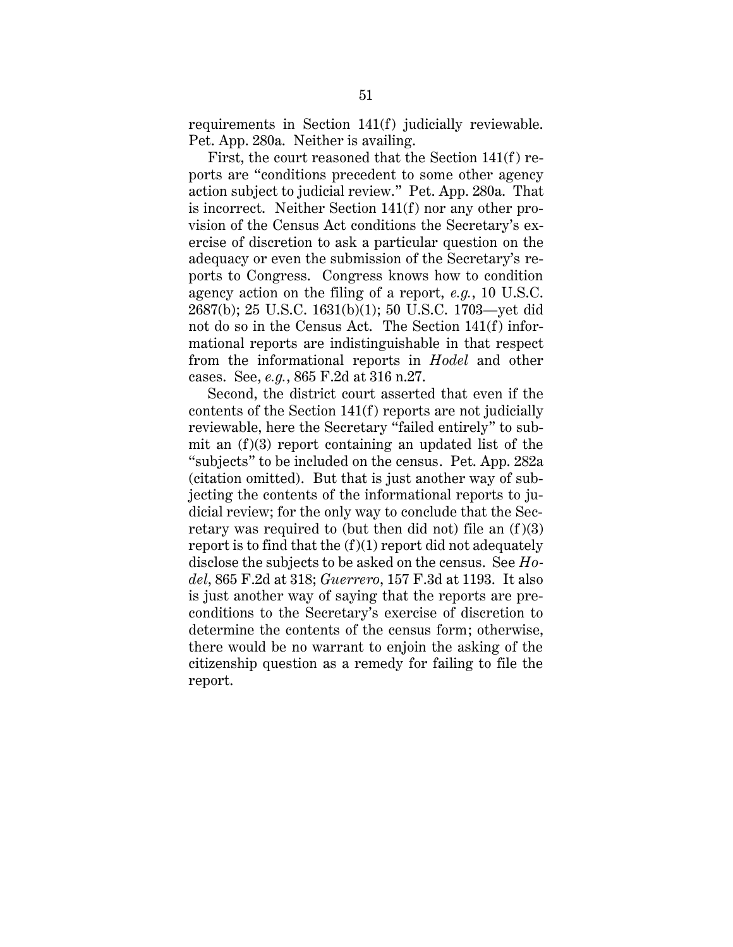requirements in Section 141(f) judicially reviewable. Pet. App. 280a. Neither is availing.

First, the court reasoned that the Section 141(f) reports are "conditions precedent to some other agency action subject to judicial review." Pet. App. 280a. That is incorrect. Neither Section 141(f) nor any other provision of the Census Act conditions the Secretary's exercise of discretion to ask a particular question on the adequacy or even the submission of the Secretary's reports to Congress. Congress knows how to condition agency action on the filing of a report, *e.g.*, 10 U.S.C. 2687(b); 25 U.S.C. 1631(b)(1); 50 U.S.C. 1703—yet did not do so in the Census Act. The Section 141(f) informational reports are indistinguishable in that respect from the informational reports in *Hodel* and other cases. See, *e.g.*, 865 F.2d at 316 n.27.

Second, the district court asserted that even if the contents of the Section 141(f) reports are not judicially reviewable, here the Secretary "failed entirely" to submit an  $(f)(3)$  report containing an updated list of the "subjects" to be included on the census. Pet. App. 282a (citation omitted). But that is just another way of subjecting the contents of the informational reports to judicial review; for the only way to conclude that the Secretary was required to (but then did not) file an  $(f)(3)$ report is to find that the  $(f)(1)$  report did not adequately disclose the subjects to be asked on the census. See *Hodel*, 865 F.2d at 318; *Guerrero*, 157 F.3d at 1193. It also is just another way of saying that the reports are preconditions to the Secretary's exercise of discretion to determine the contents of the census form; otherwise, there would be no warrant to enjoin the asking of the citizenship question as a remedy for failing to file the report.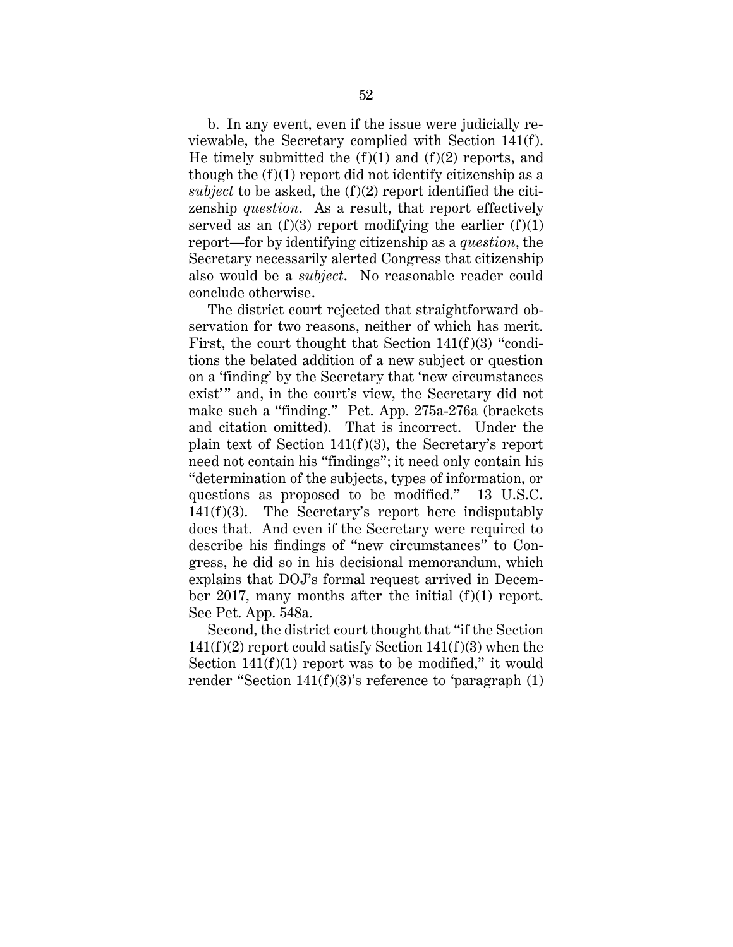b. In any event, even if the issue were judicially reviewable, the Secretary complied with Section 141(f). He timely submitted the  $(f)(1)$  and  $(f)(2)$  reports, and though the  $(f)(1)$  report did not identify citizenship as a *subject* to be asked, the (f)(2) report identified the citizenship *question*. As a result, that report effectively served as an  $(f)(3)$  report modifying the earlier  $(f)(1)$ report—for by identifying citizenship as a *question*, the Secretary necessarily alerted Congress that citizenship also would be a *subject*. No reasonable reader could conclude otherwise.

The district court rejected that straightforward observation for two reasons, neither of which has merit. First, the court thought that Section  $141(f)(3)$  "conditions the belated addition of a new subject or question on a 'finding' by the Secretary that 'new circumstances exist'" and, in the court's view, the Secretary did not make such a "finding." Pet. App. 275a-276a (brackets and citation omitted). That is incorrect. Under the plain text of Section 141(f)(3), the Secretary's report need not contain his "findings"; it need only contain his "determination of the subjects, types of information, or questions as proposed to be modified." 13 U.S.C. 141(f)(3). The Secretary's report here indisputably does that. And even if the Secretary were required to describe his findings of "new circumstances" to Congress, he did so in his decisional memorandum, which explains that DOJ's formal request arrived in December 2017, many months after the initial (f)(1) report. See Pet. App. 548a.

Second, the district court thought that "if the Section  $141(f)(2)$  report could satisfy Section  $141(f)(3)$  when the Section  $141(f)(1)$  report was to be modified," it would render "Section 141(f)(3)'s reference to 'paragraph (1)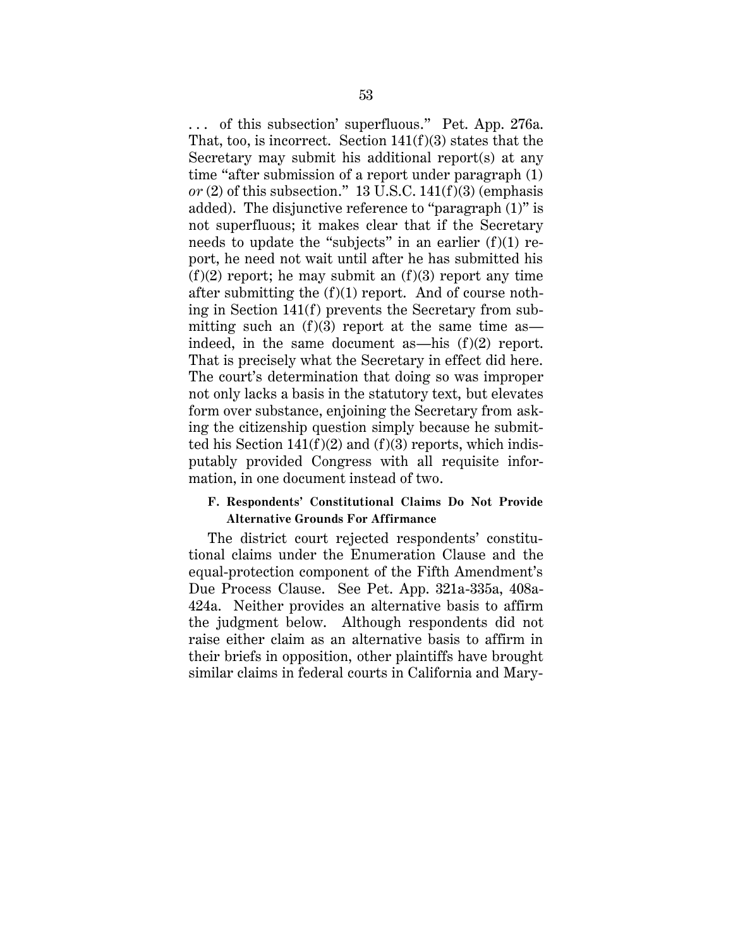. . . of this subsection' superfluous." Pet. App. 276a. That, too, is incorrect. Section  $141(f)(3)$  states that the Secretary may submit his additional report(s) at any time "after submission of a report under paragraph (1)  $or (2)$  of this subsection." 13 U.S.C. 141(f)(3) (emphasis added). The disjunctive reference to "paragraph (1)" is not superfluous; it makes clear that if the Secretary needs to update the "subjects" in an earlier  $(f)(1)$  report, he need not wait until after he has submitted his  $(f)(2)$  report; he may submit an  $(f)(3)$  report any time after submitting the  $(f)(1)$  report. And of course nothing in Section 141(f) prevents the Secretary from submitting such an  $(f)(3)$  report at the same time as indeed, in the same document as—his (f)(2) report. That is precisely what the Secretary in effect did here. The court's determination that doing so was improper not only lacks a basis in the statutory text, but elevates form over substance, enjoining the Secretary from asking the citizenship question simply because he submitted his Section  $141(f)(2)$  and  $(f)(3)$  reports, which indisputably provided Congress with all requisite information, in one document instead of two.

## **F. Respondents' Constitutional Claims Do Not Provide Alternative Grounds For Affirmance**

The district court rejected respondents' constitutional claims under the Enumeration Clause and the equal-protection component of the Fifth Amendment's Due Process Clause. See Pet. App. 321a-335a, 408a-424a. Neither provides an alternative basis to affirm the judgment below. Although respondents did not raise either claim as an alternative basis to affirm in their briefs in opposition, other plaintiffs have brought similar claims in federal courts in California and Mary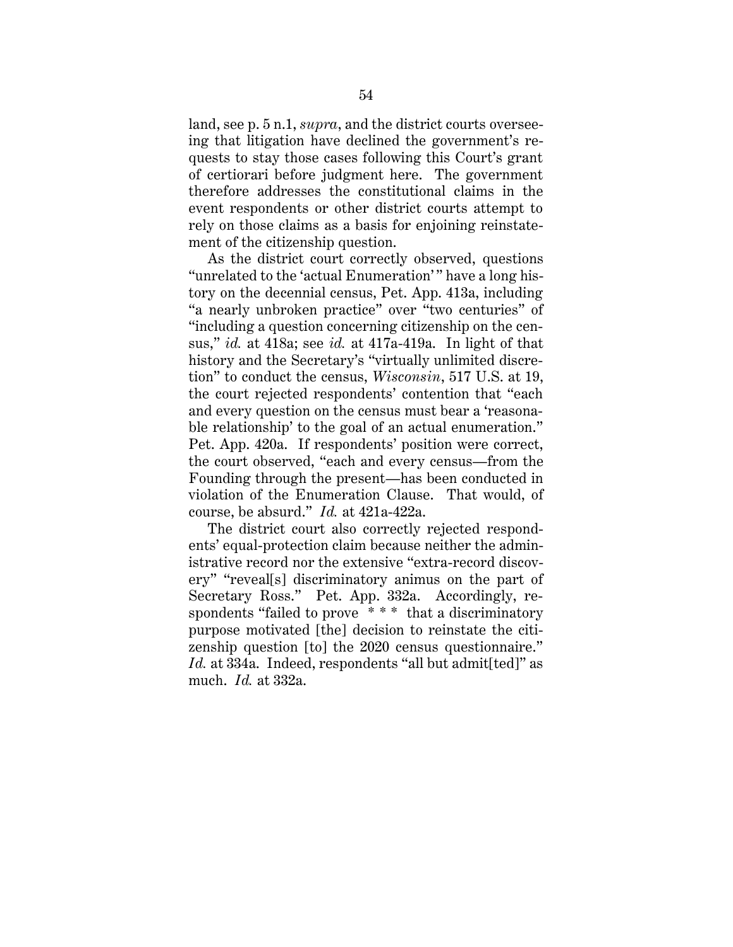land, see p. 5 n.1, *supra*, and the district courts overseeing that litigation have declined the government's requests to stay those cases following this Court's grant of certiorari before judgment here. The government therefore addresses the constitutional claims in the event respondents or other district courts attempt to rely on those claims as a basis for enjoining reinstatement of the citizenship question.

As the district court correctly observed, questions "unrelated to the 'actual Enumeration'" have a long history on the decennial census, Pet. App. 413a, including "a nearly unbroken practice" over "two centuries" of "including a question concerning citizenship on the census," *id.* at 418a; see *id.* at 417a-419a. In light of that history and the Secretary's "virtually unlimited discretion" to conduct the census, *Wisconsin*, 517 U.S. at 19, the court rejected respondents' contention that "each and every question on the census must bear a 'reasonable relationship' to the goal of an actual enumeration." Pet. App. 420a. If respondents' position were correct, the court observed, "each and every census—from the Founding through the present—has been conducted in violation of the Enumeration Clause. That would, of course, be absurd." *Id.* at 421a-422a.

The district court also correctly rejected respondents' equal-protection claim because neither the administrative record nor the extensive "extra-record discovery" "reveal[s] discriminatory animus on the part of Secretary Ross." Pet. App. 332a. Accordingly, respondents "failed to prove \* \* \* that a discriminatory purpose motivated [the] decision to reinstate the citizenship question [to] the 2020 census questionnaire." *Id.* at 334a. Indeed, respondents "all but admit[ted]" as much. *Id.* at 332a.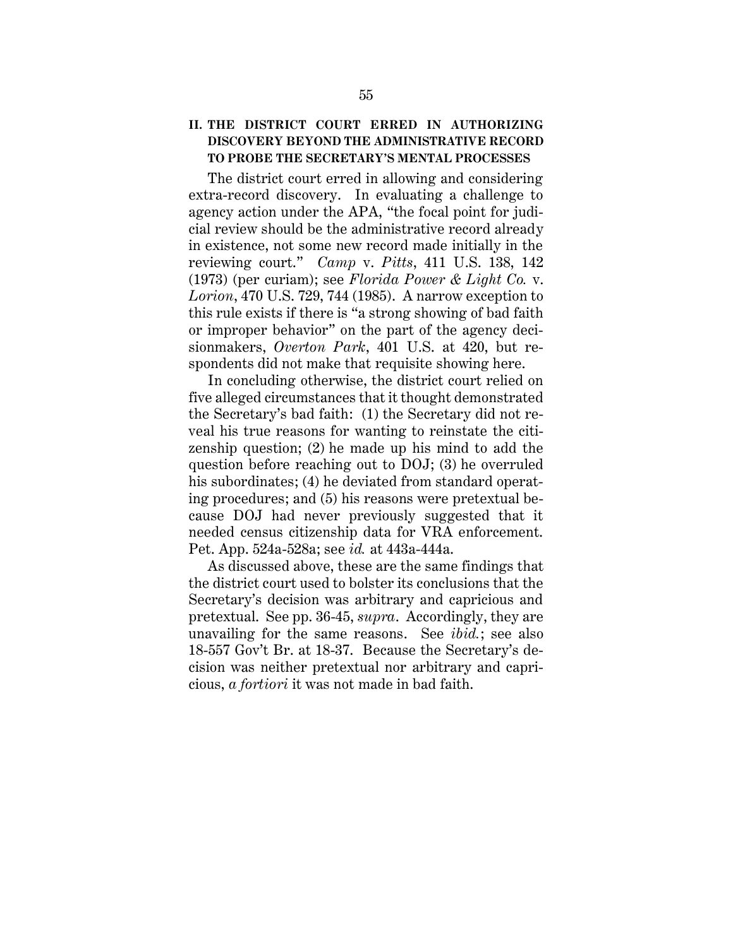# **II. THE DISTRICT COURT ERRED IN AUTHORIZING DISCOVERY BEYOND THE ADMINISTRATIVE RECORD TO PROBE THE SECRETARY'S MENTAL PROCESSES**

The district court erred in allowing and considering extra-record discovery. In evaluating a challenge to agency action under the APA, "the focal point for judicial review should be the administrative record already in existence, not some new record made initially in the reviewing court." *Camp* v. *Pitts*, 411 U.S. 138, 142 (1973) (per curiam); see *Florida Power & Light Co.* v. *Lorion*, 470 U.S. 729, 744 (1985). A narrow exception to this rule exists if there is "a strong showing of bad faith or improper behavior" on the part of the agency decisionmakers, *Overton Park*, 401 U.S. at 420, but respondents did not make that requisite showing here.

In concluding otherwise, the district court relied on five alleged circumstances that it thought demonstrated the Secretary's bad faith: (1) the Secretary did not reveal his true reasons for wanting to reinstate the citizenship question; (2) he made up his mind to add the question before reaching out to DOJ; (3) he overruled his subordinates; (4) he deviated from standard operating procedures; and (5) his reasons were pretextual because DOJ had never previously suggested that it needed census citizenship data for VRA enforcement. Pet. App. 524a-528a; see *id.* at 443a-444a.

As discussed above, these are the same findings that the district court used to bolster its conclusions that the Secretary's decision was arbitrary and capricious and pretextual. See pp. 36-45, *supra*. Accordingly, they are unavailing for the same reasons. See *ibid.*; see also 18-557 Gov't Br. at 18-37. Because the Secretary's decision was neither pretextual nor arbitrary and capricious, *a fortiori* it was not made in bad faith.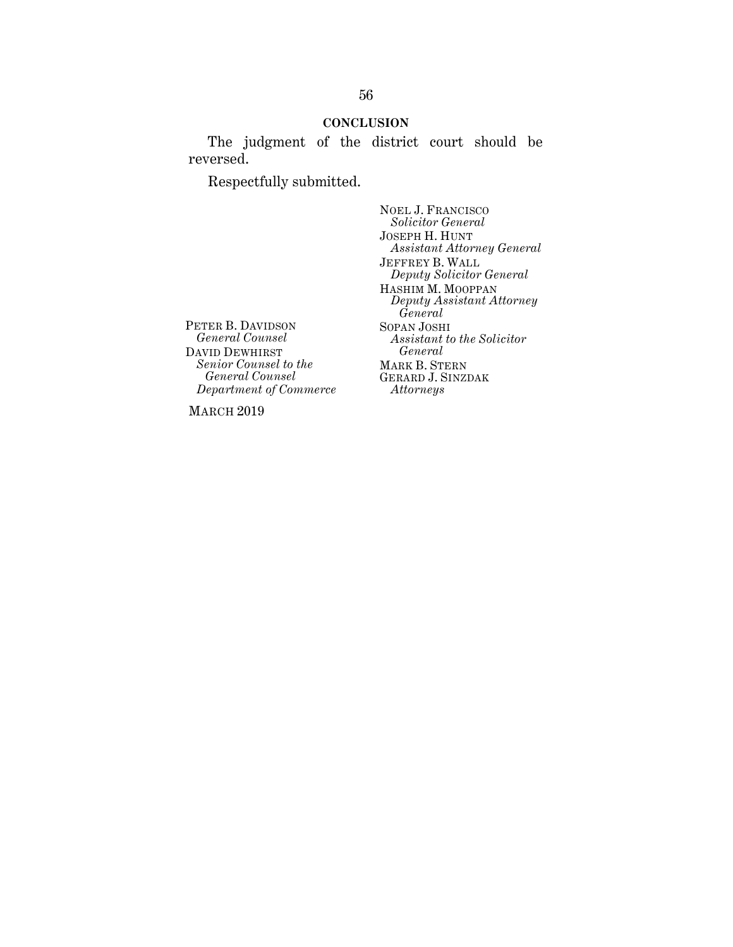#### **CONCLUSION**

The judgment of the district court should be reversed.

Respectfully submitted.

NOEL J. FRANCISCO *Solicitor General* JOSEPH H. HUNT *Assistant Attorney General* JEFFREY B. WALL *Deputy Solicitor General* HASHIM M. MOOPPAN *Deputy Assistant Attorney General* SOPAN JOSHI *Assistant to the Solicitor General* MARK B. STERN GERARD J. SINZDAK *Attorneys*

PETER B. DAVIDSON *General Counsel*  DAVID DEWHIRST *Senior Counsel to the General Counsel Department of Commerce* 

MARCH 2019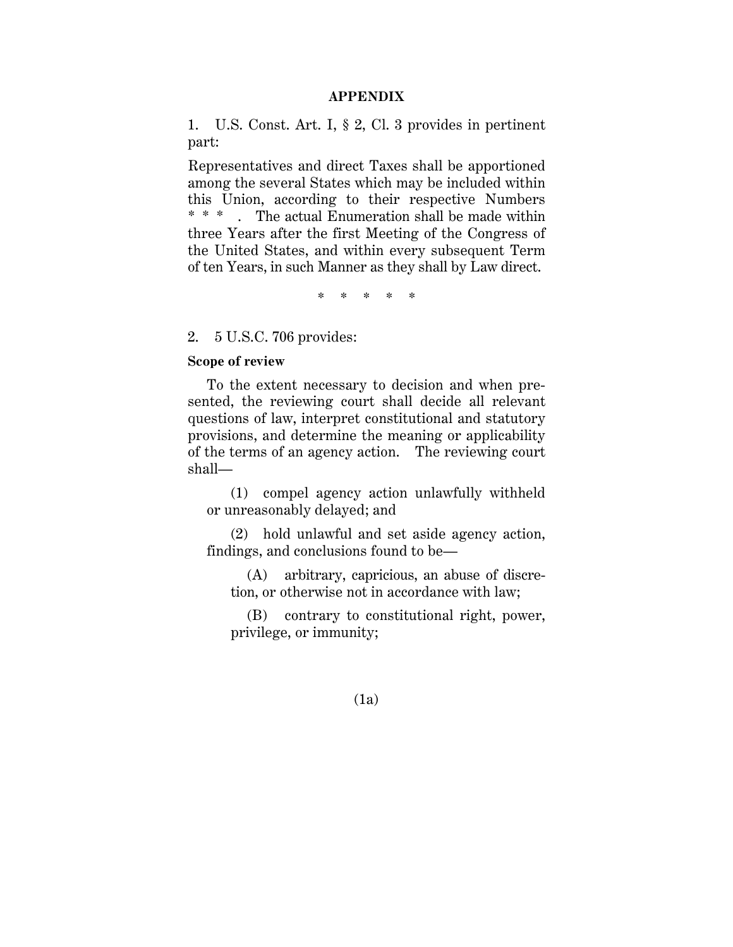#### **APPENDIX**

1. U.S. Const. Art. I, § 2, Cl. 3 provides in pertinent part:

Representatives and direct Taxes shall be apportioned among the several States which may be included within this Union, according to their respective Numbers \* \* \* . The actual Enumeration shall be made within three Years after the first Meeting of the Congress of the United States, and within every subsequent Term of ten Years, in such Manner as they shall by Law direct.

\* \* \* \* \*

2. 5 U.S.C. 706 provides:

## **Scope of review**

To the extent necessary to decision and when presented, the reviewing court shall decide all relevant questions of law, interpret constitutional and statutory provisions, and determine the meaning or applicability of the terms of an agency action. The reviewing court shall—

(1) compel agency action unlawfully withheld or unreasonably delayed; and

(2) hold unlawful and set aside agency action, findings, and conclusions found to be—

(A) arbitrary, capricious, an abuse of discretion, or otherwise not in accordance with law;

(B) contrary to constitutional right, power, privilege, or immunity;

(1a)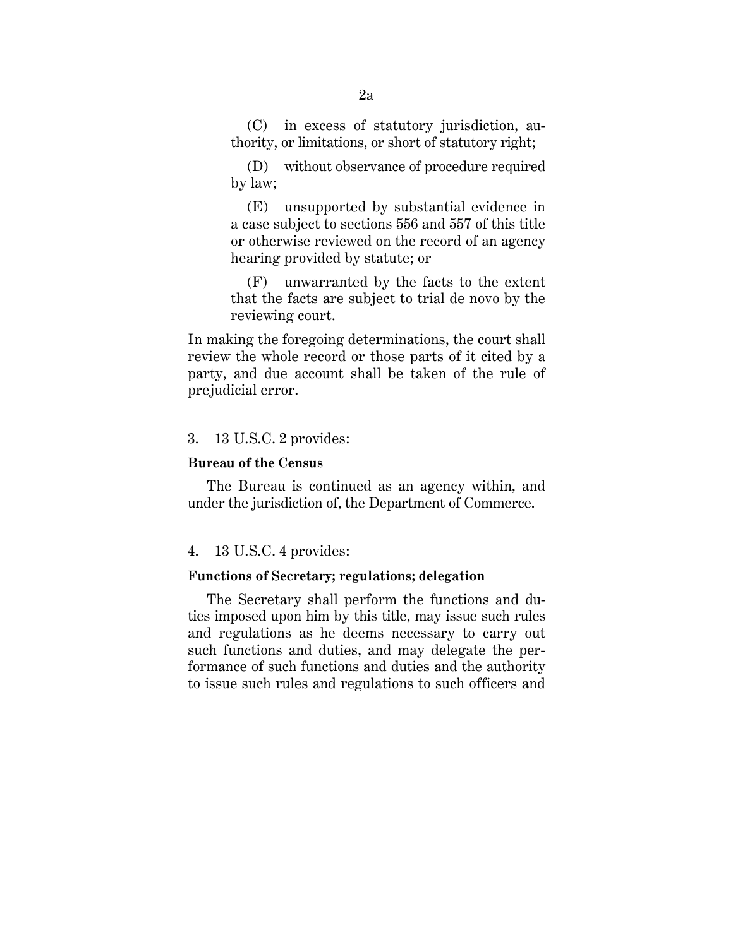(C) in excess of statutory jurisdiction, authority, or limitations, or short of statutory right;

(D) without observance of procedure required by law;

(E) unsupported by substantial evidence in a case subject to sections 556 and 557 of this title or otherwise reviewed on the record of an agency hearing provided by statute; or

(F) unwarranted by the facts to the extent that the facts are subject to trial de novo by the reviewing court.

In making the foregoing determinations, the court shall review the whole record or those parts of it cited by a party, and due account shall be taken of the rule of prejudicial error.

### 3. 13 U.S.C. 2 provides:

## **Bureau of the Census**

The Bureau is continued as an agency within, and under the jurisdiction of, the Department of Commerce.

#### 4. 13 U.S.C. 4 provides:

## **Functions of Secretary; regulations; delegation**

The Secretary shall perform the functions and duties imposed upon him by this title, may issue such rules and regulations as he deems necessary to carry out such functions and duties, and may delegate the performance of such functions and duties and the authority to issue such rules and regulations to such officers and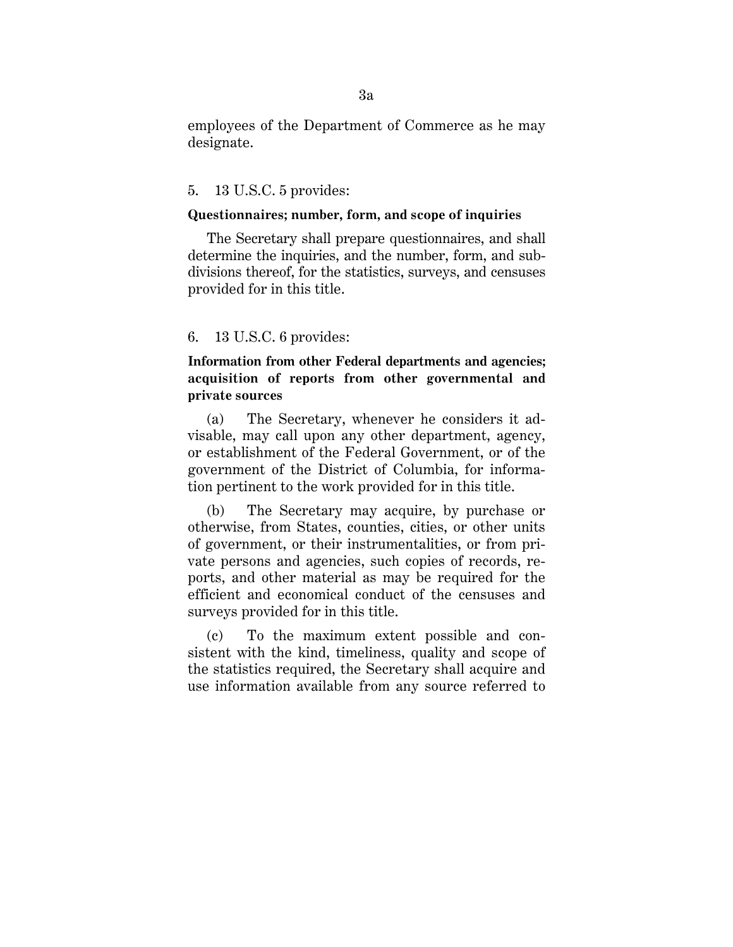employees of the Department of Commerce as he may designate.

## 5. 13 U.S.C. 5 provides:

## **Questionnaires; number, form, and scope of inquiries**

The Secretary shall prepare questionnaires, and shall determine the inquiries, and the number, form, and subdivisions thereof, for the statistics, surveys, and censuses provided for in this title.

## 6. 13 U.S.C. 6 provides:

**Information from other Federal departments and agencies; acquisition of reports from other governmental and private sources**

(a) The Secretary, whenever he considers it advisable, may call upon any other department, agency, or establishment of the Federal Government, or of the government of the District of Columbia, for information pertinent to the work provided for in this title.

(b) The Secretary may acquire, by purchase or otherwise, from States, counties, cities, or other units of government, or their instrumentalities, or from private persons and agencies, such copies of records, reports, and other material as may be required for the efficient and economical conduct of the censuses and surveys provided for in this title.

(c) To the maximum extent possible and consistent with the kind, timeliness, quality and scope of the statistics required, the Secretary shall acquire and use information available from any source referred to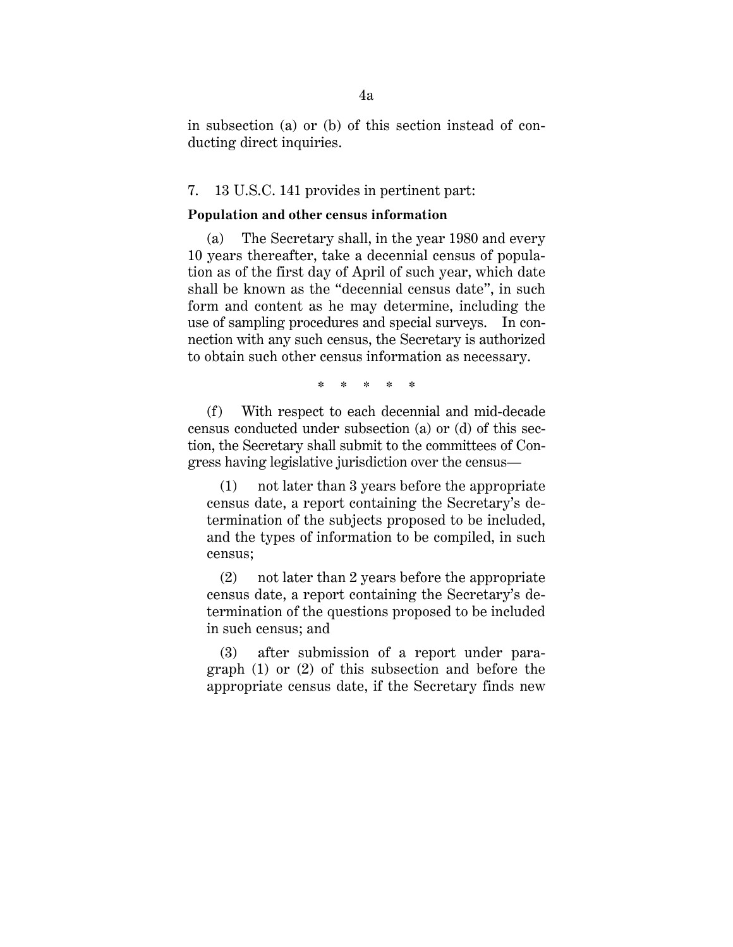in subsection (a) or (b) of this section instead of conducting direct inquiries.

## 7. 13 U.S.C. 141 provides in pertinent part:

#### **Population and other census information**

(a) The Secretary shall, in the year 1980 and every 10 years thereafter, take a decennial census of population as of the first day of April of such year, which date shall be known as the "decennial census date", in such form and content as he may determine, including the use of sampling procedures and special surveys. In connection with any such census, the Secretary is authorized to obtain such other census information as necessary.

\* \* \* \* \*

(f) With respect to each decennial and mid-decade census conducted under subsection (a) or (d) of this section, the Secretary shall submit to the committees of Congress having legislative jurisdiction over the census—

(1) not later than 3 years before the appropriate census date, a report containing the Secretary's determination of the subjects proposed to be included, and the types of information to be compiled, in such census;

(2) not later than 2 years before the appropriate census date, a report containing the Secretary's determination of the questions proposed to be included in such census; and

(3) after submission of a report under paragraph (1) or (2) of this subsection and before the appropriate census date, if the Secretary finds new